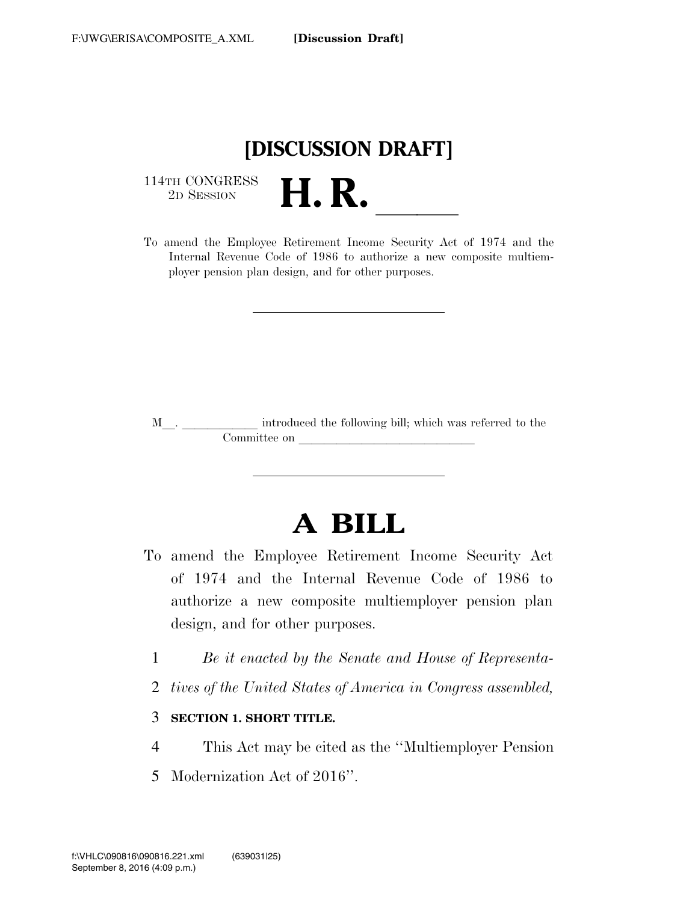

114TH CONGRESS<br>2D SESSION

<sup>114TH</sup> CONGRESS<br>
<sup>2D SESSION</sup><br> **H. R.** <u>Income Security Act of 1974</u> and the Internal Revenue Code of 1986 to authorize a new composite multiemployer pension plan design, and for other purposes.

<sup>M</sup>l. llllll introduced the following bill; which was referred to the Committee on

# **A BILL**

- To amend the Employee Retirement Income Security Act of 1974 and the Internal Revenue Code of 1986 to authorize a new composite multiemployer pension plan design, and for other purposes.
	- 1 *Be it enacted by the Senate and House of Representa-*
	- 2 *tives of the United States of America in Congress assembled,*

#### 3 **SECTION 1. SHORT TITLE.**

- 4 This Act may be cited as the ''Multiemployer Pension
- 5 Modernization Act of 2016''.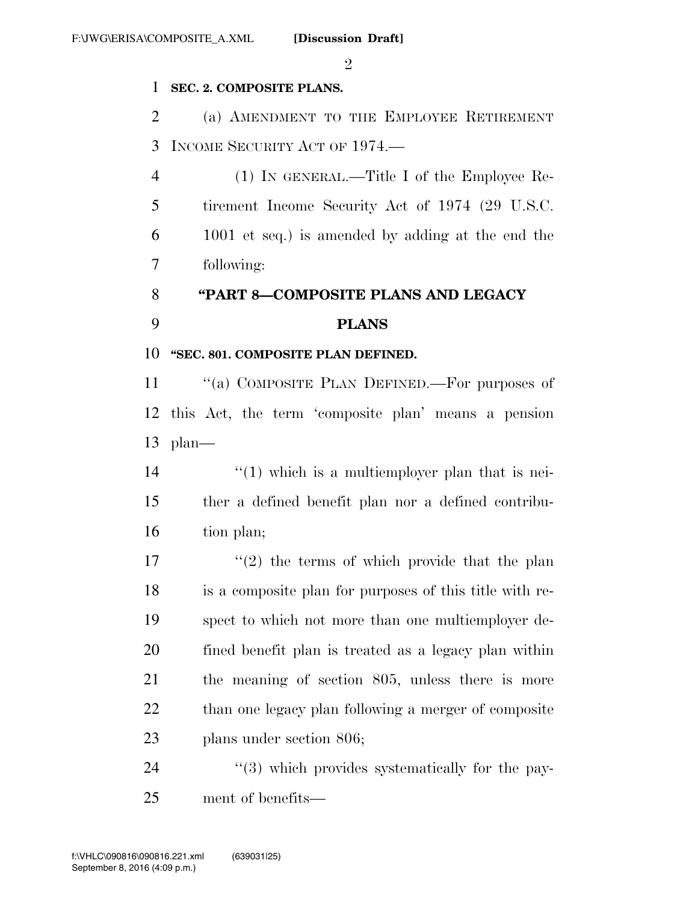$\mathfrak{D}$ 

#### **SEC. 2. COMPOSITE PLANS.**

 (a) AMENDMENT TO THE EMPLOYEE RETIREMENT INCOME SECURITY ACT OF 1974.—

 (1) IN GENERAL.—Title I of the Employee Re- tirement Income Security Act of 1974 (29 U.S.C. 1001 et seq.) is amended by adding at the end the following:

### **''PART 8—COMPOSITE PLANS AND LEGACY PLANS**

#### **''SEC. 801. COMPOSITE PLAN DEFINED.**

 ''(a) COMPOSITE PLAN DEFINED.—For purposes of this Act, the term 'composite plan' means a pension plan—

14 ''(1) which is a multiemployer plan that is nei- ther a defined benefit plan nor a defined contribu-16 tion plan;

 $\frac{1}{2}$  the terms of which provide that the plan is a composite plan for purposes of this title with re- spect to which not more than one multiemployer de- fined benefit plan is treated as a legacy plan within the meaning of section 805, unless there is more 22 than one legacy plan following a merger of composite plans under section 806;

24  $\frac{1}{2}$  (3) which provides systematically for the pay-ment of benefits—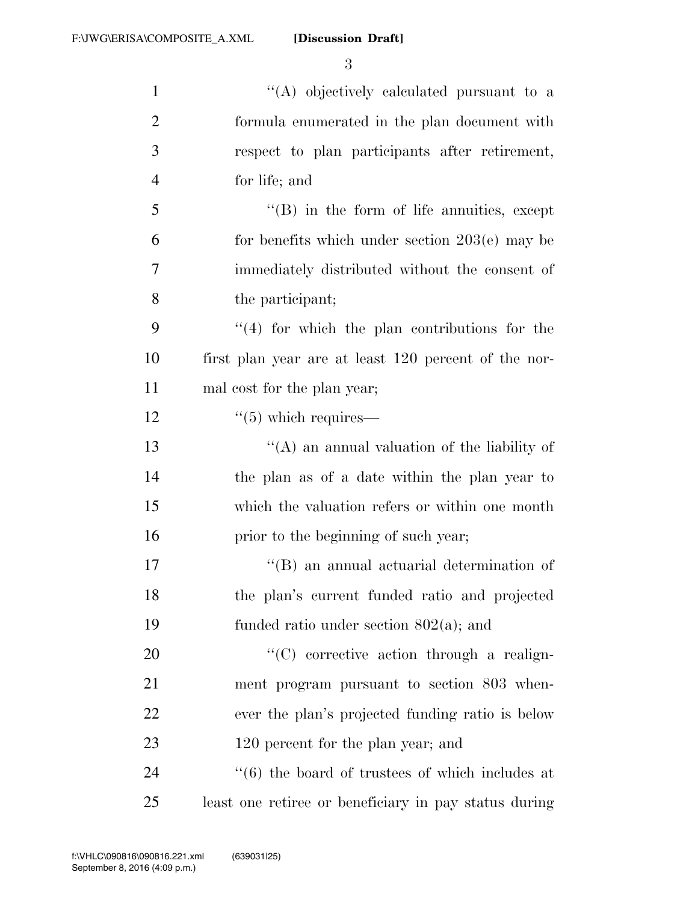| $\mathbf{1}$   | "(A) objectively calculated pursuant to a                       |
|----------------|-----------------------------------------------------------------|
| $\overline{2}$ | formula enumerated in the plan document with                    |
| 3              | respect to plan participants after retirement,                  |
| $\overline{4}$ | for life; and                                                   |
| 5              | $\lq\lq (B)$ in the form of life annuities, except              |
| 6              | for benefits which under section $203(e)$ may be                |
| 7              | immediately distributed without the consent of                  |
| 8              | the participant;                                                |
| 9              | $(4)$ for which the plan contributions for the                  |
| 10             | first plan year are at least 120 percent of the nor-            |
| 11             | mal cost for the plan year;                                     |
| 12             | $\cdot\cdot$ (5) which requires—                                |
| 13             | "(A) an annual valuation of the liability of                    |
| 14             | the plan as of a date within the plan year to                   |
| 15             | which the valuation refers or within one month                  |
| 16             | prior to the beginning of such year;                            |
| 17             | $\lq\lq (B)$ an annual actuarial determination of               |
| 18             | the plan's current funded ratio and projected                   |
| 19             | funded ratio under section $802(a)$ ; and                       |
| 20             | "(C) corrective action through a realign-                       |
| 21             | ment program pursuant to section 803 when-                      |
| 22             | ever the plan's projected funding ratio is below                |
| 23             | 120 percent for the plan year; and                              |
| 24             | $\cdot\cdot\cdot(6)$ the board of trustees of which includes at |
| 25             | least one retiree or beneficiary in pay status during           |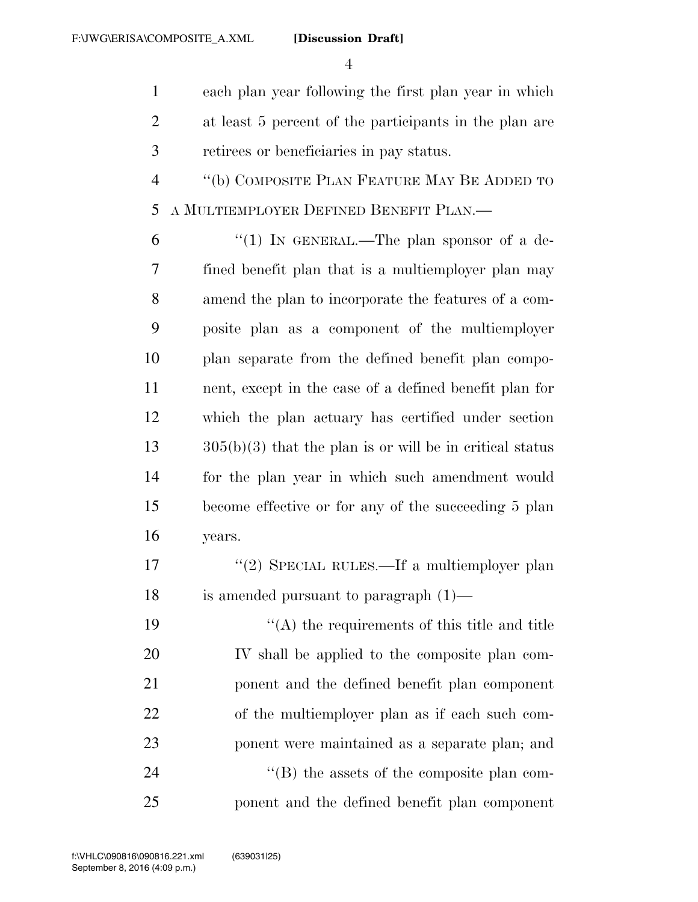each plan year following the first plan year in which at least 5 percent of the participants in the plan are retirees or beneficiaries in pay status.

 ''(b) COMPOSITE PLAN FEATURE MAY BE ADDED TO A MULTIEMPLOYER DEFINED BENEFIT PLAN.—

 $(1)$  In GENERAL.—The plan sponsor of a de- fined benefit plan that is a multiemployer plan may amend the plan to incorporate the features of a com- posite plan as a component of the multiemployer plan separate from the defined benefit plan compo- nent, except in the case of a defined benefit plan for which the plan actuary has certified under section  $13 \qquad \qquad 305(b)(3)$  that the plan is or will be in critical status for the plan year in which such amendment would become effective or for any of the succeeding 5 plan years.

17 "(2) SPECIAL RULES.—If a multiemployer plan is amended pursuant to paragraph (1)—

 ''(A) the requirements of this title and title IV shall be applied to the composite plan com- ponent and the defined benefit plan component of the multiemployer plan as if each such com- ponent were maintained as a separate plan; and  $\langle$  (B) the assets of the composite plan com-

ponent and the defined benefit plan component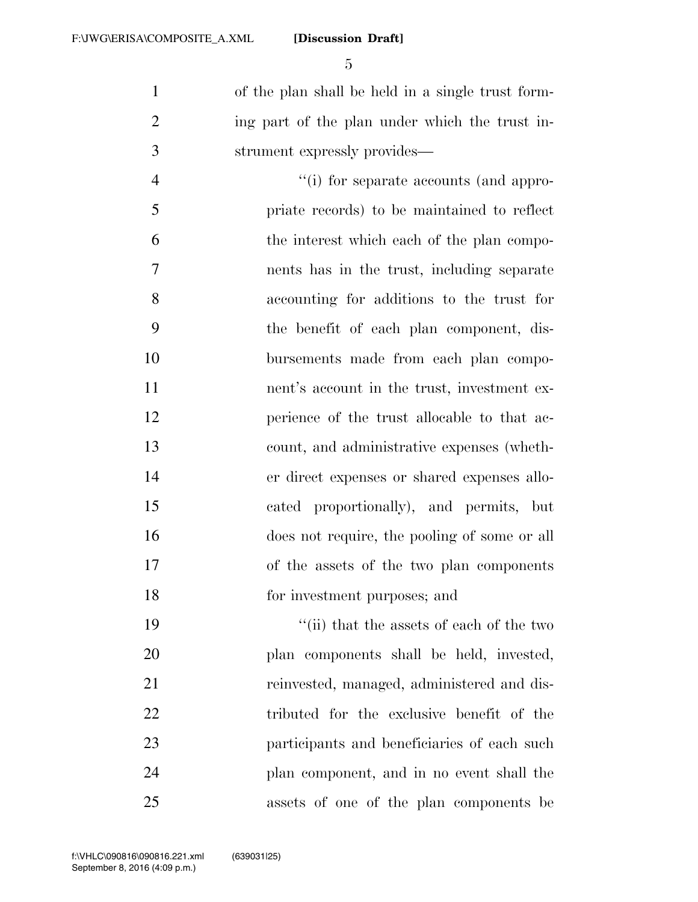of the plan shall be held in a single trust form-2 ing part of the plan under which the trust in-strument expressly provides—

 ''(i) for separate accounts (and appro- priate records) to be maintained to reflect the interest which each of the plan compo- nents has in the trust, including separate accounting for additions to the trust for the benefit of each plan component, dis- bursements made from each plan compo- nent's account in the trust, investment ex- perience of the trust allocable to that ac- count, and administrative expenses (wheth- er direct expenses or shared expenses allo- cated proportionally), and permits, but does not require, the pooling of some or all of the assets of the two plan components for investment purposes; and

 ''(ii) that the assets of each of the two plan components shall be held, invested, reinvested, managed, administered and dis- tributed for the exclusive benefit of the participants and beneficiaries of each such plan component, and in no event shall the assets of one of the plan components be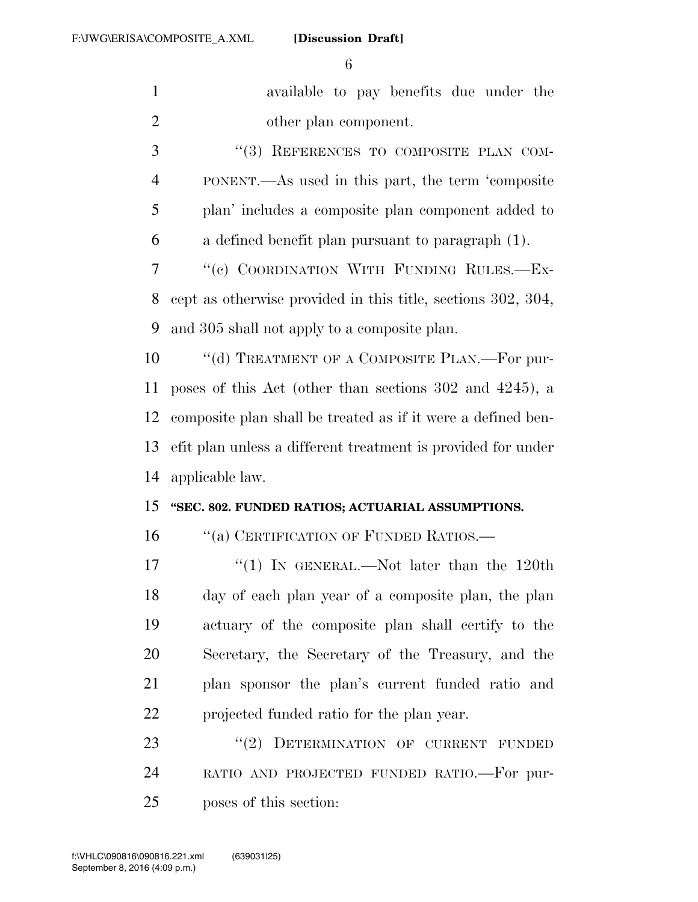| $\mathbf{1}$   | available to pay benefits due under the                      |
|----------------|--------------------------------------------------------------|
| $\overline{2}$ | other plan component.                                        |
| 3              | "(3) REFERENCES TO COMPOSITE PLAN COM-                       |
| $\overline{4}$ | PONENT.—As used in this part, the term 'composite            |
| 5              | plan' includes a composite plan component added to           |
| 6              | a defined benefit plan pursuant to paragraph (1).            |
| 7              | "(c) COORDINATION WITH FUNDING RULES.-Ex-                    |
| 8              | cept as otherwise provided in this title, sections 302, 304, |
| 9              | and 305 shall not apply to a composite plan.                 |
| 10             | "(d) TREATMENT OF A COMPOSITE PLAN.—For pur-                 |
| 11             | poses of this Act (other than sections 302 and 4245), a      |
| 12             | composite plan shall be treated as if it were a defined ben- |
| 13             | efit plan unless a different treatment is provided for under |
| 14             | applicable law.                                              |
| 15             | "SEC. 802. FUNDED RATIOS; ACTUARIAL ASSUMPTIONS.             |
| 16             | "(a) CERTIFICATION OF FUNDED RATIOS.—                        |
| 17             | "(1) IN GENERAL.—Not later than the $120th$                  |
| 18             | day of each plan year of a composite plan, the plan          |
| 19             | actuary of the composite plan shall certify to the           |
| 20             | Secretary, the Secretary of the Treasury, and the            |
| 21             | plan sponsor the plan's current funded ratio and             |
| 22             | projected funded ratio for the plan year.                    |
| 23             | "(2) DETERMINATION OF CURRENT FUNDED                         |
| 24             | RATIO AND PROJECTED FUNDED RATIO.-For pur-                   |
| 25             | poses of this section:                                       |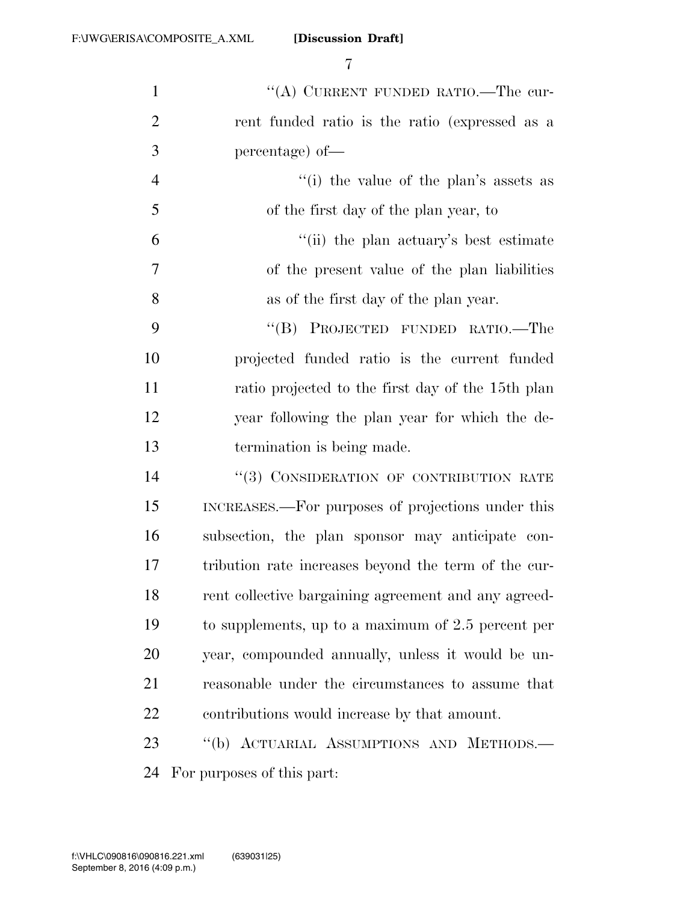| $\mathbf{1}$   | "(A) CURRENT FUNDED RATIO.—The cur-                  |
|----------------|------------------------------------------------------|
| $\overline{2}$ | rent funded ratio is the ratio (expressed as a       |
| 3              | percentage) of-                                      |
| $\overline{4}$ | "(i) the value of the plan's assets as               |
| 5              | of the first day of the plan year, to                |
| 6              | "(ii) the plan actuary's best estimate               |
| 7              | of the present value of the plan liabilities         |
| 8              | as of the first day of the plan year.                |
| 9              | "(B) PROJECTED FUNDED RATIO.—The                     |
| 10             | projected funded ratio is the current funded         |
| 11             | ratio projected to the first day of the 15th plan    |
| 12             | year following the plan year for which the de-       |
| 13             | termination is being made.                           |
| 14             | "(3) CONSIDERATION OF CONTRIBUTION RATE              |
| 15             | INCREASES.—For purposes of projections under this    |
| 16             | subsection, the plan sponsor may anticipate con-     |
| 17             | tribution rate increases beyond the term of the cur- |
| 18             | rent collective bargaining agreement and any agreed- |
| 19             | to supplements, up to a maximum of 2.5 percent per   |
| 20             | year, compounded annually, unless it would be un-    |
| 21             | reasonable under the circumstances to assume that    |
| 22             | contributions would increase by that amount.         |
| 23             | "(b) ACTUARIAL ASSUMPTIONS AND METHODS.-             |
| 24             | For purposes of this part:                           |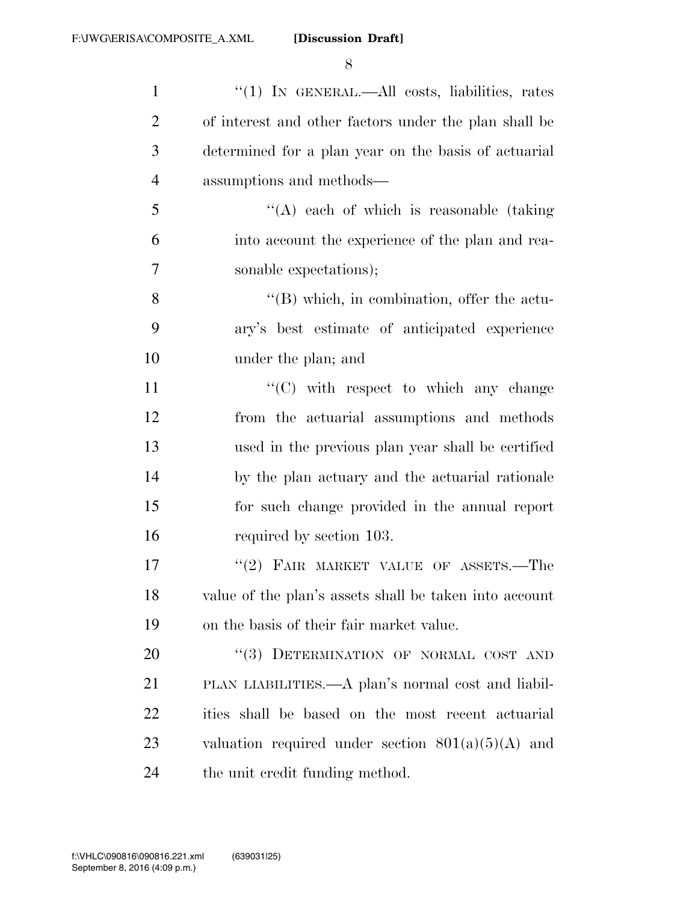| $\mathbf{1}$   | " $(1)$ IN GENERAL.—All costs, liabilities, rates      |
|----------------|--------------------------------------------------------|
| $\overline{c}$ | of interest and other factors under the plan shall be  |
| 3              | determined for a plan year on the basis of actuarial   |
| $\overline{4}$ | assumptions and methods-                               |
| 5              | "(A) each of which is reasonable (taking               |
| 6              | into account the experience of the plan and rea-       |
| $\overline{7}$ | sonable expectations);                                 |
| 8              | $\lq\lq (B)$ which, in combination, offer the actu-    |
| 9              | ary's best estimate of anticipated experience          |
| 10             | under the plan; and                                    |
| 11             | $\lq\lq$ (C) with respect to which any change          |
| 12             | from the actuarial assumptions and methods             |
| 13             | used in the previous plan year shall be certified      |
| 14             | by the plan actuary and the actuarial rationale        |
| 15             | for such change provided in the annual report          |
| 16             | required by section 103.                               |
| 17             | "(2) FAIR MARKET VALUE OF ASSETS.—The                  |
| 18             | value of the plan's assets shall be taken into account |
| 19             | on the basis of their fair market value.               |
| 20             | "(3) DETERMINATION OF NORMAL COST AND                  |
| 21             | PLAN LIABILITIES.—A plan's normal cost and liabil-     |
| 22             | ities shall be based on the most recent actuarial      |
| 23             | valuation required under section $801(a)(5)(A)$ and    |
| 24             | the unit credit funding method.                        |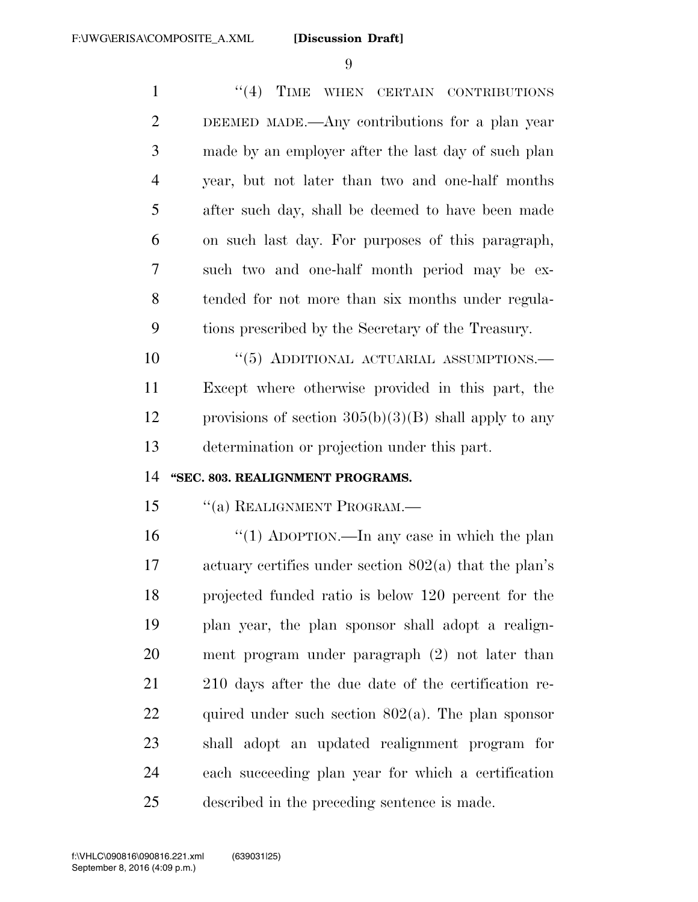1 "(4) TIME WHEN CERTAIN CONTRIBUTIONS DEEMED MADE.—Any contributions for a plan year made by an employer after the last day of such plan year, but not later than two and one-half months after such day, shall be deemed to have been made on such last day. For purposes of this paragraph, such two and one-half month period may be ex- tended for not more than six months under regula- tions prescribed by the Secretary of the Treasury.  $(5)$  ADDITIONAL ACTUARIAL ASSUMPTIONS.

 Except where otherwise provided in this part, the 12 provisions of section  $305(b)(3)(B)$  shall apply to any determination or projection under this part.

#### **''SEC. 803. REALIGNMENT PROGRAMS.**

''(a) REALIGNMENT PROGRAM.—

 ''(1) ADOPTION.—In any case in which the plan actuary certifies under section 802(a) that the plan's projected funded ratio is below 120 percent for the plan year, the plan sponsor shall adopt a realign- ment program under paragraph (2) not later than 210 days after the due date of the certification re-22 quired under such section  $802(a)$ . The plan sponsor shall adopt an updated realignment program for each succeeding plan year for which a certification described in the preceding sentence is made.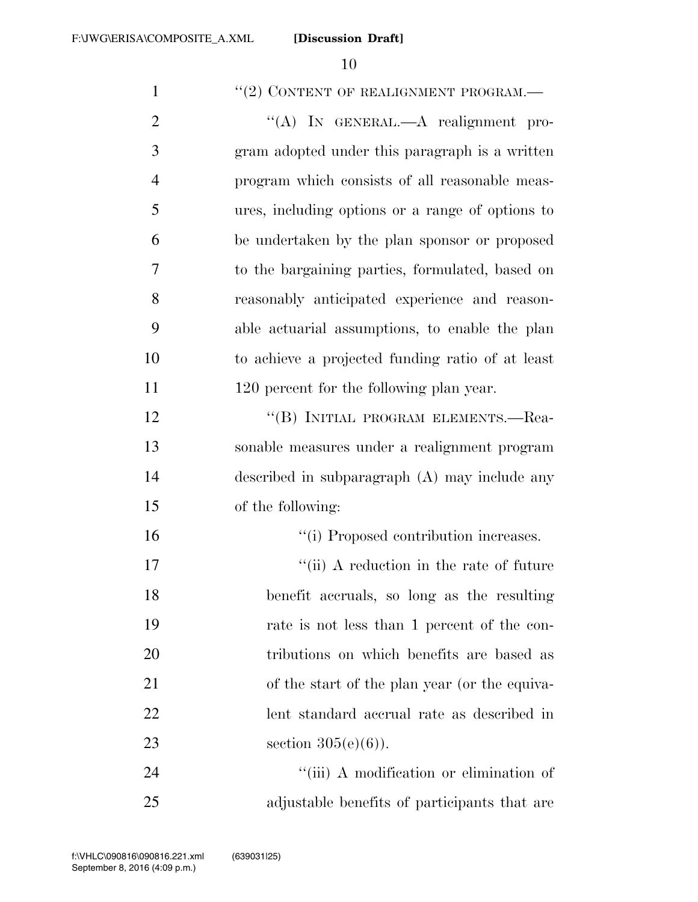| $\mathbf{1}$   | "(2) CONTENT OF REALIGNMENT PROGRAM.-            |
|----------------|--------------------------------------------------|
| $\overline{2}$ | "(A) IN GENERAL.—A realignment pro-              |
| 3              | gram adopted under this paragraph is a written   |
| $\overline{4}$ | program which consists of all reasonable meas-   |
| 5              | ures, including options or a range of options to |
| 6              | be undertaken by the plan sponsor or proposed    |
| 7              | to the bargaining parties, formulated, based on  |
| 8              | reasonably anticipated experience and reason-    |
| 9              | able actuarial assumptions, to enable the plan   |
| 10             | to achieve a projected funding ratio of at least |
| 11             | 120 percent for the following plan year.         |
| 12             | "(B) INITIAL PROGRAM ELEMENTS.-Rea-              |
| 13             | sonable measures under a realignment program     |
| 14             | described in subparagraph $(A)$ may include any  |
| 15             | of the following:                                |
| 16             | "(i) Proposed contribution increases.            |
| 17             | "(ii) A reduction in the rate of future          |
| 18             | benefit accruals, so long as the resulting       |
| 19             | rate is not less than 1 percent of the con-      |
| 20             | tributions on which benefits are based as        |
| 21             | of the start of the plan year (or the equiva-    |
| 22             | lent standard accrual rate as described in       |
| 23             | section $305(e)(6)$ ).                           |
| 24             | "(iii) A modification or elimination of          |
| 25             | adjustable benefits of participants that are     |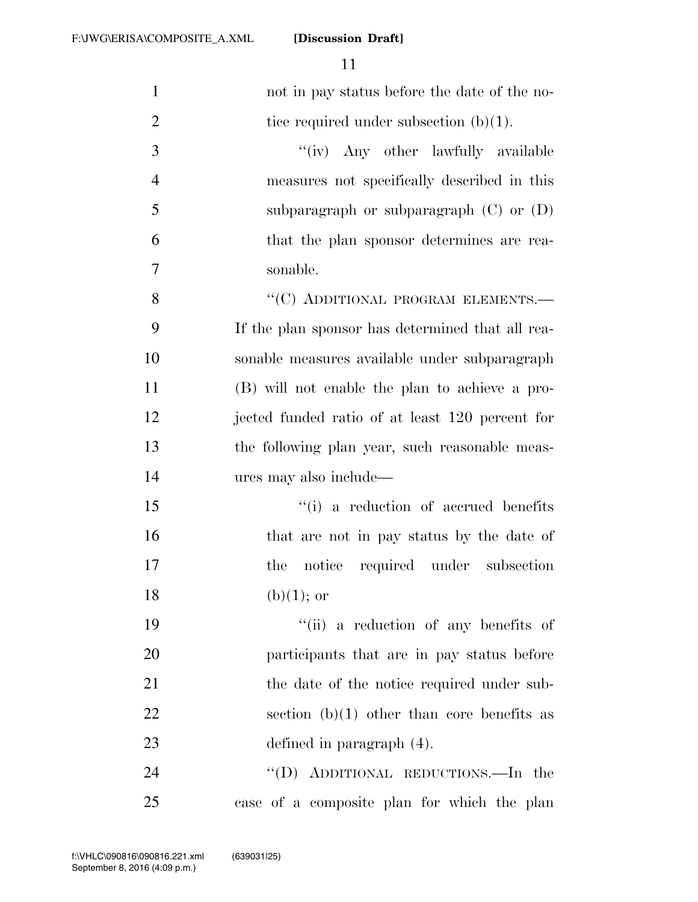| $\mathbf{1}$   | not in pay status before the date of the no-     |
|----------------|--------------------------------------------------|
| $\overline{2}$ | tice required under subsection $(b)(1)$ .        |
| 3              | "(iv) Any other lawfully available               |
| $\overline{4}$ | measures not specifically described in this      |
| 5              | subparagraph or subparagraph $(C)$ or $(D)$      |
| 6              | that the plan sponsor determines are rea-        |
| $\overline{7}$ | sonable.                                         |
| 8              | "(C) ADDITIONAL PROGRAM ELEMENTS.-               |
| 9              | If the plan sponsor has determined that all rea- |
| 10             | sonable measures available under subparagraph    |
| 11             | (B) will not enable the plan to achieve a pro-   |
| 12             | jected funded ratio of at least 120 percent for  |
| 13             | the following plan year, such reasonable meas-   |
| 14             | ures may also include—                           |
| 15             | "(i) a reduction of accrued benefits             |
| 16             | that are not in pay status by the date of        |
| 17             | notice required under subsection<br>the          |
| 18             | $(b)(1);$ or                                     |
| 19             | "(ii) a reduction of any benefits of             |
| 20             | participants that are in pay status before       |
| 21             | the date of the notice required under sub-       |
| 22             | section (b)(1) other than core benefits as       |
| 23             | defined in paragraph $(4)$ .                     |
| 24             | "(D) ADDITIONAL REDUCTIONS.—In the               |
| 25             | case of a composite plan for which the plan      |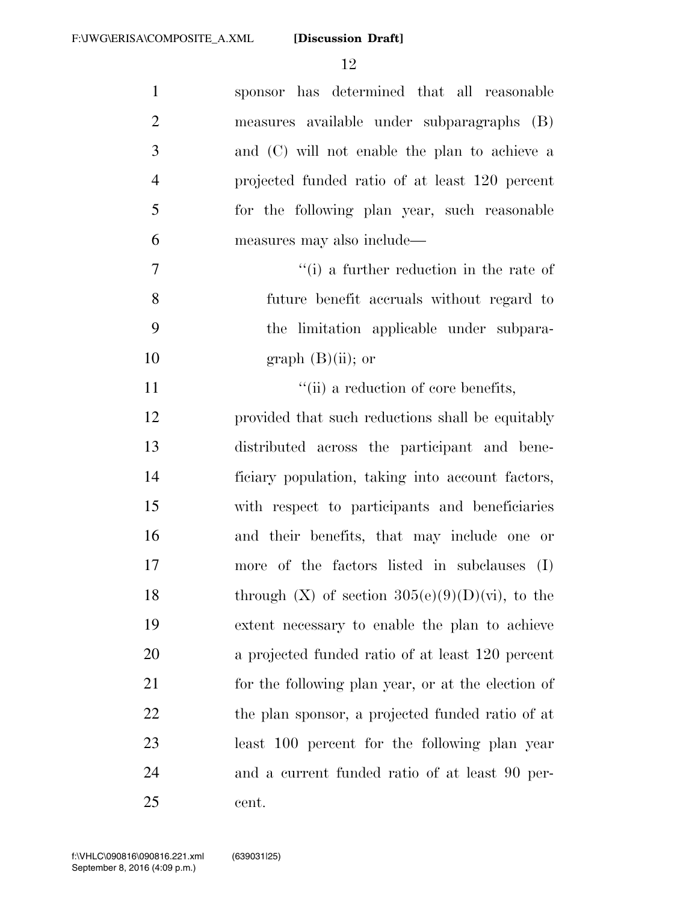| $\mathbf{1}$   | sponsor has determined that all reasonable           |
|----------------|------------------------------------------------------|
| $\overline{2}$ | measures available under subparagraphs (B)           |
| 3              | and (C) will not enable the plan to achieve a        |
| $\overline{4}$ | projected funded ratio of at least 120 percent       |
| 5              | for the following plan year, such reasonable         |
| 6              | measures may also include—                           |
| 7              | $f'(i)$ a further reduction in the rate of           |
| 8              | future benefit accruals without regard to            |
| 9              | the limitation applicable under subpara-             |
| 10             | graph $(B)(ii)$ ; or                                 |
| 11             | "(ii) a reduction of core benefits,                  |
| 12             | provided that such reductions shall be equitably     |
| 13             | distributed across the participant and bene-         |
| 14             | ficiary population, taking into account factors,     |
| 15             | with respect to participants and beneficiaries       |
| 16             | and their benefits, that may include one or          |
| 17             | more of the factors listed in subclauses (I)         |
| 18             | through $(X)$ of section $305(e)(9)(D)(vi)$ , to the |
| 19             | extent necessary to enable the plan to achieve       |
| 20             | a projected funded ratio of at least 120 percent     |
| 21             | for the following plan year, or at the election of   |
| 22             | the plan sponsor, a projected funded ratio of at     |
| 23             | least 100 percent for the following plan year        |
| 24             | and a current funded ratio of at least 90 per-       |
| 25             | cent.                                                |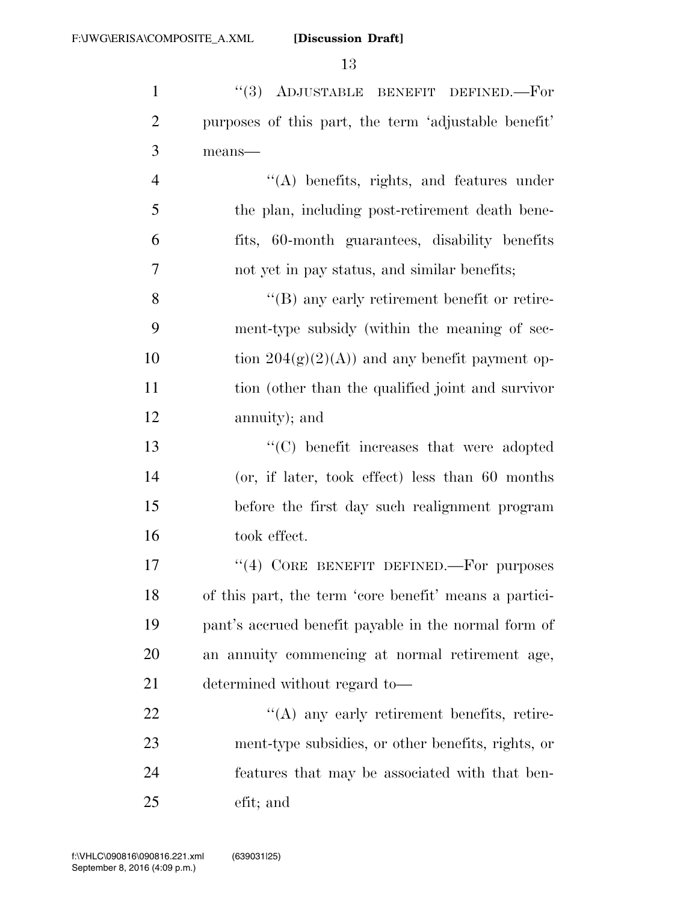1 ''(3) ADJUSTABLE BENEFIT DEFINED. For purposes of this part, the term 'adjustable benefit' means— ''(A) benefits, rights, and features under the plan, including post-retirement death bene- fits, 60-month guarantees, disability benefits not yet in pay status, and similar benefits; ''(B) any early retirement benefit or retire-ment-type subsidy (within the meaning of sec-

10 tion  $204(g)(2)(A)$  and any benefit payment op- tion (other than the qualified joint and survivor annuity); and

 ''(C) benefit increases that were adopted (or, if later, took effect) less than 60 months before the first day such realignment program took effect.

17 "(4) CORE BENEFIT DEFINED.—For purposes of this part, the term 'core benefit' means a partici- pant's accrued benefit payable in the normal form of an annuity commencing at normal retirement age, determined without regard to—

22 "(A) any early retirement benefits, retire- ment-type subsidies, or other benefits, rights, or features that may be associated with that ben-efit; and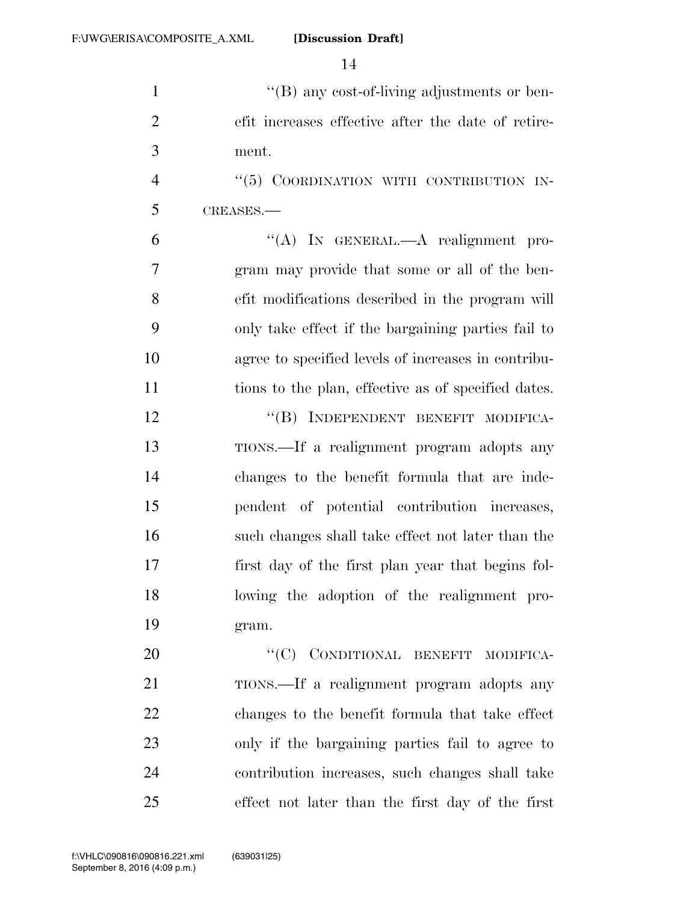''(B) any cost-of-living adjustments or ben- efit increases effective after the date of retire-ment.

4 "(5) COORDINATION WITH CONTRIBUTION IN-CREASES.—

 ''(A) IN GENERAL.—A realignment pro- gram may provide that some or all of the ben- efit modifications described in the program will only take effect if the bargaining parties fail to agree to specified levels of increases in contribu-tions to the plan, effective as of specified dates.

12 "(B) INDEPENDENT BENEFIT MODIFICA- TIONS.—If a realignment program adopts any changes to the benefit formula that are inde- pendent of potential contribution increases, such changes shall take effect not later than the first day of the first plan year that begins fol- lowing the adoption of the realignment pro-gram.

20 "(C) CONDITIONAL BENEFIT MODIFICA-21 TIONS.—If a realignment program adopts any changes to the benefit formula that take effect only if the bargaining parties fail to agree to contribution increases, such changes shall take effect not later than the first day of the first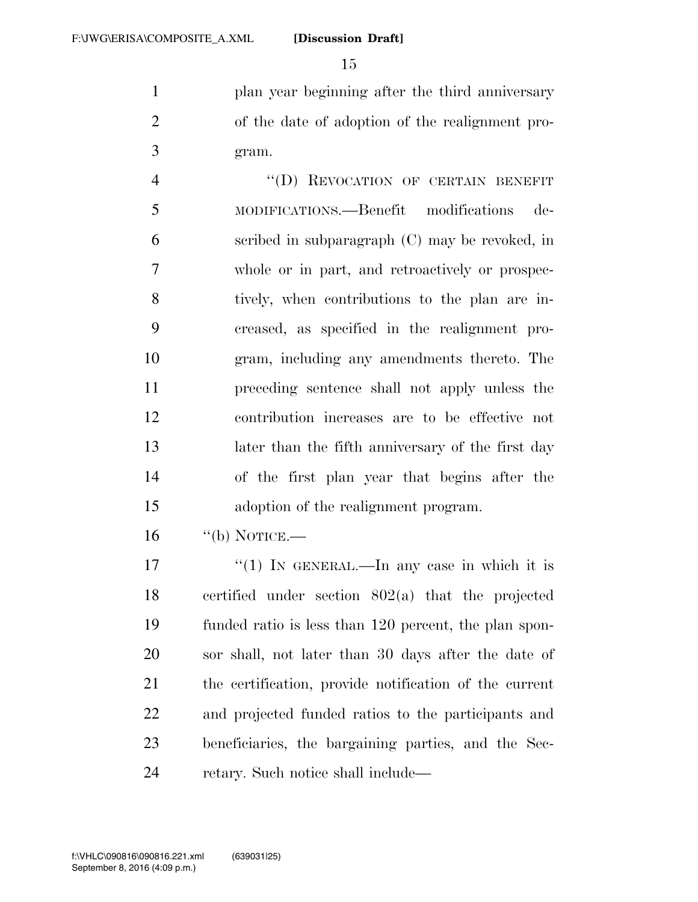1 plan year beginning after the third anniversary of the date of adoption of the realignment pro-gram.

4 "(D) REVOCATION OF CERTAIN BENEFIT MODIFICATIONS.—Benefit modifications de- scribed in subparagraph (C) may be revoked, in whole or in part, and retroactively or prospec- tively, when contributions to the plan are in- creased, as specified in the realignment pro- gram, including any amendments thereto. The preceding sentence shall not apply unless the contribution increases are to be effective not later than the fifth anniversary of the first day of the first plan year that begins after the adoption of the realignment program.

"(b) NOTICE.—

 $\frac{17}{10}$  IN GENERAL.—In any case in which it is certified under section 802(a) that the projected funded ratio is less than 120 percent, the plan spon- sor shall, not later than 30 days after the date of the certification, provide notification of the current and projected funded ratios to the participants and beneficiaries, the bargaining parties, and the Sec-24 retary. Such notice shall include—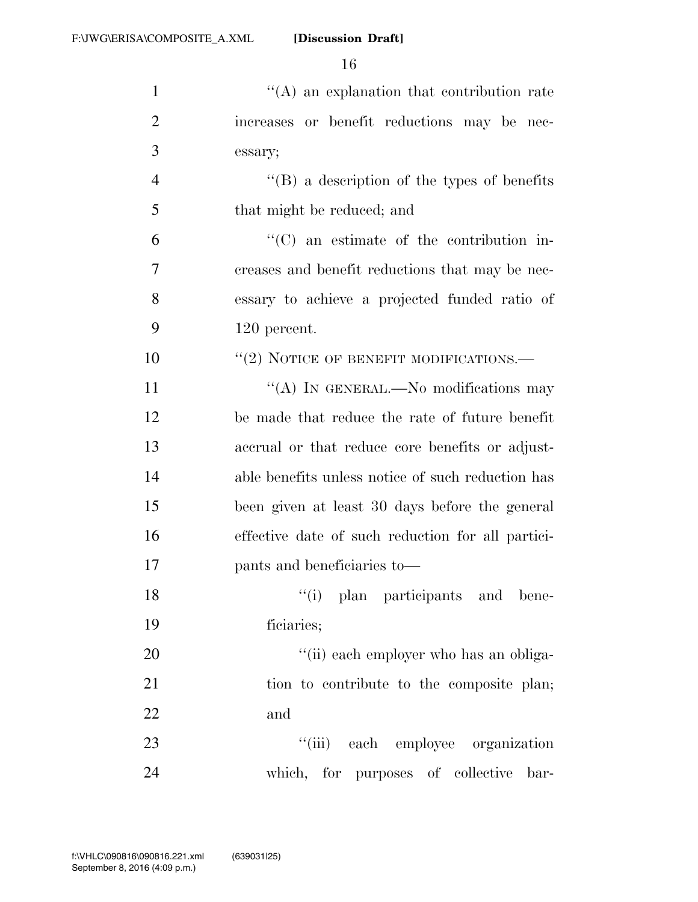| $\mathbf{1}$   | $\lq\lq$ an explanation that contribution rate      |
|----------------|-----------------------------------------------------|
| $\overline{2}$ | increases or benefit reductions may be nec-         |
| 3              | essary;                                             |
| 4              | $\lq\lq (B)$ a description of the types of benefits |
| 5              | that might be reduced; and                          |
| 6              | $\lq\lq$ (C) an estimate of the contribution in-    |
| 7              | creases and benefit reductions that may be nec-     |
| 8              | essary to achieve a projected funded ratio of       |
| 9              | 120 percent.                                        |
| 10             | $``(2)$ NOTICE OF BENEFIT MODIFICATIONS.—           |
| 11             | "(A) IN GENERAL.—No modifications may               |
| 12             | be made that reduce the rate of future benefit      |
| 13             | accrual or that reduce core benefits or adjust-     |
| 14             | able benefits unless notice of such reduction has   |
| 15             | been given at least 30 days before the general      |
| 16             | effective date of such reduction for all partici-   |
| 17             | pants and beneficiaries to—                         |
| 18             | "(i) plan participants and bene-                    |
| 19             | ficiaries;                                          |
| 20             | "(ii) each employer who has an obliga-              |
| 21             | tion to contribute to the composite plan;           |
| 22             | and                                                 |
| 23             | "(iii) each employee organization                   |
| 24             | which, for purposes of collective bar-              |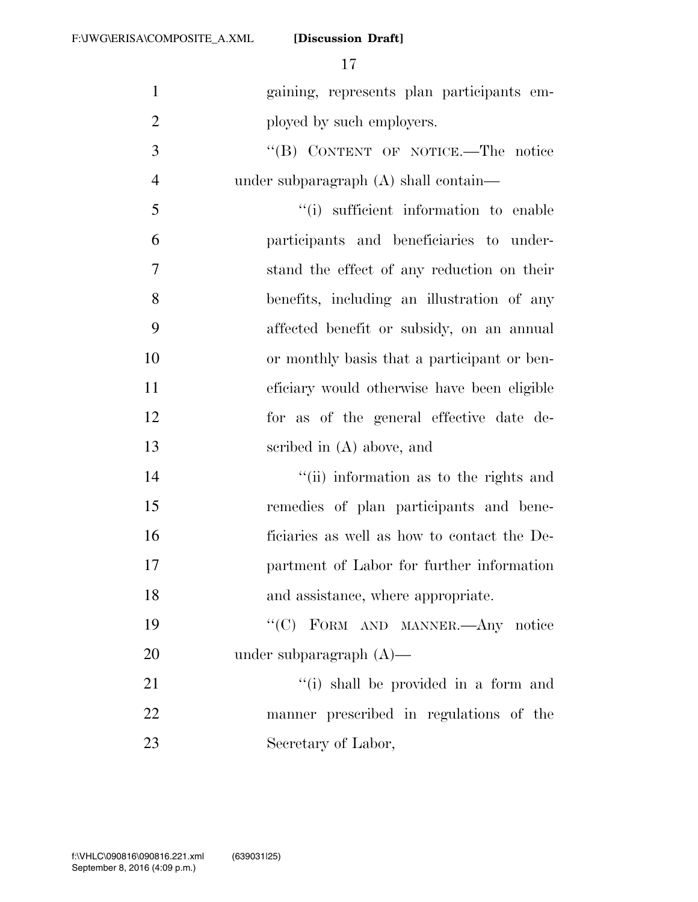| $\mathbf{1}$   | gaining, represents plan participants em-   |
|----------------|---------------------------------------------|
| $\overline{2}$ | ployed by such employers.                   |
| 3              | "(B) CONTENT OF NOTICE.—The notice          |
| $\overline{4}$ | under subparagraph (A) shall contain—       |
| 5              | "(i) sufficient information to enable       |
| 6              | participants and beneficiaries to under-    |
| $\tau$         | stand the effect of any reduction on their  |
| 8              | benefits, including an illustration of any  |
| 9              | affected benefit or subsidy, on an annual   |
| 10             | or monthly basis that a participant or ben- |
| 11             | eficiary would otherwise have been eligible |
| 12             | for as of the general effective date de-    |
| 13             | scribed in $(A)$ above, and                 |
| 14             | "(ii) information as to the rights and      |
| 15             | remedies of plan participants and bene-     |
| 16             | ficiaries as well as how to contact the De- |
| 17             | partment of Labor for further information   |
| 18             | and assistance, where appropriate.          |
| 19             | "(C) FORM AND MANNER.—Any notice            |
| 20             | under subparagraph $(A)$ —                  |
| 21             | "(i) shall be provided in a form and        |
| 22             | manner prescribed in regulations of the     |
| 23             | Secretary of Labor,                         |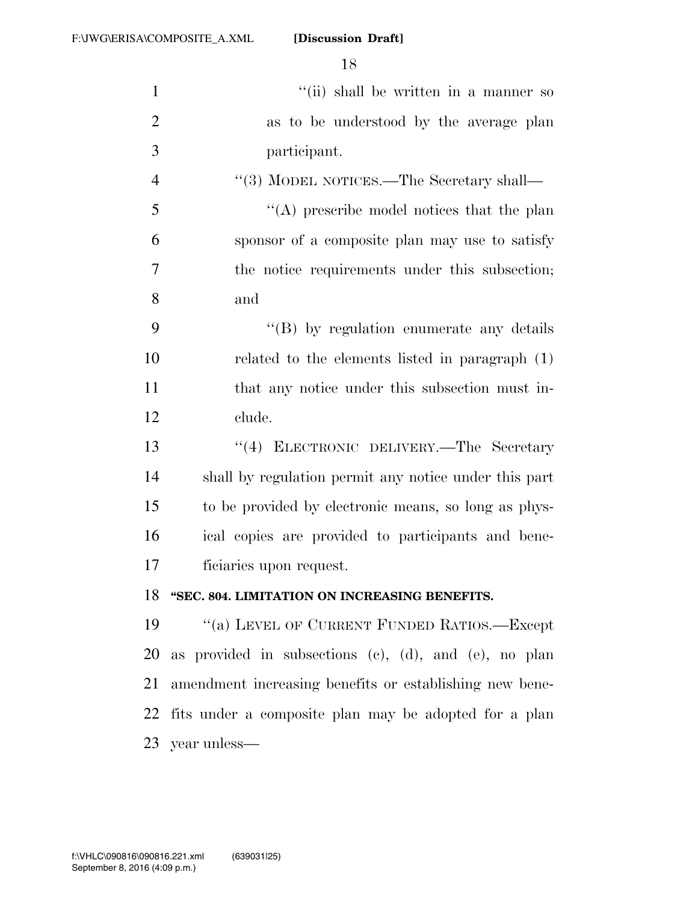| $\mathbf{1}$   | "(ii) shall be written in a manner so                   |
|----------------|---------------------------------------------------------|
| $\overline{2}$ | as to be understood by the average plan                 |
| 3              | participant.                                            |
| $\overline{4}$ | "(3) MODEL NOTICES.—The Secretary shall—                |
| 5              | "(A) prescribe model notices that the plan              |
| 6              | sponsor of a composite plan may use to satisfy          |
| 7              | the notice requirements under this subsection;          |
| 8              | and                                                     |
| 9              | "(B) by regulation enumerate any details                |
| 10             | related to the elements listed in paragraph $(1)$       |
| 11             | that any notice under this subsection must in-          |
| 12             | clude.                                                  |
| 13             | "(4) ELECTRONIC DELIVERY.-The Secretary                 |
| 14             | shall by regulation permit any notice under this part   |
| 15             | to be provided by electronic means, so long as phys-    |
| 16             | ical copies are provided to participants and bene-      |
| 17             | ficiaries upon request.                                 |
| 18             | "SEC. 804. LIMITATION ON INCREASING BENEFITS.           |
| 19             | $\lq\lq(a)$ LEVEL OF CURRENT FUNDED RATIOS.—Except      |
| 20             | as provided in subsections (c), (d), and (e), no plan   |
| 21             | amendment increasing benefits or establishing new bene- |
| 22             | fits under a composite plan may be adopted for a plan   |
|                | 23 year unless—                                         |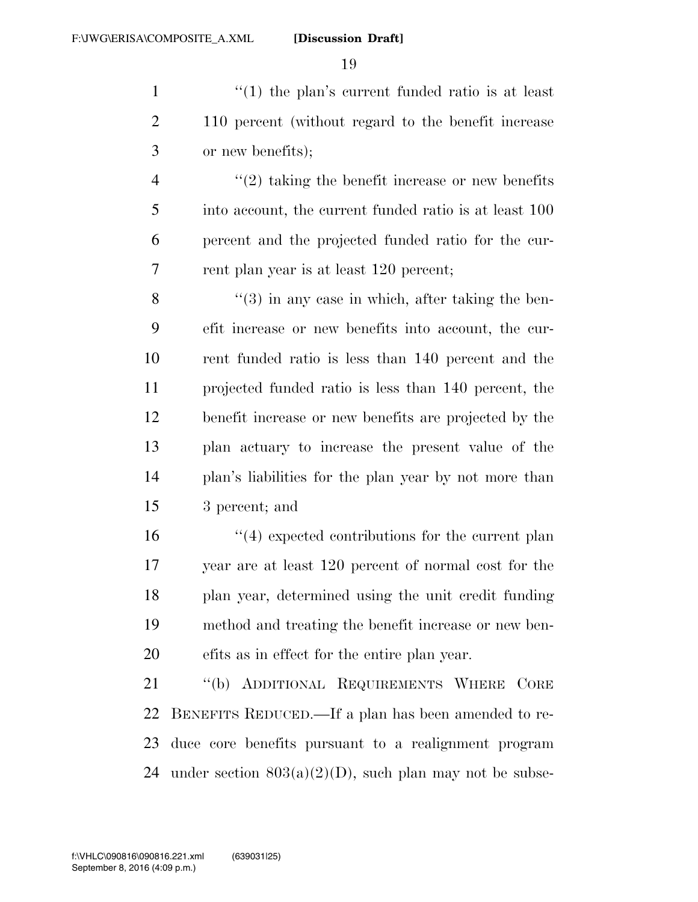1  $\frac{1}{1}$  the plan's current funded ratio is at least 110 percent (without regard to the benefit increase or new benefits);

 ''(2) taking the benefit increase or new benefits into account, the current funded ratio is at least 100 percent and the projected funded ratio for the cur-rent plan year is at least 120 percent;

8 ''(3) in any case in which, after taking the ben- efit increase or new benefits into account, the cur- rent funded ratio is less than 140 percent and the projected funded ratio is less than 140 percent, the benefit increase or new benefits are projected by the plan actuary to increase the present value of the plan's liabilities for the plan year by not more than 3 percent; and

 $\frac{1}{4}$  expected contributions for the current plan year are at least 120 percent of normal cost for the plan year, determined using the unit credit funding method and treating the benefit increase or new ben-efits as in effect for the entire plan year.

 ''(b) ADDITIONAL REQUIREMENTS WHERE CORE BENEFITS REDUCED.—If a plan has been amended to re- duce core benefits pursuant to a realignment program 24 under section  $803(a)(2)(D)$ , such plan may not be subse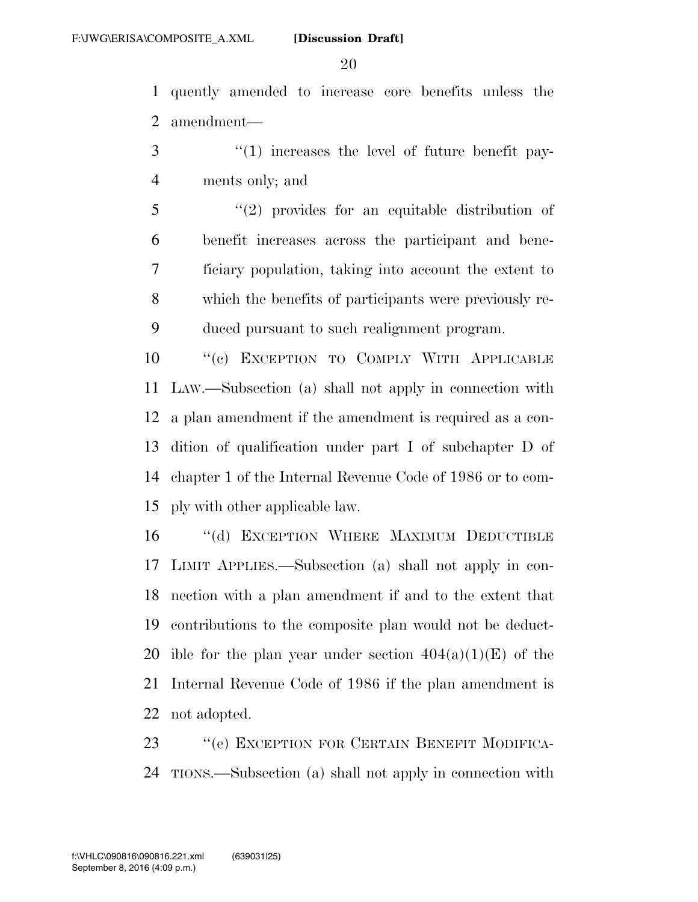quently amended to increase core benefits unless the amendment—

- 3 "(1) increases the level of future benefit pay-ments only; and
- ''(2) provides for an equitable distribution of benefit increases across the participant and bene- ficiary population, taking into account the extent to which the benefits of participants were previously re-duced pursuant to such realignment program.

 ''(c) EXCEPTION TO COMPLY WITH APPLICABLE LAW.—Subsection (a) shall not apply in connection with a plan amendment if the amendment is required as a con- dition of qualification under part I of subchapter D of chapter 1 of the Internal Revenue Code of 1986 or to com-ply with other applicable law.

16 "(d) EXCEPTION WHERE MAXIMUM DEDUCTIBLE LIMIT APPLIES.—Subsection (a) shall not apply in con- nection with a plan amendment if and to the extent that contributions to the composite plan would not be deduct-20 ible for the plan year under section  $404(a)(1)(E)$  of the Internal Revenue Code of 1986 if the plan amendment is not adopted.

 ''(e) EXCEPTION FOR CERTAIN BENEFIT MODIFICA-TIONS.—Subsection (a) shall not apply in connection with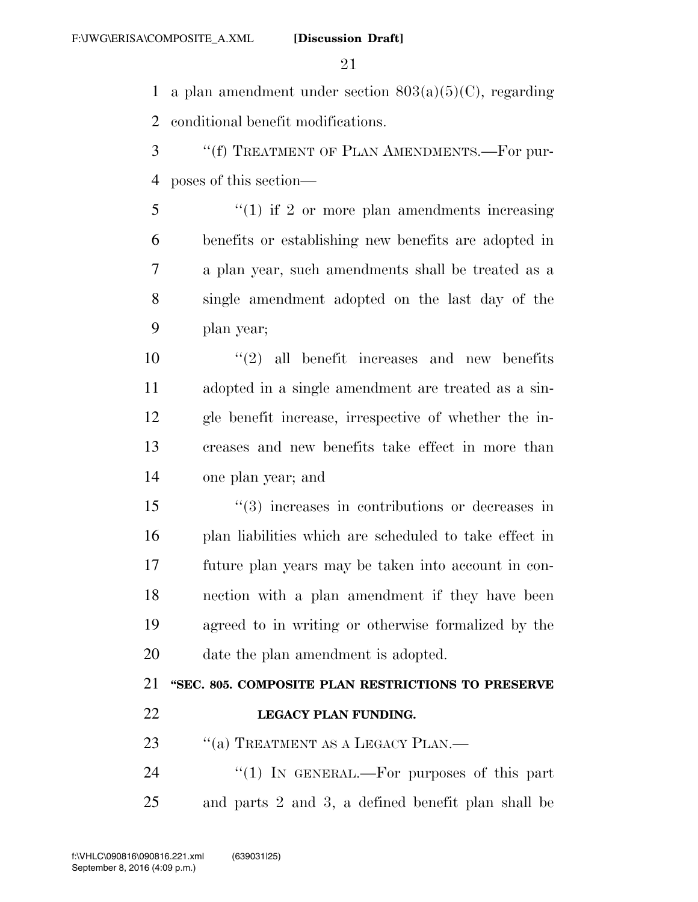1 a plan amendment under section  $803(a)(5)(C)$ , regarding conditional benefit modifications.

- ''(f) TREATMENT OF PLAN AMENDMENTS.—For pur-poses of this section—
- ''(1) if 2 or more plan amendments increasing benefits or establishing new benefits are adopted in a plan year, such amendments shall be treated as a single amendment adopted on the last day of the plan year;

 $(2)$  all benefit increases and new benefits adopted in a single amendment are treated as a sin- gle benefit increase, irrespective of whether the in- creases and new benefits take effect in more than one plan year; and

 ''(3) increases in contributions or decreases in plan liabilities which are scheduled to take effect in future plan years may be taken into account in con- nection with a plan amendment if they have been agreed to in writing or otherwise formalized by the date the plan amendment is adopted.

## **''SEC. 805. COMPOSITE PLAN RESTRICTIONS TO PRESERVE LEGACY PLAN FUNDING.**

23 "(a) TREATMENT AS A LEGACY PLAN.—

24 "(1) IN GENERAL.—For purposes of this part and parts 2 and 3, a defined benefit plan shall be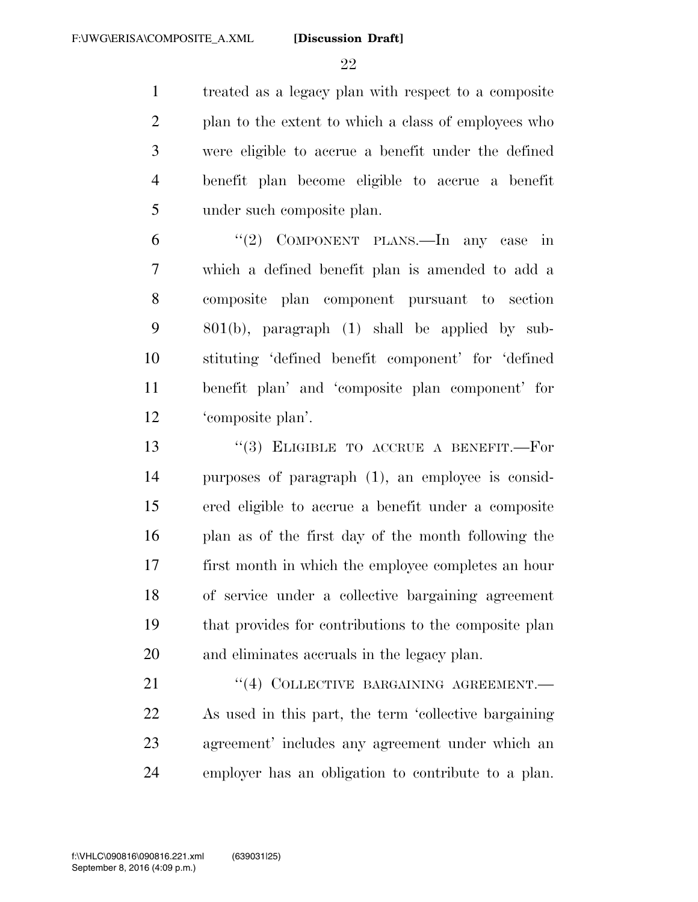treated as a legacy plan with respect to a composite plan to the extent to which a class of employees who were eligible to accrue a benefit under the defined benefit plan become eligible to accrue a benefit under such composite plan.

 ''(2) COMPONENT PLANS.—In any case in which a defined benefit plan is amended to add a composite plan component pursuant to section 801(b), paragraph (1) shall be applied by sub- stituting 'defined benefit component' for 'defined benefit plan' and 'composite plan component' for 'composite plan'.

13 "(3) ELIGIBLE TO ACCRUE A BENEFIT.—For purposes of paragraph (1), an employee is consid- ered eligible to accrue a benefit under a composite plan as of the first day of the month following the first month in which the employee completes an hour of service under a collective bargaining agreement that provides for contributions to the composite plan and eliminates accruals in the legacy plan.

21 "(4) COLLECTIVE BARGAINING AGREEMENT. As used in this part, the term 'collective bargaining agreement' includes any agreement under which an employer has an obligation to contribute to a plan.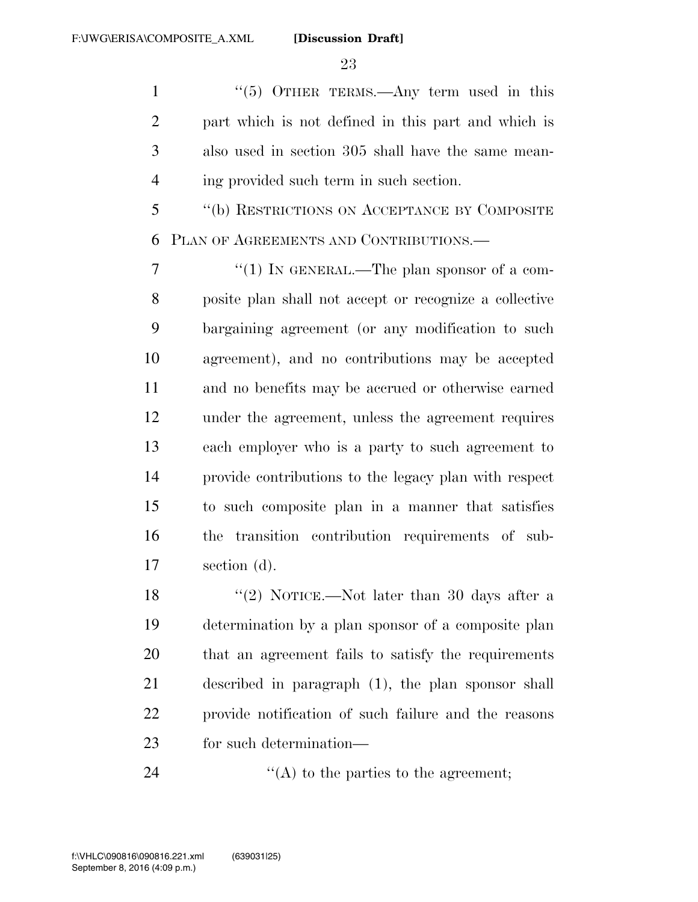1 "(5) OTHER TERMS.—Any term used in this part which is not defined in this part and which is also used in section 305 shall have the same mean-ing provided such term in such section.

 ''(b) RESTRICTIONS ON ACCEPTANCE BY COMPOSITE PLAN OF AGREEMENTS AND CONTRIBUTIONS.—

 $\frac{7}{7}$  ''(1) In GENERAL.—The plan sponsor of a com- posite plan shall not accept or recognize a collective bargaining agreement (or any modification to such agreement), and no contributions may be accepted and no benefits may be accrued or otherwise earned under the agreement, unless the agreement requires each employer who is a party to such agreement to provide contributions to the legacy plan with respect to such composite plan in a manner that satisfies the transition contribution requirements of sub-section (d).

18 ''(2) NOTICE.—Not later than 30 days after a determination by a plan sponsor of a composite plan that an agreement fails to satisfy the requirements described in paragraph (1), the plan sponsor shall provide notification of such failure and the reasons for such determination—

24  $\langle (A) \rangle$  to the parties to the agreement;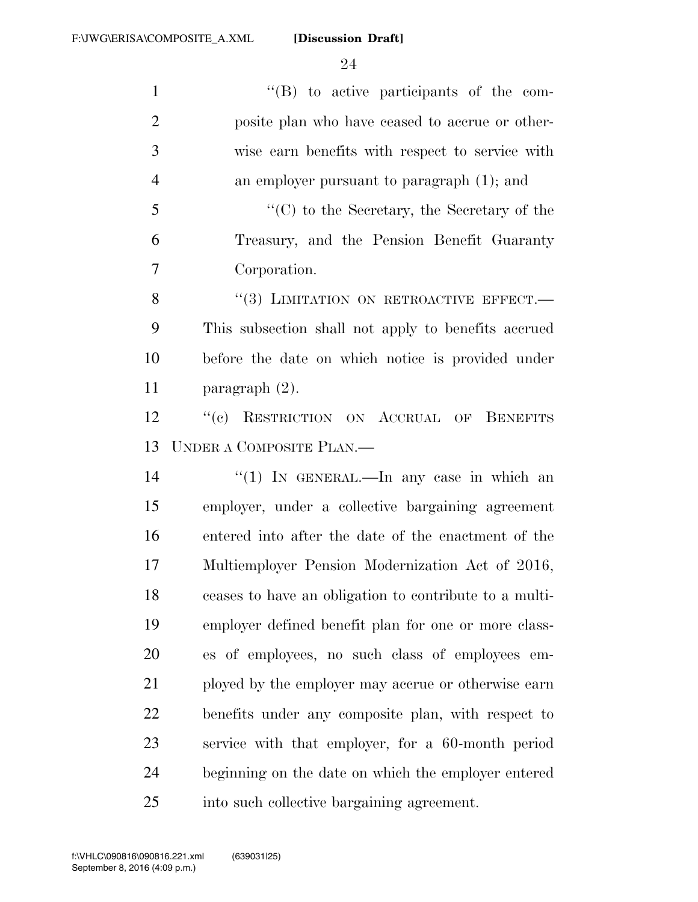''(B) to active participants of the com- posite plan who have ceased to accrue or other- wise earn benefits with respect to service with an employer pursuant to paragraph (1); and ''(C) to the Secretary, the Secretary of the Treasury, and the Pension Benefit Guaranty

Corporation.

8 "(3) LIMITATION ON RETROACTIVE EFFECT.— This subsection shall not apply to benefits accrued before the date on which notice is provided under paragraph (2).

 ''(c) RESTRICTION ON ACCRUAL OF BENEFITS UNDER A COMPOSITE PLAN.—

14 ''(1) In GENERAL.—In any case in which an employer, under a collective bargaining agreement entered into after the date of the enactment of the Multiemployer Pension Modernization Act of 2016, ceases to have an obligation to contribute to a multi- employer defined benefit plan for one or more class- es of employees, no such class of employees em- ployed by the employer may accrue or otherwise earn benefits under any composite plan, with respect to service with that employer, for a 60-month period beginning on the date on which the employer entered into such collective bargaining agreement.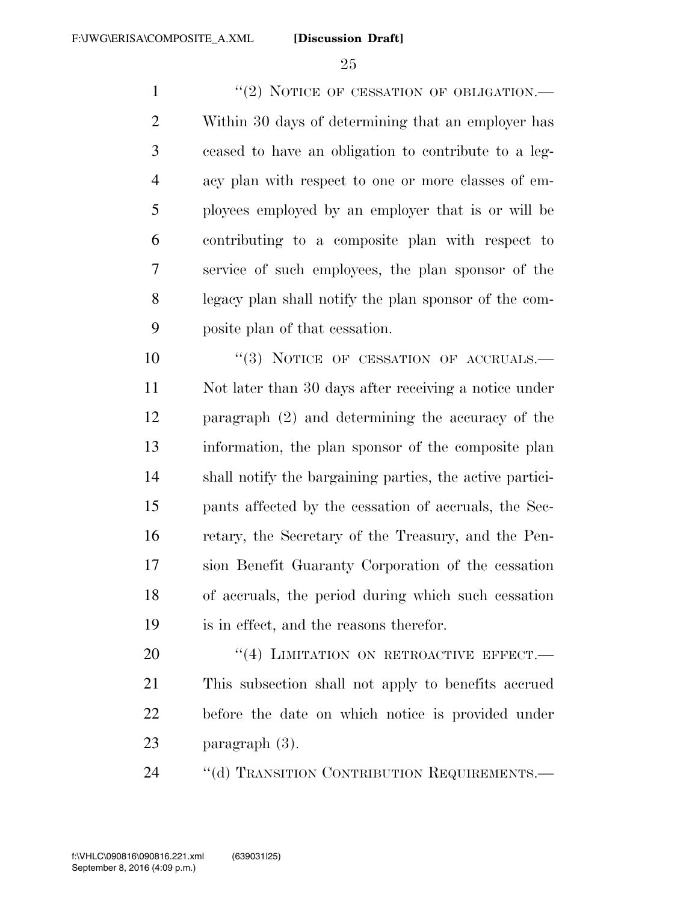1 "(2) NOTICE OF CESSATION OF OBLIGATION.— Within 30 days of determining that an employer has ceased to have an obligation to contribute to a leg- acy plan with respect to one or more classes of em- ployees employed by an employer that is or will be contributing to a composite plan with respect to service of such employees, the plan sponsor of the legacy plan shall notify the plan sponsor of the com-posite plan of that cessation.

 $(3)$  NOTICE OF CESSATION OF ACCRUALS. Not later than 30 days after receiving a notice under paragraph (2) and determining the accuracy of the information, the plan sponsor of the composite plan shall notify the bargaining parties, the active partici- pants affected by the cessation of accruals, the Sec- retary, the Secretary of the Treasury, and the Pen- sion Benefit Guaranty Corporation of the cessation of accruals, the period during which such cessation is in effect, and the reasons therefor.

20 "(4) LIMITATION ON RETROACTIVE EFFECT.— This subsection shall not apply to benefits accrued before the date on which notice is provided under paragraph (3).

24 "(d) TRANSITION CONTRIBUTION REQUIREMENTS.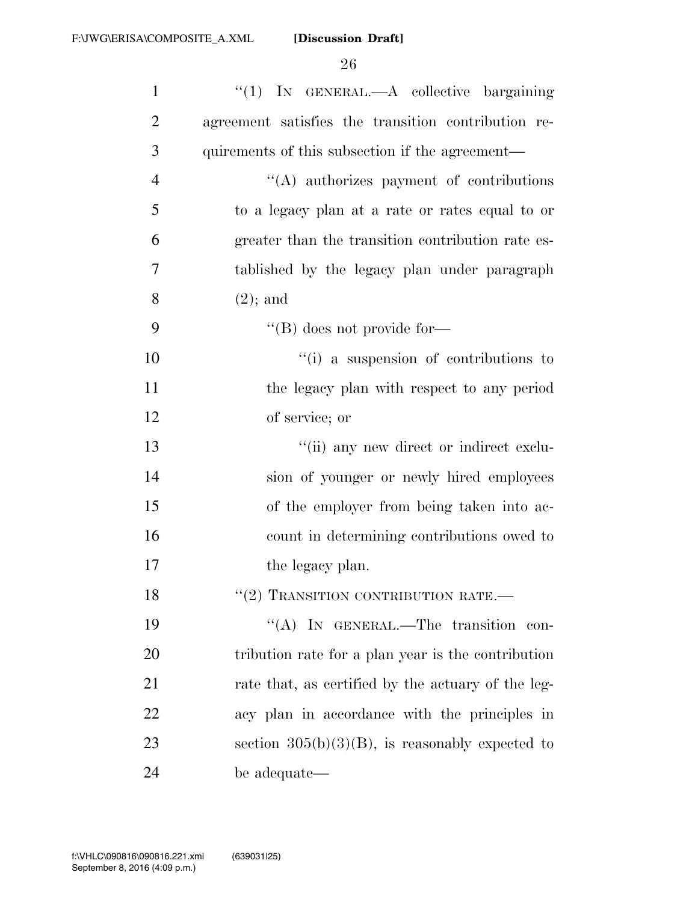| $\mathbf{1}$   | "(1) IN GENERAL.—A collective bargaining            |
|----------------|-----------------------------------------------------|
| $\overline{2}$ | agreement satisfies the transition contribution re- |
| 3              | quirements of this subsection if the agreement—     |
| $\overline{4}$ | $\lq\lq$ authorizes payment of contributions        |
| 5              | to a legacy plan at a rate or rates equal to or     |
| 6              | greater than the transition contribution rate es-   |
| 7              | tablished by the legacy plan under paragraph        |
| 8              | $(2)$ ; and                                         |
| 9              | $\lq\lq$ (B) does not provide for-                  |
| 10             | "(i) a suspension of contributions to               |
| 11             | the legacy plan with respect to any period          |
| 12             | of service; or                                      |
| 13             | "(ii) any new direct or indirect exclu-             |
| 14             | sion of younger or newly hired employees            |
| 15             | of the employer from being taken into ac-           |
| 16             | count in determining contributions owed to          |
| 17             | the legacy plan.                                    |
| 18             | $``(2)$ TRANSITION CONTRIBUTION RATE.               |
| 19             | "(A) IN GENERAL.—The transition<br>con-             |
| 20             | tribution rate for a plan year is the contribution  |
| 21             | rate that, as certified by the actuary of the leg-  |
| 22             | acy plan in accordance with the principles in       |
| 23             | section $305(b)(3)(B)$ , is reasonably expected to  |
| 24             | be adequate—                                        |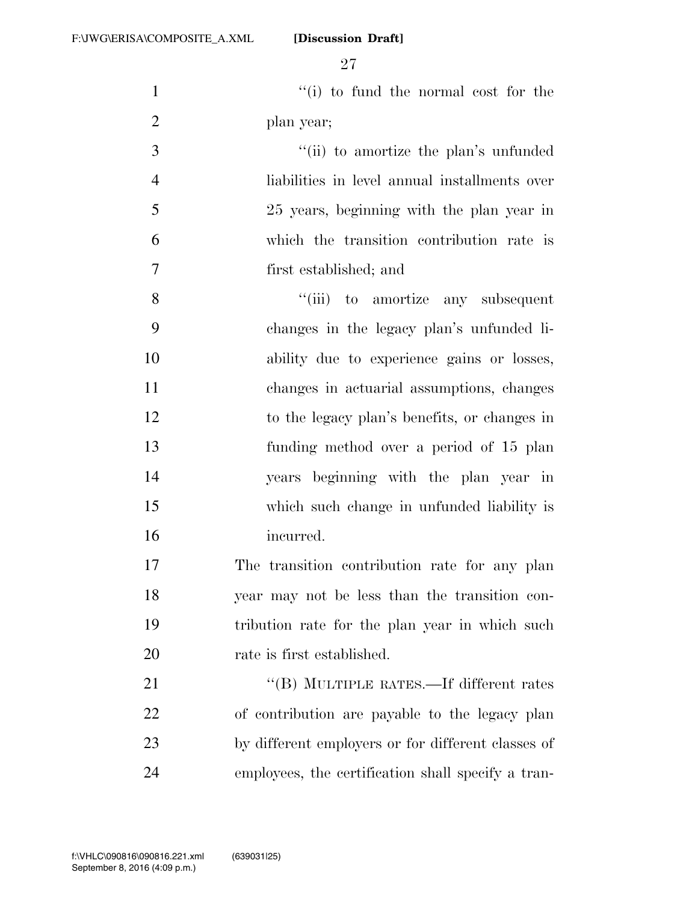1 ''(i) to fund the normal cost for the plan year;

 $\frac{1}{10}$  to amortize the plan's unfunded liabilities in level annual installments over 25 years, beginning with the plan year in which the transition contribution rate is first established; and

8 "(iii) to amortize any subsequent changes in the legacy plan's unfunded li- ability due to experience gains or losses, changes in actuarial assumptions, changes to the legacy plan's benefits, or changes in funding method over a period of 15 plan years beginning with the plan year in which such change in unfunded liability is incurred.

 The transition contribution rate for any plan year may not be less than the transition con- tribution rate for the plan year in which such 20 rate is first established.

21 "'(B) MULTIPLE RATES.—If different rates of contribution are payable to the legacy plan by different employers or for different classes of employees, the certification shall specify a tran-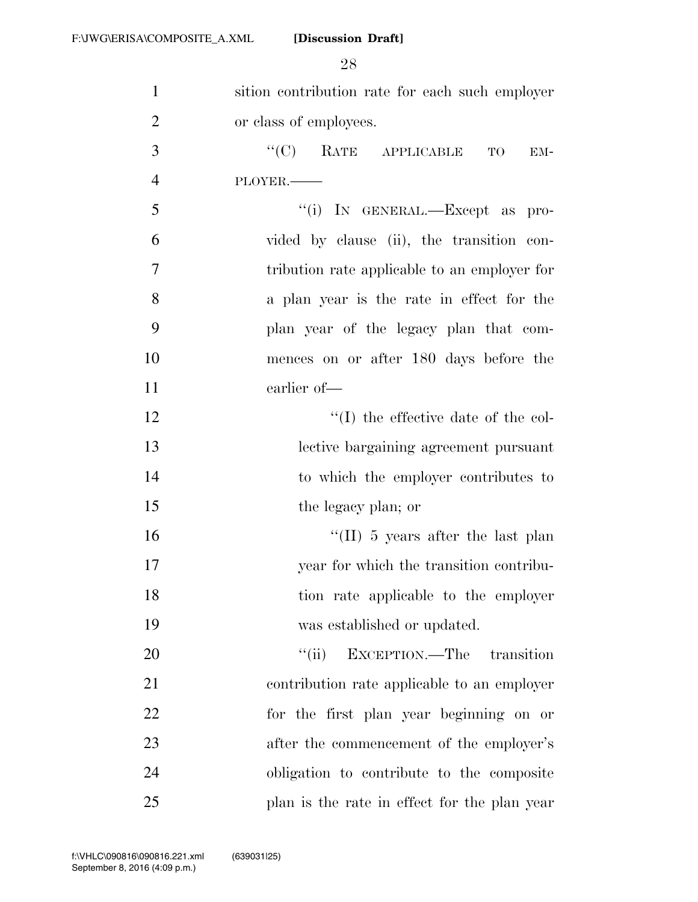| $\mathbf{1}$   | sition contribution rate for each such employer |
|----------------|-------------------------------------------------|
| $\overline{2}$ | or class of employees.                          |
| 3              | $\lq\lq(C)$ RATE APPLICABLE<br>TO<br>EM-        |
| $\overline{4}$ | PLOYER.                                         |
| 5              | "(i) IN GENERAL.—Except as pro-                 |
| 6              | vided by clause (ii), the transition con-       |
| 7              | tribution rate applicable to an employer for    |
| 8              | a plan year is the rate in effect for the       |
| 9              | plan year of the legacy plan that com-          |
| 10             | mences on or after 180 days before the          |
| 11             | earlier of-                                     |
| 12             | $\lq\lq$ (I) the effective date of the col-     |
| 13             | lective bargaining agreement pursuant           |
| 14             | to which the employer contributes to            |
| 15             | the legacy plan; or                             |
| 16             | "(II) 5 years after the last plan               |
| 17             | year for which the transition contribu-         |
| 18             | tion rate applicable to the employer            |
| 19             | was established or updated.                     |
| 20             | EXCEPTION.—The transition<br>``(ii)             |
| 21             | contribution rate applicable to an employer     |
| 22             | for the first plan year beginning on or         |
| 23             | after the commencement of the employer's        |
| 24             | obligation to contribute to the composite       |
| 25             | plan is the rate in effect for the plan year    |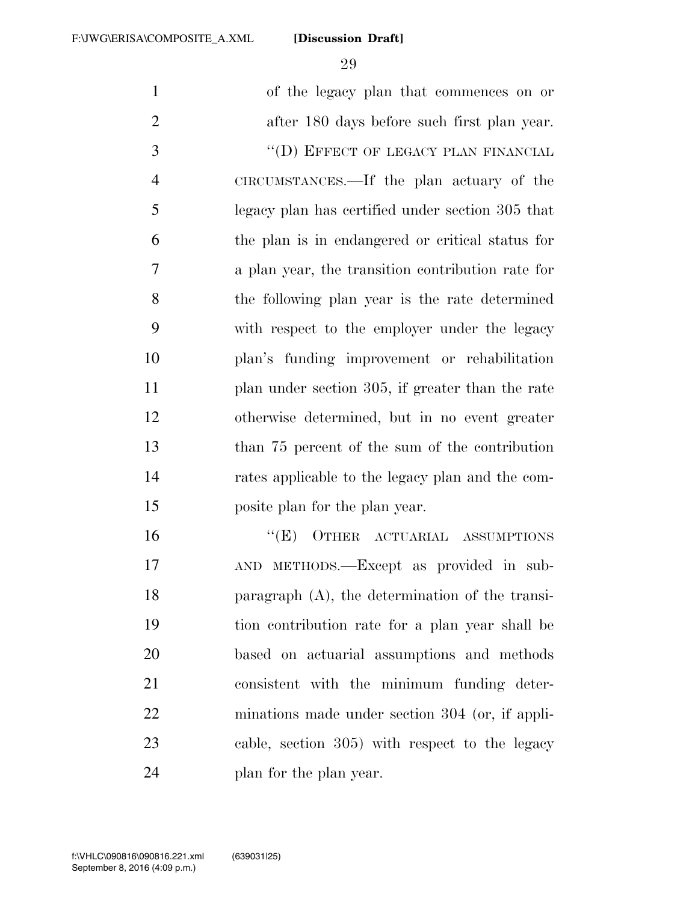of the legacy plan that commences on or after 180 days before such first plan year. 3 "(D) EFFECT OF LEGACY PLAN FINANCIAL CIRCUMSTANCES.—If the plan actuary of the legacy plan has certified under section 305 that the plan is in endangered or critical status for a plan year, the transition contribution rate for the following plan year is the rate determined with respect to the employer under the legacy plan's funding improvement or rehabilitation plan under section 305, if greater than the rate otherwise determined, but in no event greater than 75 percent of the sum of the contribution rates applicable to the legacy plan and the com- posite plan for the plan year. 16 "(E) OTHER ACTUARIAL ASSUMPTIONS AND METHODS.—Except as provided in sub- paragraph (A), the determination of the transi- tion contribution rate for a plan year shall be based on actuarial assumptions and methods consistent with the minimum funding deter- minations made under section 304 (or, if appli-cable, section 305) with respect to the legacy

plan for the plan year.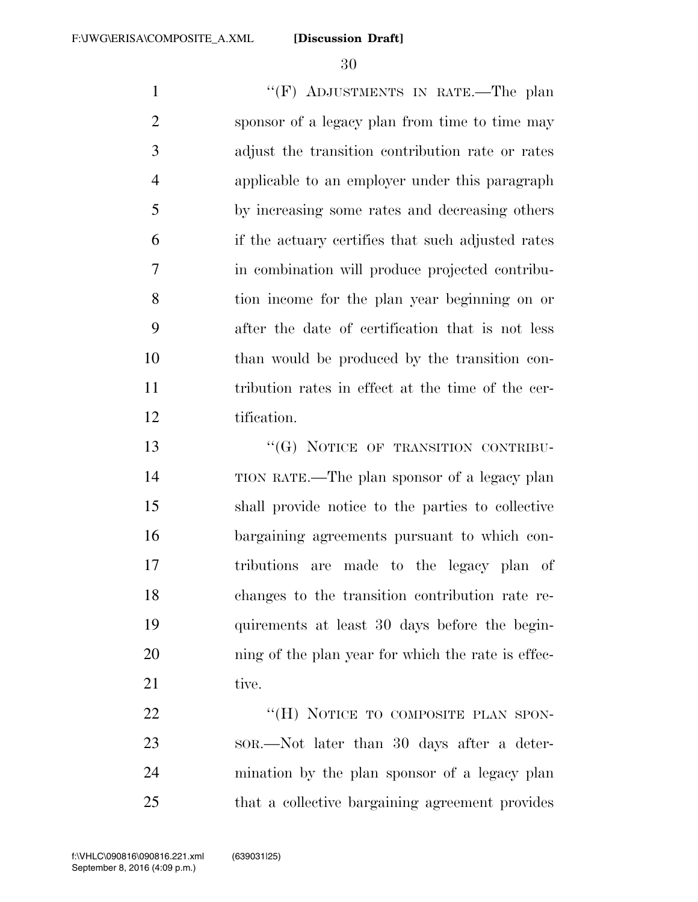1 "'(F) ADJUSTMENTS IN RATE.—The plan sponsor of a legacy plan from time to time may adjust the transition contribution rate or rates applicable to an employer under this paragraph by increasing some rates and decreasing others if the actuary certifies that such adjusted rates in combination will produce projected contribu- tion income for the plan year beginning on or after the date of certification that is not less than would be produced by the transition con- tribution rates in effect at the time of the cer-tification.

13 "(G) NOTICE OF TRANSITION CONTRIBU- TION RATE.—The plan sponsor of a legacy plan shall provide notice to the parties to collective bargaining agreements pursuant to which con- tributions are made to the legacy plan of changes to the transition contribution rate re- quirements at least 30 days before the begin-20 ning of the plan year for which the rate is effec-21 tive.

22 "(H) NOTICE TO COMPOSITE PLAN SPON- SOR.—Not later than 30 days after a deter- mination by the plan sponsor of a legacy plan that a collective bargaining agreement provides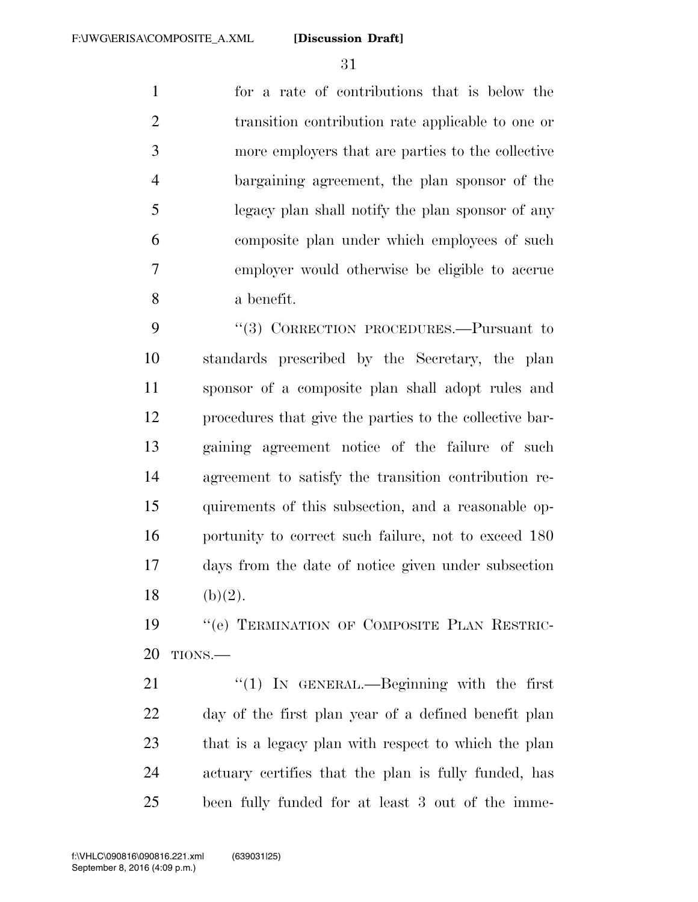for a rate of contributions that is below the transition contribution rate applicable to one or more employers that are parties to the collective bargaining agreement, the plan sponsor of the legacy plan shall notify the plan sponsor of any composite plan under which employees of such employer would otherwise be eligible to accrue a benefit.

9 "(3) CORRECTION PROCEDURES.—Pursuant to standards prescribed by the Secretary, the plan sponsor of a composite plan shall adopt rules and procedures that give the parties to the collective bar- gaining agreement notice of the failure of such agreement to satisfy the transition contribution re- quirements of this subsection, and a reasonable op-16 portunity to correct such failure, not to exceed 180 days from the date of notice given under subsection 18 (b)(2).

19 "'(e) TERMINATION OF COMPOSITE PLAN RESTRIC-TIONS.—

21 "(1) In GENERAL.—Beginning with the first day of the first plan year of a defined benefit plan that is a legacy plan with respect to which the plan actuary certifies that the plan is fully funded, has been fully funded for at least 3 out of the imme-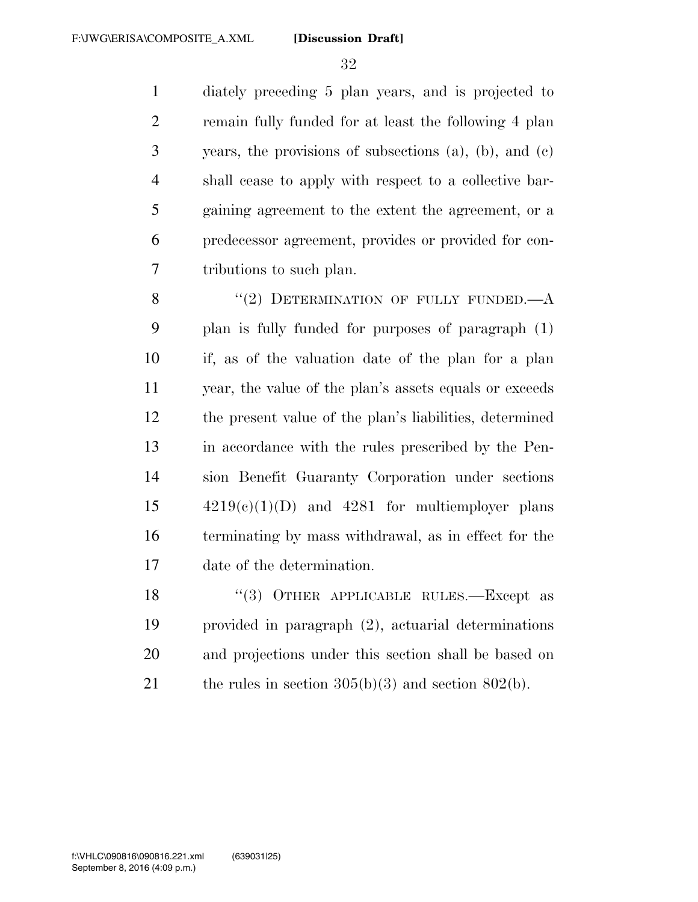diately preceding 5 plan years, and is projected to remain fully funded for at least the following 4 plan years, the provisions of subsections (a), (b), and (c) shall cease to apply with respect to a collective bar- gaining agreement to the extent the agreement, or a predecessor agreement, provides or provided for con-tributions to such plan.

8 "(2) DETERMINATION OF FULLY FUNDED.—A plan is fully funded for purposes of paragraph (1) if, as of the valuation date of the plan for a plan year, the value of the plan's assets equals or exceeds the present value of the plan's liabilities, determined in accordance with the rules prescribed by the Pen- sion Benefit Guaranty Corporation under sections  $15 \qquad \qquad 4219(c)(1)(D)$  and  $4281$  for multiemployer plans terminating by mass withdrawal, as in effect for the date of the determination.

18 "(3) OTHER APPLICABLE RULES.—Except as provided in paragraph (2), actuarial determinations and projections under this section shall be based on 21 the rules in section  $305(b)(3)$  and section  $802(b)$ .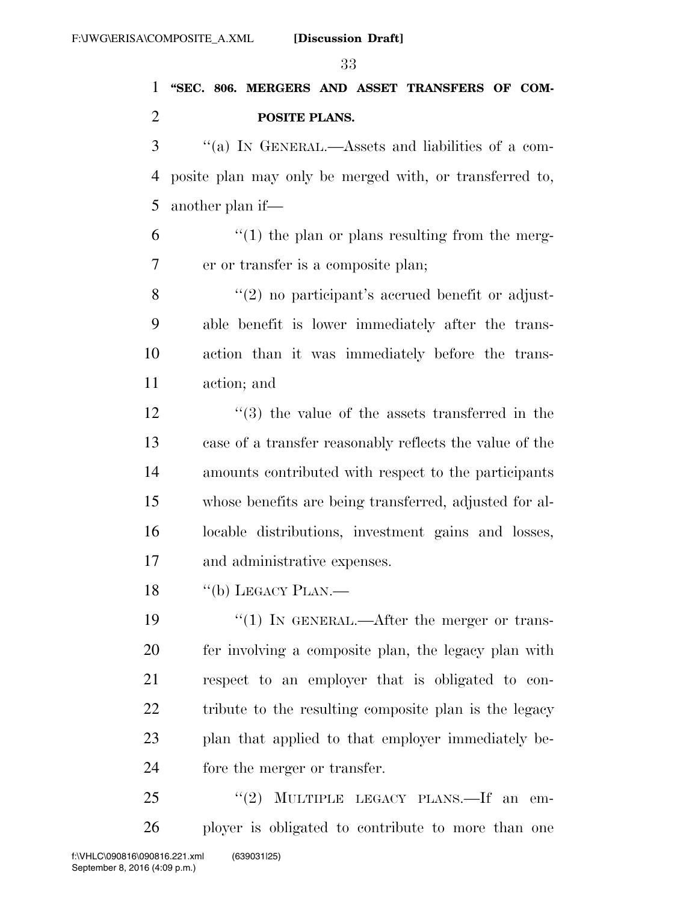## **''SEC. 806. MERGERS AND ASSET TRANSFERS OF COM-POSITE PLANS.**

 ''(a) IN GENERAL.—Assets and liabilities of a com- posite plan may only be merged with, or transferred to, another plan if—

 $(1)$  the plan or plans resulting from the merg-er or transfer is a composite plan;

8 "(2) no participant's accrued benefit or adjust- able benefit is lower immediately after the trans- action than it was immediately before the trans-action; and

 ''(3) the value of the assets transferred in the case of a transfer reasonably reflects the value of the amounts contributed with respect to the participants whose benefits are being transferred, adjusted for al- locable distributions, investment gains and losses, and administrative expenses.

"(b) LEGACY PLAN.—

 $\frac{1}{2}$  (1) In GENERAL.—After the merger or trans- fer involving a composite plan, the legacy plan with respect to an employer that is obligated to con-22 tribute to the resulting composite plan is the legacy plan that applied to that employer immediately be-fore the merger or transfer.

25 "(2) MULTIPLE LEGACY PLANS.—If an em-ployer is obligated to contribute to more than one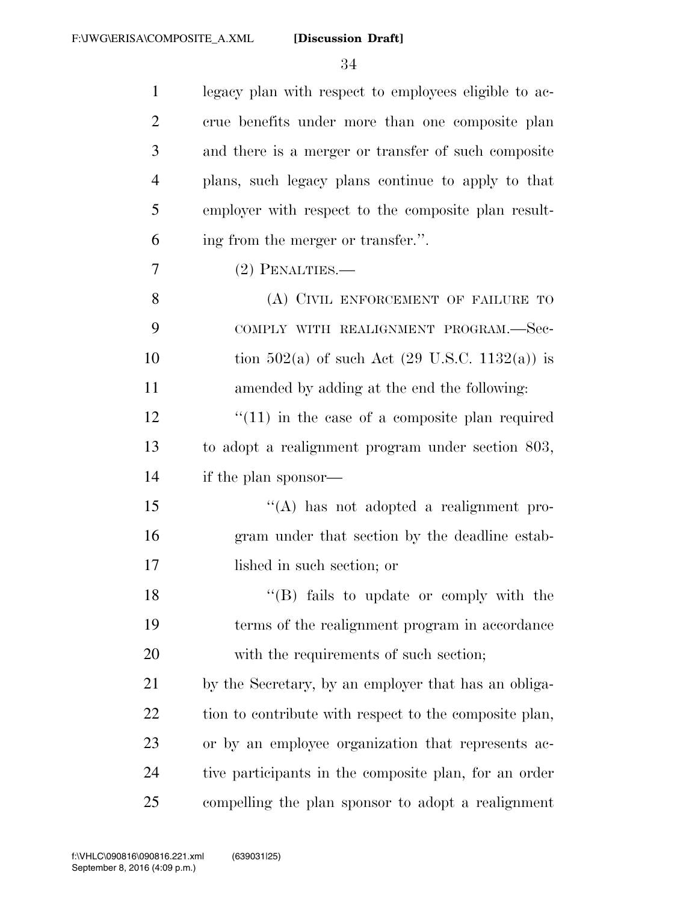| $\mathbf{1}$   | legacy plan with respect to employees eligible to ac-     |
|----------------|-----------------------------------------------------------|
| $\overline{2}$ | crue benefits under more than one composite plan          |
| 3              | and there is a merger or transfer of such composite       |
| 4              | plans, such legacy plans continue to apply to that        |
| 5              | employer with respect to the composite plan result-       |
| 6              | ing from the merger or transfer.".                        |
| 7              | $(2)$ PENALTIES.—                                         |
| 8              | (A) CIVIL ENFORCEMENT OF FAILURE TO                       |
| 9              | COMPLY WITH REALIGNMENT PROGRAM.-Sec-                     |
| 10             | tion 502(a) of such Act $(29 \text{ U.S.C. } 1132(a))$ is |
| 11             | amended by adding at the end the following:               |
| 12             | $\lq(11)$ in the case of a composite plan required        |
| 13             | to adopt a realignment program under section 803,         |
| 14             | if the plan sponsor—                                      |
| 15             | $\lq\lq$ has not adopted a realignment pro-               |
| 16             | gram under that section by the deadline estab-            |
| 17             | lished in such section; or                                |
| 18             | "(B) fails to update or comply with the                   |
| 19             | terms of the realignment program in accordance            |
| 20             | with the requirements of such section;                    |
| 21             | by the Secretary, by an employer that has an obliga-      |
| 22             | tion to contribute with respect to the composite plan,    |
| 23             | or by an employee organization that represents ac-        |
| 24             | tive participants in the composite plan, for an order     |
| 25             | compelling the plan sponsor to adopt a realignment        |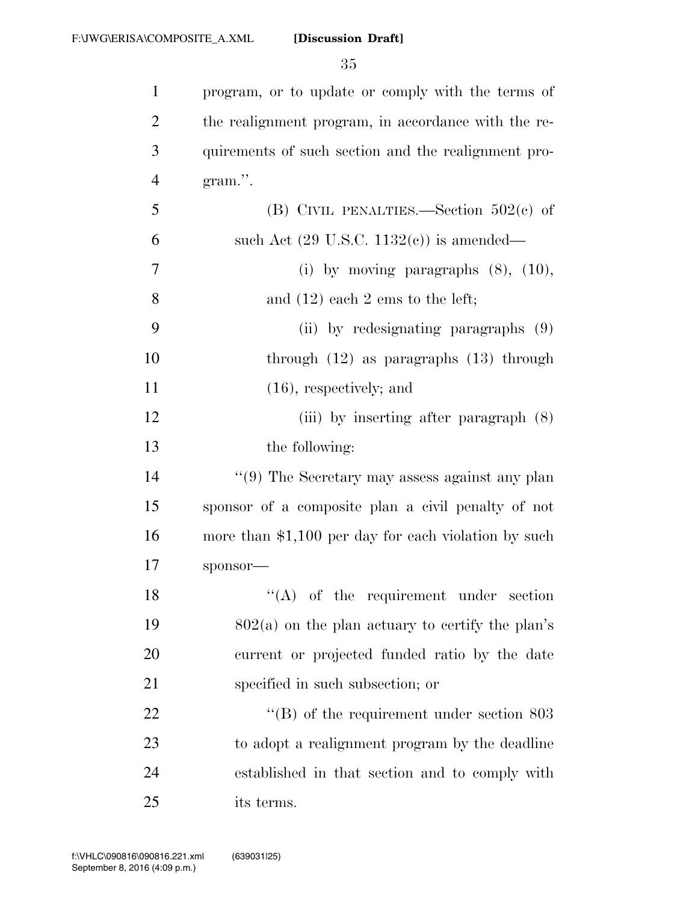| $\mathbf{1}$   | program, or to update or comply with the terms of     |
|----------------|-------------------------------------------------------|
| $\overline{2}$ | the realignment program, in accordance with the re-   |
| 3              | quirements of such section and the realignment pro-   |
| $\overline{4}$ | gram.".                                               |
| 5              | (B) CIVIL PENALTIES.—Section $502(e)$ of              |
| 6              | such Act $(29 \text{ U.S.C. } 1132(e))$ is amended—   |
| 7              | (i) by moving paragraphs $(8)$ , $(10)$ ,             |
| 8              | and $(12)$ each 2 ems to the left;                    |
| 9              | (ii) by redesignating paragraphs (9)                  |
| 10             | through $(12)$ as paragraphs $(13)$ through           |
| 11             | $(16)$ , respectively; and                            |
| 12             | (iii) by inserting after paragraph $(8)$              |
| 13             | the following:                                        |
| 14             | $``(9)$ The Secretary may assess against any plan     |
| 15             | sponsor of a composite plan a civil penalty of not    |
| 16             | more than $$1,100$ per day for each violation by such |
| 17             | sponsor-                                              |
| 18             | $\lq\lq$ of the requirement under section             |
| 19             | $802(a)$ on the plan actuary to certify the plan's    |
| <b>20</b>      | current or projected funded ratio by the date         |
| 21             | specified in such subsection; or                      |
| 22             | $\lq\lq$ of the requirement under section 803         |
| 23             | to adopt a realignment program by the deadline        |
| 24             | established in that section and to comply with        |
| 25             | its terms.                                            |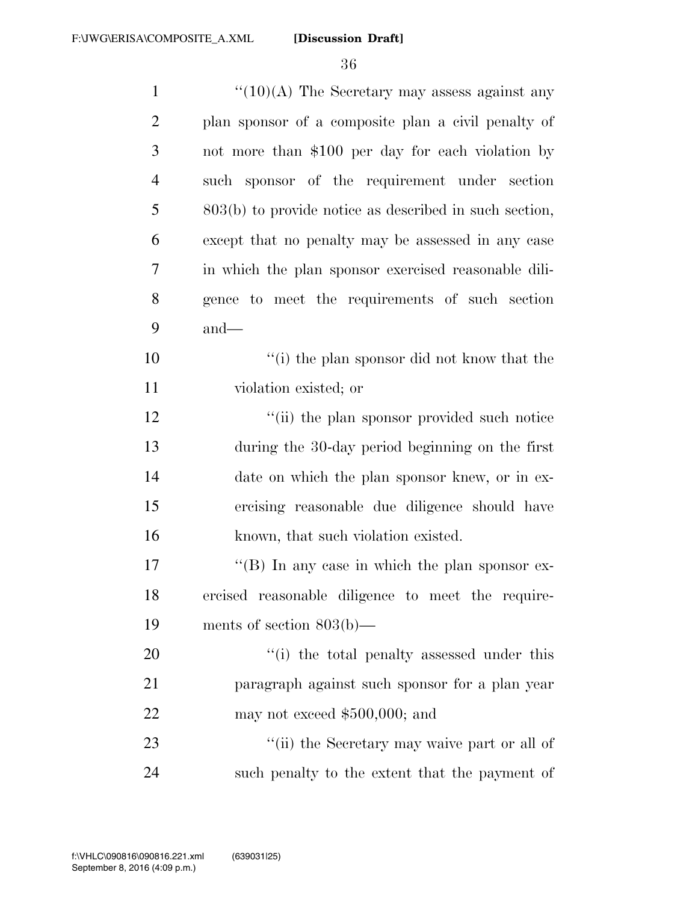| $\mathbf{1}$   | $\cdot\cdot(10)(A)$ The Secretary may assess against any |
|----------------|----------------------------------------------------------|
| $\overline{2}$ | plan sponsor of a composite plan a civil penalty of      |
| 3              | not more than \$100 per day for each violation by        |
| $\overline{4}$ | such sponsor of the requirement under section            |
| 5              | $803(b)$ to provide notice as described in such section, |
| 6              | except that no penalty may be assessed in any case       |
| 7              | in which the plan sponsor exercised reasonable dili-     |
| 8              | gence to meet the requirements of such section           |
| 9              | $and$ —                                                  |
| 10             | "(i) the plan sponsor did not know that the              |
| 11             | violation existed; or                                    |
| 12             | "(ii) the plan sponsor provided such notice              |
| 13             | during the 30-day period beginning on the first          |
| 14             | date on which the plan sponsor knew, or in ex-           |
| 15             | ercising reasonable due diligence should have            |
| 16             | known, that such violation existed.                      |
| 17             | "(B) In any case in which the plan sponsor ex-           |
| 18             | ercised reasonable diligence to meet the require-        |
| 19             | ments of section $803(b)$ —                              |
| 20             | "(i) the total penalty assessed under this               |
| 21             | paragraph against such sponsor for a plan year           |
| 22             | may not exceed $$500,000$ ; and                          |
| 23             | "(ii) the Secretary may waive part or all of             |
| 24             | such penalty to the extent that the payment of           |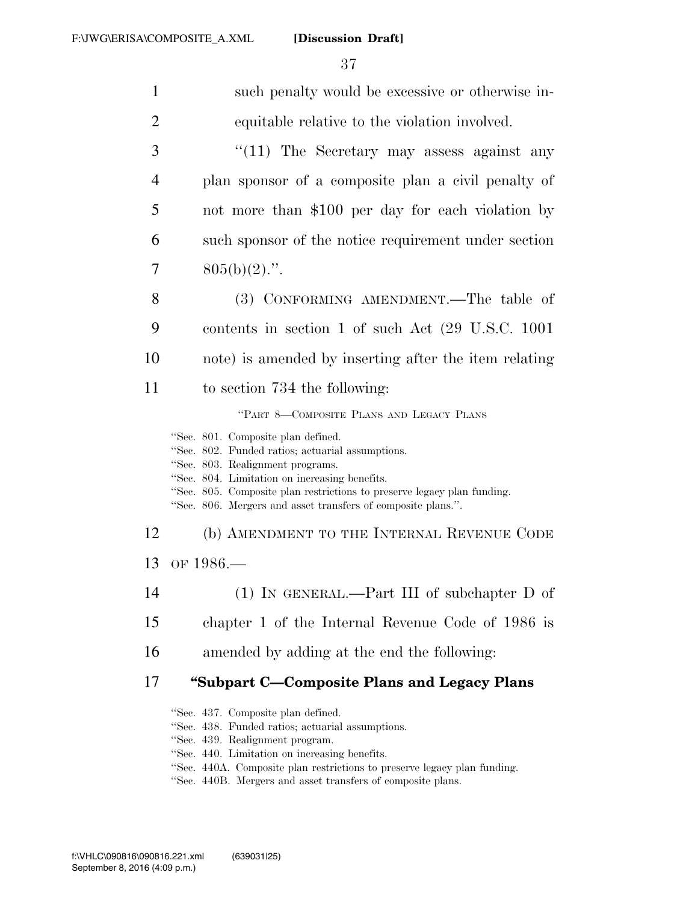37

| $\mathbf{1}$   | such penalty would be excessive or otherwise in-                                                                                                                                                                                                                                                                       |
|----------------|------------------------------------------------------------------------------------------------------------------------------------------------------------------------------------------------------------------------------------------------------------------------------------------------------------------------|
| $\overline{2}$ | equitable relative to the violation involved.                                                                                                                                                                                                                                                                          |
| 3              | " $(11)$ The Secretary may assess against any                                                                                                                                                                                                                                                                          |
| $\overline{4}$ | plan sponsor of a composite plan a civil penalty of                                                                                                                                                                                                                                                                    |
| 5              | not more than \$100 per day for each violation by                                                                                                                                                                                                                                                                      |
| 6              | such sponsor of the notice requirement under section                                                                                                                                                                                                                                                                   |
| 7              | $805(b)(2)$ .".                                                                                                                                                                                                                                                                                                        |
| 8              | (3) CONFORMING AMENDMENT.—The table of                                                                                                                                                                                                                                                                                 |
| 9              | contents in section 1 of such Act $(29 \text{ U.S.C. } 1001)$                                                                                                                                                                                                                                                          |
| 10             | note) is amended by inserting after the item relating                                                                                                                                                                                                                                                                  |
| 11             | to section 734 the following:                                                                                                                                                                                                                                                                                          |
|                | "PART 8-COMPOSITE PLANS AND LEGACY PLANS                                                                                                                                                                                                                                                                               |
|                | "Sec. 801. Composite plan defined.<br>"Sec. 802. Funded ratios; actuarial assumptions.<br>"Sec. 803. Realignment programs.<br>"Sec. 804. Limitation on increasing benefits.<br>"Sec. 805. Composite plan restrictions to preserve legacy plan funding.<br>"Sec. 806. Mergers and asset transfers of composite plans.". |
| 12             | (b) AMENDMENT TO THE INTERNAL REVENUE CODE                                                                                                                                                                                                                                                                             |
| 13             | OF $1986-$                                                                                                                                                                                                                                                                                                             |
| 14             | $(1)$ IN GENERAL.—Part III of subchapter D of                                                                                                                                                                                                                                                                          |
| 15             | chapter 1 of the Internal Revenue Code of 1986 is                                                                                                                                                                                                                                                                      |
| 16             | amended by adding at the end the following:                                                                                                                                                                                                                                                                            |
| 17             | "Subpart C—Composite Plans and Legacy Plans                                                                                                                                                                                                                                                                            |
|                | "Sec. 437. Composite plan defined.<br>"Sec. 438. Funded ratios; actuarial assumptions.<br>"Sec. 439. Realignment program.<br>"Sec. 440. Limitation on increasing benefits.<br>"Sec. 440A. Composite plan restrictions to preserve legacy plan funding.<br>$40 - 440D - M$                                              |

'Sec. 440B. Mergers and asset transfers of composite plans.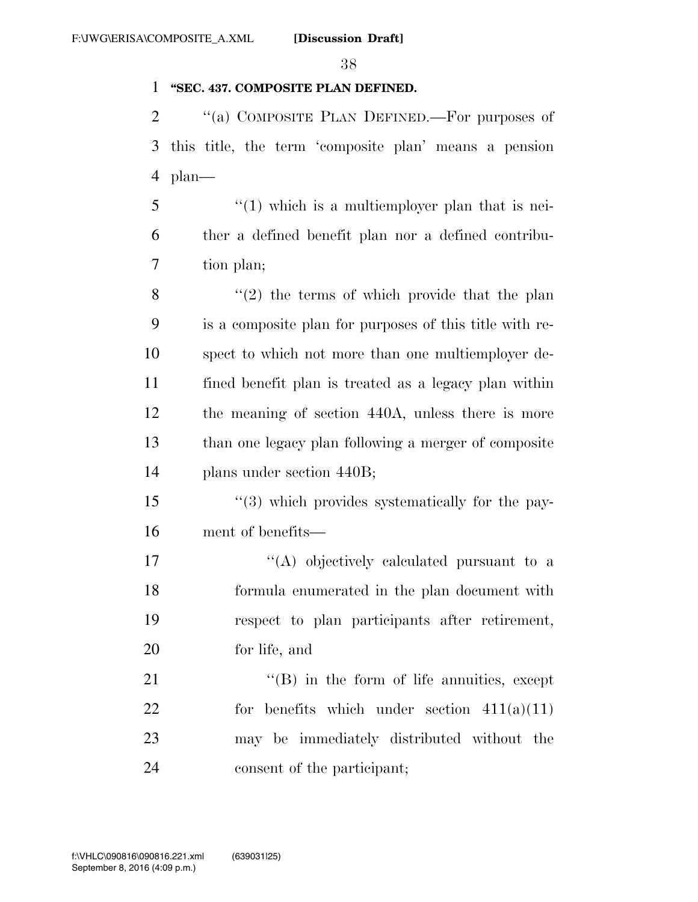## **''SEC. 437. COMPOSITE PLAN DEFINED.**

2 "(a) COMPOSITE PLAN DEFINED.—For purposes of this title, the term 'composite plan' means a pension plan—

 $\frac{3}{5}$  (1) which is a multiemployer plan that is nei- ther a defined benefit plan nor a defined contribu-tion plan;

 $\frac{8}{2}$  ''(2) the terms of which provide that the plan is a composite plan for purposes of this title with re- spect to which not more than one multiemployer de- fined benefit plan is treated as a legacy plan within the meaning of section 440A, unless there is more than one legacy plan following a merger of composite plans under section 440B;

 ''(3) which provides systematically for the pay-ment of benefits—

17 ''(A) objectively calculated pursuant to a formula enumerated in the plan document with respect to plan participants after retirement, for life, and

21 ''(B) in the form of life annuities, except for benefits which under section 411(a)(11) may be immediately distributed without the consent of the participant;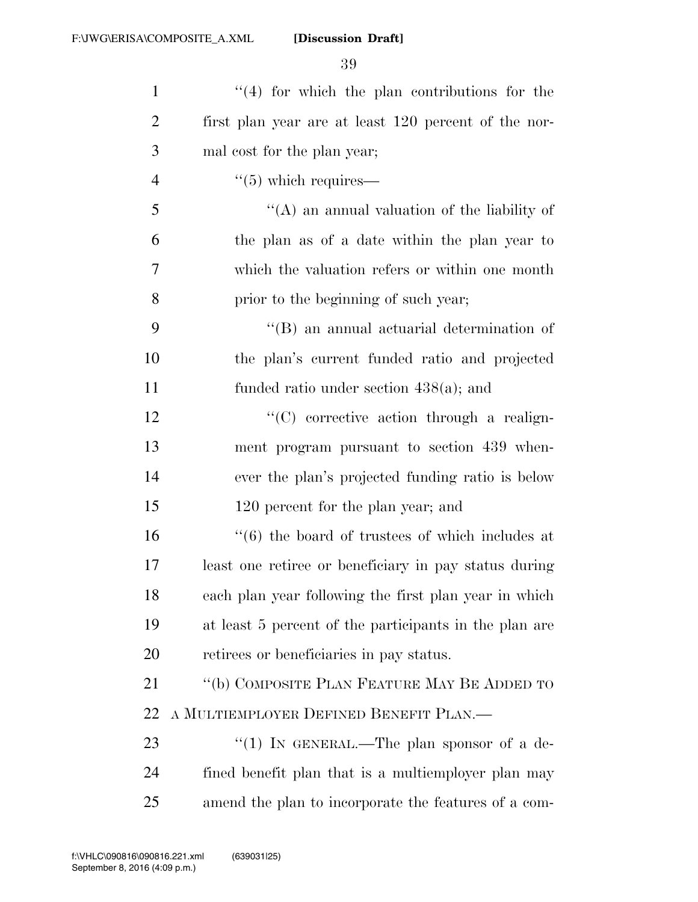| $\mathbf{1}$   | $(4)$ for which the plan contributions for the                  |
|----------------|-----------------------------------------------------------------|
| $\overline{2}$ | first plan year are at least 120 percent of the nor-            |
| 3              | mal cost for the plan year;                                     |
| $\overline{4}$ | $\cdot\cdot$ (5) which requires—                                |
| 5              | "(A) an annual valuation of the liability of                    |
| 6              | the plan as of a date within the plan year to                   |
| 7              | which the valuation refers or within one month                  |
| 8              | prior to the beginning of such year;                            |
| 9              | $\lq\lq$ and actuarial determination of                         |
| 10             | the plan's current funded ratio and projected                   |
| 11             | funded ratio under section $438(a)$ ; and                       |
| 12             | $\lq\lq$ corrective action through a realign-                   |
| 13             | ment program pursuant to section 439 when-                      |
| 14             | ever the plan's projected funding ratio is below                |
| 15             | 120 percent for the plan year; and                              |
| 16             | $\cdot\cdot\cdot(6)$ the board of trustees of which includes at |
| 17             | least one retiree or beneficiary in pay status during           |
| 18             | each plan year following the first plan year in which           |
| 19             | at least 5 percent of the participants in the plan are          |
| 20             | retirees or beneficiaries in pay status.                        |
| 21             | "(b) COMPOSITE PLAN FEATURE MAY BE ADDED TO                     |
| 22             | A MULTIEMPLOYER DEFINED BENEFIT PLAN.—                          |
| 23             | "(1) IN GENERAL.—The plan sponsor of a de-                      |
| 24             | fined benefit plan that is a multiemployer plan may             |
| 25             | amend the plan to incorporate the features of a com-            |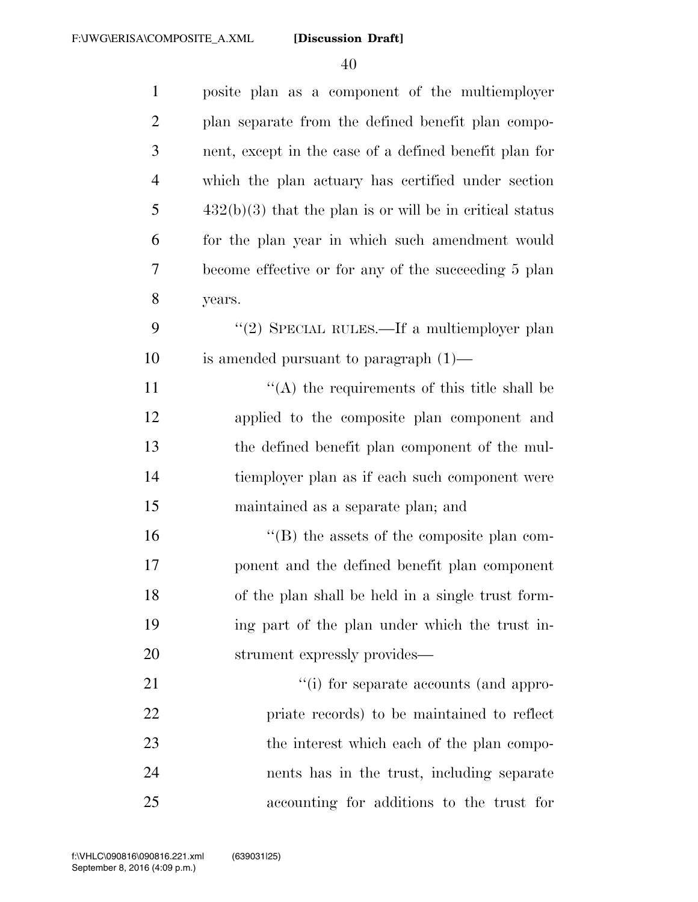| $\mathbf{1}$   | posite plan as a component of the multiemployer            |
|----------------|------------------------------------------------------------|
| $\overline{2}$ | plan separate from the defined benefit plan compo-         |
| 3              | nent, except in the case of a defined benefit plan for     |
| $\overline{4}$ | which the plan actuary has certified under section         |
| 5              | $432(b)(3)$ that the plan is or will be in critical status |
| 6              | for the plan year in which such amendment would            |
| 7              | become effective or for any of the succeeding 5 plan       |
| 8              | years.                                                     |
| 9              | "(2) SPECIAL RULES.—If a multiemployer plan                |
| 10             | is amended pursuant to paragraph $(1)$ —                   |
| 11             | "(A) the requirements of this title shall be               |
| 12             | applied to the composite plan component and                |
| 13             | the defined benefit plan component of the mul-             |
| 14             | tiemployer plan as if each such component were             |
| 15             | maintained as a separate plan; and                         |
| 16             | $\lq\lq$ the assets of the composite plan com-             |
| 17             | ponent and the defined benefit plan component              |
| 18             | of the plan shall be held in a single trust form-          |
| 19             | ing part of the plan under which the trust in-             |
| 20             | strument expressly provides—                               |
| 21             | "(i) for separate accounts (and appro-                     |
| 22             | priate records) to be maintained to reflect                |
| 23             | the interest which each of the plan compo-                 |
| 24             | nents has in the trust, including separate                 |
| 25             | accounting for additions to the trust for                  |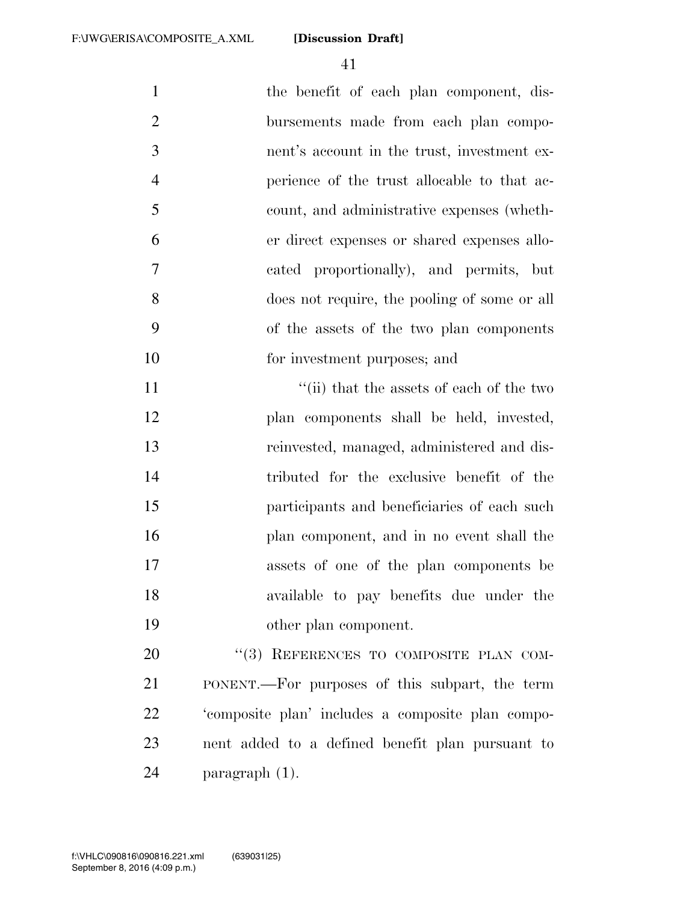| $\mathbf{1}$   | the benefit of each plan component, dis-     |
|----------------|----------------------------------------------|
| 2              | bursements made from each plan compo-        |
| 3              | nent's account in the trust, investment ex-  |
| $\overline{4}$ | perience of the trust allocable to that ac-  |
| 5              | count, and administrative expenses (wheth-   |
| 6              | er direct expenses or shared expenses allo-  |
| $\overline{7}$ | cated proportionally), and permits, but      |
| 8              | does not require, the pooling of some or all |
| 9              | of the assets of the two plan components     |
| 10             | for investment purposes; and                 |
| 11             | "(ii) that the assets of each of the two     |
|                |                                              |

 plan components shall be held, invested, reinvested, managed, administered and dis- tributed for the exclusive benefit of the participants and beneficiaries of each such plan component, and in no event shall the assets of one of the plan components be available to pay benefits due under the other plan component.

20 "(3) REFERENCES TO COMPOSITE PLAN COM- PONENT.—For purposes of this subpart, the term 'composite plan' includes a composite plan compo- nent added to a defined benefit plan pursuant to paragraph (1).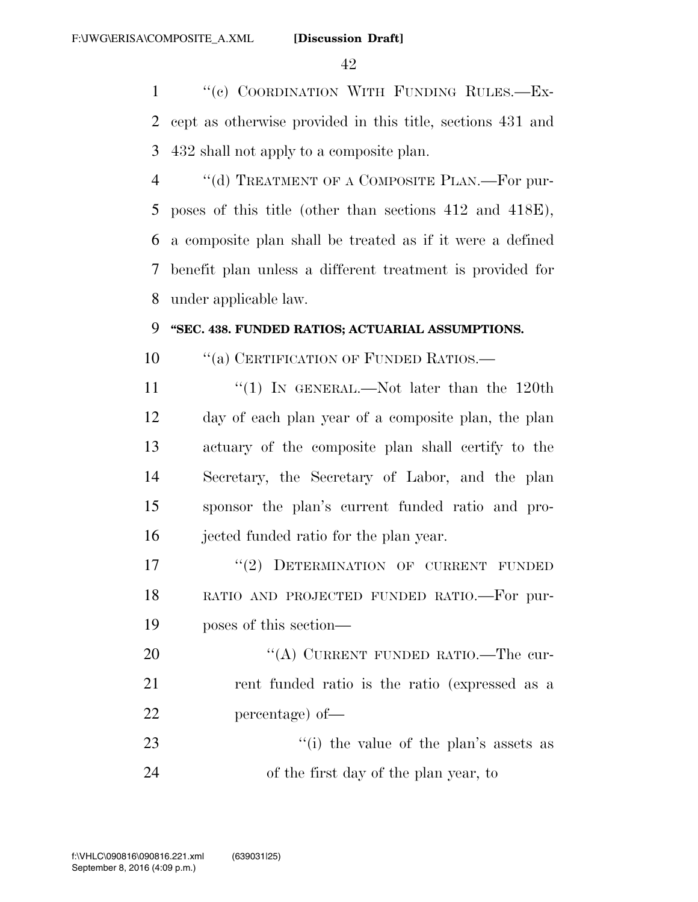''(c) COORDINATION WITH FUNDING RULES.—Ex- cept as otherwise provided in this title, sections 431 and 432 shall not apply to a composite plan.

4 "(d) TREATMENT OF A COMPOSITE PLAN.—For pur- poses of this title (other than sections 412 and 418E), a composite plan shall be treated as if it were a defined benefit plan unless a different treatment is provided for under applicable law.

## **''SEC. 438. FUNDED RATIOS; ACTUARIAL ASSUMPTIONS.**

10 "(a) CERTIFICATION OF FUNDED RATIOS.—

11 ''(1) In GENERAL.—Not later than the 120th day of each plan year of a composite plan, the plan actuary of the composite plan shall certify to the Secretary, the Secretary of Labor, and the plan sponsor the plan's current funded ratio and pro-jected funded ratio for the plan year.

17 "(2) DETERMINATION OF CURRENT FUNDED RATIO AND PROJECTED FUNDED RATIO.—For pur-poses of this section—

20 "(A) CURRENT FUNDED RATIO.—The cur- rent funded ratio is the ratio (expressed as a percentage) of—

23 ''(i) the value of the plan's assets as of the first day of the plan year, to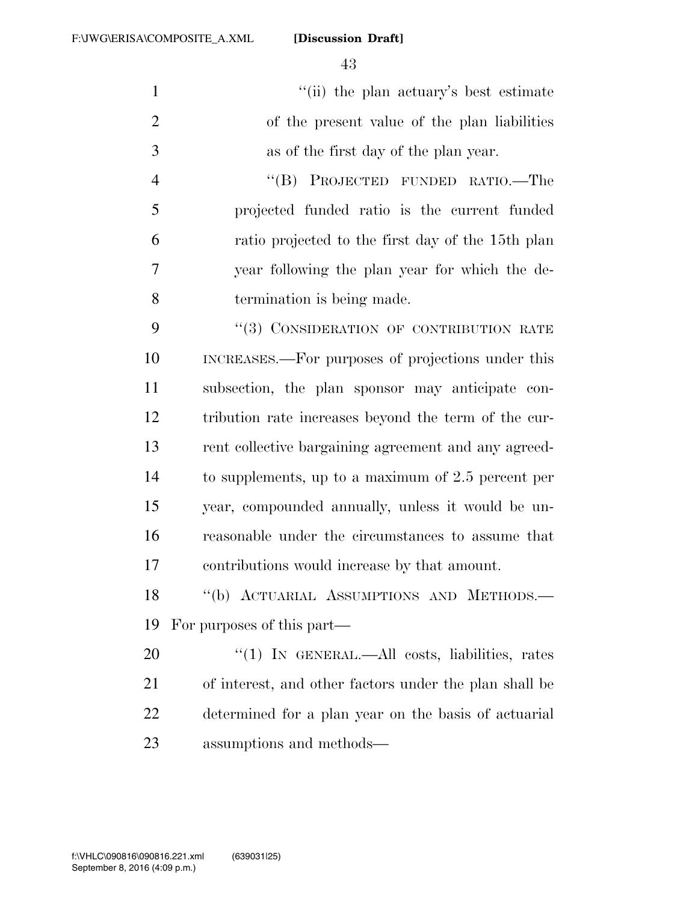1  $''(ii)$  the plan actuary's best estimate of the present value of the plan liabilities as of the first day of the plan year.

 ''(B) PROJECTED FUNDED RATIO.—The projected funded ratio is the current funded ratio projected to the first day of the 15th plan year following the plan year for which the de-termination is being made.

9 "(3) CONSIDERATION OF CONTRIBUTION RATE INCREASES.—For purposes of projections under this subsection, the plan sponsor may anticipate con- tribution rate increases beyond the term of the cur- rent collective bargaining agreement and any agreed- to supplements, up to a maximum of 2.5 percent per year, compounded annually, unless it would be un- reasonable under the circumstances to assume that contributions would increase by that amount.

18 "(b) ACTUARIAL ASSUMPTIONS AND METHODS.-For purposes of this part—

20 "(1) IN GENERAL.—All costs, liabilities, rates of interest, and other factors under the plan shall be determined for a plan year on the basis of actuarial assumptions and methods—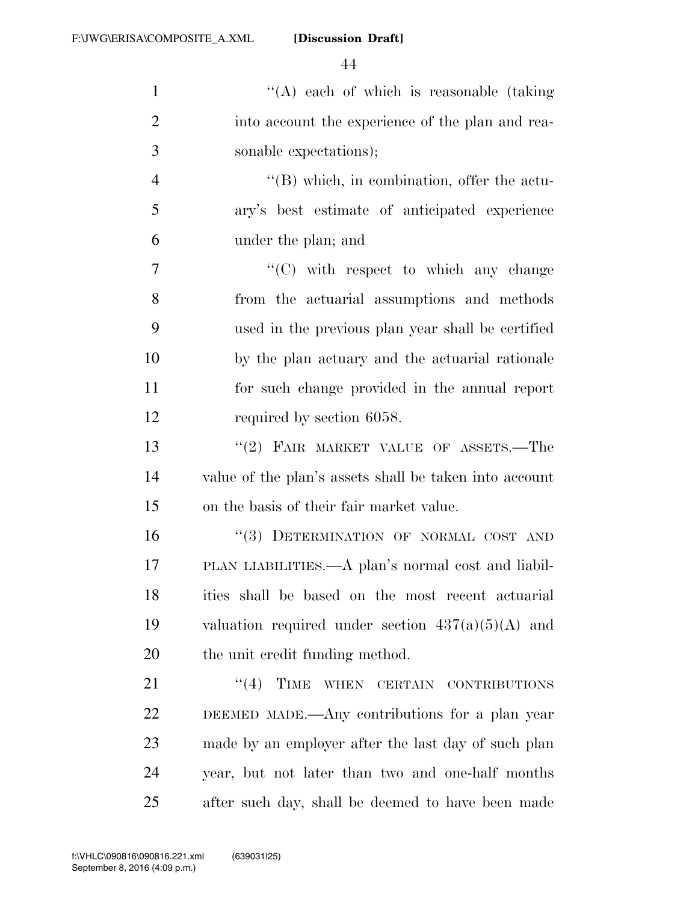| $\mathbf{1}$   | $\lq\lq$ each of which is reasonable (taking)          |
|----------------|--------------------------------------------------------|
| $\overline{2}$ | into account the experience of the plan and rea-       |
| 3              | sonable expectations);                                 |
| $\overline{4}$ | $\lq\lq (B)$ which, in combination, offer the actu-    |
| 5              | ary's best estimate of anticipated experience          |
| 6              | under the plan; and                                    |
| 7              | $\lq\lq$ with respect to which any change              |
| 8              | from the actuarial assumptions and methods             |
| 9              | used in the previous plan year shall be certified      |
| 10             | by the plan actuary and the actuarial rationale        |
| 11             | for such change provided in the annual report          |
| 12             | required by section 6058.                              |
| 13             | "(2) FAIR MARKET VALUE OF ASSETS.-The                  |
| 14             | value of the plan's assets shall be taken into account |
| 15             | on the basis of their fair market value.               |
| 16             | "(3) DETERMINATION OF NORMAL COST AND                  |
| 17             | PLAN LIABILITIES.—A plan's normal cost and liabil-     |
| 18             | ities shall be based on the most recent actuarial      |
| 19             | valuation required under section $437(a)(5)(A)$ and    |
| 20             | the unit credit funding method.                        |
| 21             | TIME<br>(4)<br>WHEN CERTAIN CONTRIBUTIONS              |
| 22             | DEEMED MADE.—Any contributions for a plan year         |
| 23             | made by an employer after the last day of such plan    |
| 24             | year, but not later than two and one-half months       |

after such day, shall be deemed to have been made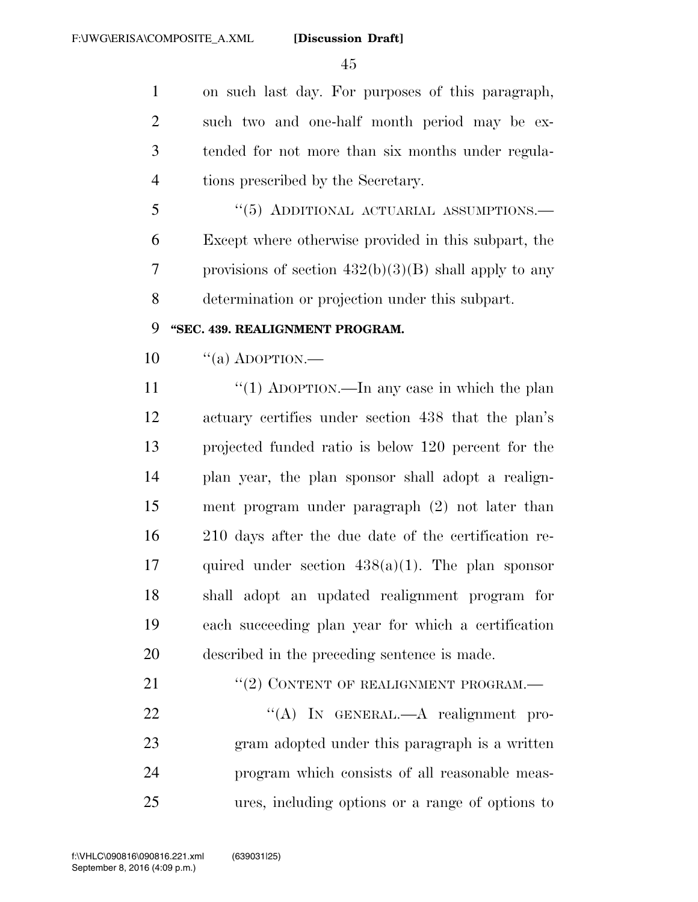on such last day. For purposes of this paragraph, such two and one-half month period may be ex- tended for not more than six months under regula-tions prescribed by the Secretary.

5 "(5) ADDITIONAL ACTUARIAL ASSUMPTIONS.— Except where otherwise provided in this subpart, the provisions of section 432(b)(3)(B) shall apply to any determination or projection under this subpart.

## **''SEC. 439. REALIGNMENT PROGRAM.**

 $10 \qquad$  "(a) ADOPTION.—

 $\frac{1}{1}$   $\frac{1}{2}$  ADOPTION.—In any case in which the plan actuary certifies under section 438 that the plan's projected funded ratio is below 120 percent for the plan year, the plan sponsor shall adopt a realign- ment program under paragraph (2) not later than 210 days after the due date of the certification re-17 quired under section  $438(a)(1)$ . The plan sponsor shall adopt an updated realignment program for each succeeding plan year for which a certification described in the preceding sentence is made.

21 "(2) CONTENT OF REALIGNMENT PROGRAM.—

22 "(A) In GENERAL.—A realignment pro- gram adopted under this paragraph is a written program which consists of all reasonable meas-ures, including options or a range of options to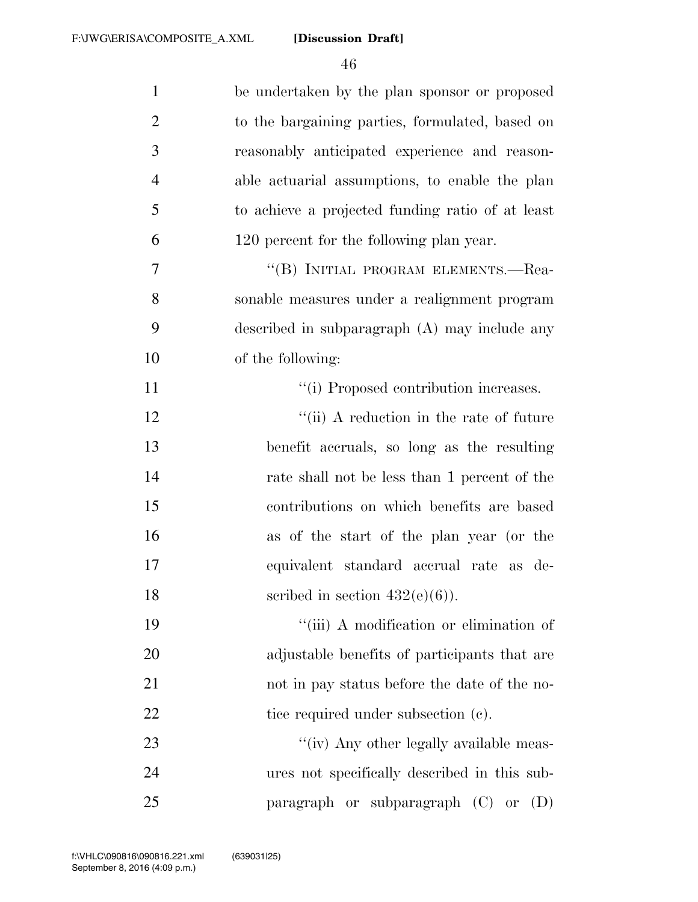| $\mathbf{1}$   | be undertaken by the plan sponsor or proposed    |
|----------------|--------------------------------------------------|
| $\overline{2}$ | to the bargaining parties, formulated, based on  |
| 3              | reasonably anticipated experience and reason-    |
| $\overline{4}$ | able actuarial assumptions, to enable the plan   |
| 5              | to achieve a projected funding ratio of at least |
| 6              | 120 percent for the following plan year.         |
| 7              | "(B) INITIAL PROGRAM ELEMENTS.—Rea-              |
| 8              | sonable measures under a realignment program     |
| 9              | described in subparagraph (A) may include any    |
| 10             | of the following:                                |
| 11             | "(i) Proposed contribution increases.            |
| 12             | "(ii) A reduction in the rate of future          |
| 13             | benefit accruals, so long as the resulting       |
| 14             | rate shall not be less than 1 percent of the     |
| 15             | contributions on which benefits are based        |
| 16             | as of the start of the plan year (or the         |
| 17             | equivalent standard accrual rate as de-          |
| 18             | scribed in section $432(e)(6)$ ).                |
| 19             | "(iii) A modification or elimination of          |
| 20             | adjustable benefits of participants that are     |
| 21             | not in pay status before the date of the no-     |
| 22             | tice required under subsection (c).              |
| 23             | "(iv) Any other legally available meas-          |
| 24             | ures not specifically described in this sub-     |
| 25             | paragraph or subparagraph (C) or<br>(D)          |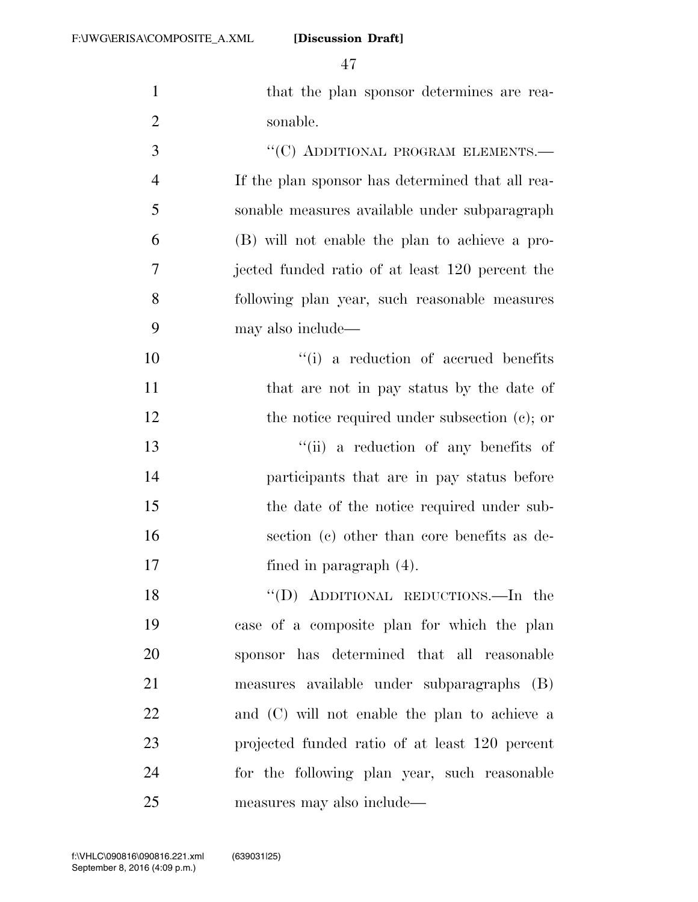| $\mathbf{1}$   | that the plan sponsor determines are rea-        |
|----------------|--------------------------------------------------|
| $\overline{2}$ | sonable.                                         |
| 3              | "(C) ADDITIONAL PROGRAM ELEMENTS.-               |
| $\overline{4}$ | If the plan sponsor has determined that all rea- |
| 5              | sonable measures available under subparagraph    |
| 6              | (B) will not enable the plan to achieve a pro-   |
| 7              | jected funded ratio of at least 120 percent the  |
| 8              | following plan year, such reasonable measures    |
| 9              | may also include—                                |
| 10             | "(i) a reduction of accrued benefits"            |
| 11             | that are not in pay status by the date of        |
| 12             | the notice required under subsection $(c)$ ; or  |
| 13             | "(ii) a reduction of any benefits of             |
| 14             | participants that are in pay status before       |
| 15             | the date of the notice required under sub-       |
| 16             | section (c) other than core benefits as de-      |
| 17             | fined in paragraph $(4)$ .                       |
| 18             | "(D) ADDITIONAL REDUCTIONS.—In the               |
| 19             | case of a composite plan for which the plan      |
| 20             | sponsor has determined that all reasonable       |
| 21             | measures available under subparagraphs (B)       |
| 22             | and (C) will not enable the plan to achieve a    |
| 23             | projected funded ratio of at least 120 percent   |
| 24             | for the following plan year, such reasonable     |
| 25             | measures may also include—                       |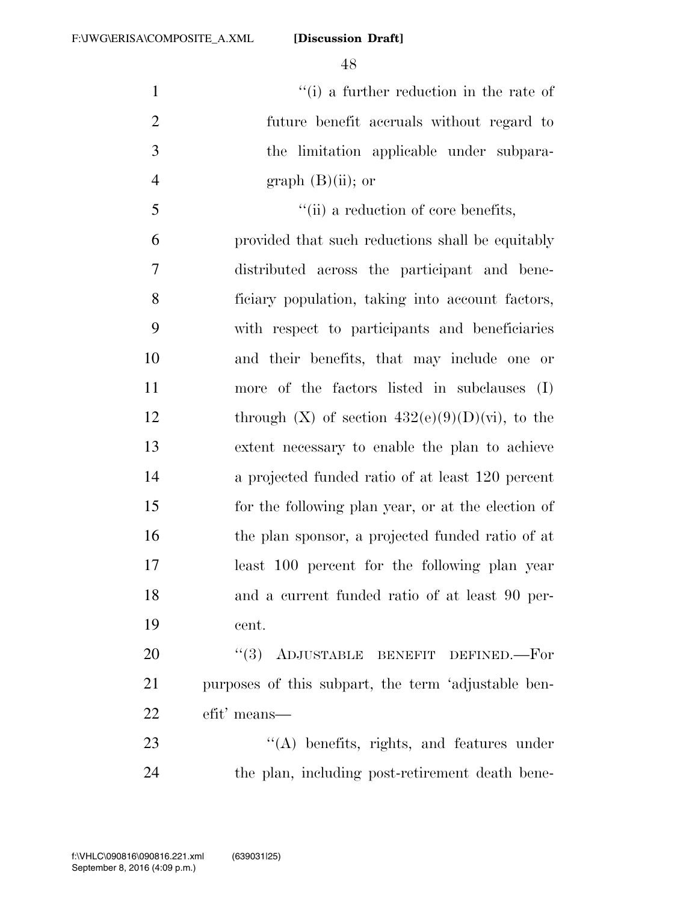$\frac{1}{1}$   $\frac{1}{2}$   $\frac{1}{2}$  a further reduction in the rate of future benefit accruals without regard to the limitation applicable under subpara-4 graph  $(B)(ii)$ ; or

 $\frac{1}{1}$  a reduction of core benefits, provided that such reductions shall be equitably distributed across the participant and bene- ficiary population, taking into account factors, with respect to participants and beneficiaries and their benefits, that may include one or more of the factors listed in subclauses (I) 12 through  $(X)$  of section  $432(e)(9)(D)(vi)$ , to the extent necessary to enable the plan to achieve a projected funded ratio of at least 120 percent for the following plan year, or at the election of the plan sponsor, a projected funded ratio of at least 100 percent for the following plan year 18 and a current funded ratio of at least 90 per-cent.

20 "(3) ADJUSTABLE BENEFIT DEFINED. For purposes of this subpart, the term 'adjustable ben-efit' means—

23 "'(A) benefits, rights, and features under the plan, including post-retirement death bene-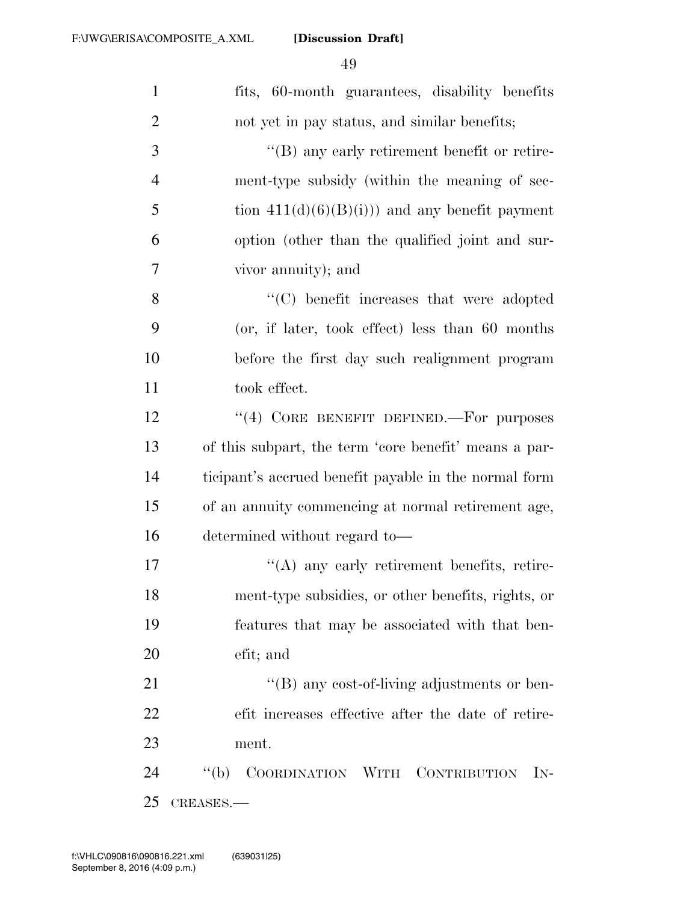| $\mathbf{1}$   | fits, 60-month guarantees, disability benefits                            |
|----------------|---------------------------------------------------------------------------|
| $\overline{2}$ | not yet in pay status, and similar benefits;                              |
| 3              | "(B) any early retirement benefit or retire-                              |
| $\overline{4}$ | ment-type subsidy (within the meaning of sec-                             |
| 5              | tion $411(d)(6)(B(i))$ and any benefit payment                            |
| 6              | option (other than the qualified joint and sur-                           |
| 7              | vivor annuity); and                                                       |
| 8              | $\lq\lq$ benefit increases that were adopted                              |
| 9              | (or, if later, took effect) less than 60 months                           |
| 10             | before the first day such realignment program                             |
| 11             | took effect.                                                              |
| 12             | "(4) CORE BENEFIT DEFINED.—For purposes                                   |
| 13             | of this subpart, the term 'core benefit' means a par-                     |
| 14             | ticipant's accrued benefit payable in the normal form                     |
| 15             | of an annuity commencing at normal retirement age,                        |
| 16             | determined without regard to—                                             |
| 17             | "(A) any early retirement benefits, retire-                               |
| 18             | ment-type subsidies, or other benefits, rights, or                        |
| 19             | features that may be associated with that ben-                            |
| 20             | efit; and                                                                 |
| 21             | $\rm ^{\prime\prime}(B)$ any cost-of-living adjustments or ben-           |
| 22             | efit increases effective after the date of retire-                        |
| 23             | ment.                                                                     |
| 24             | COORDINATION WITH CONTRIBUTION<br>$\lq (b)$<br>$\mathop{\rm IN}\nolimits$ |
| 25             | CREASES.-                                                                 |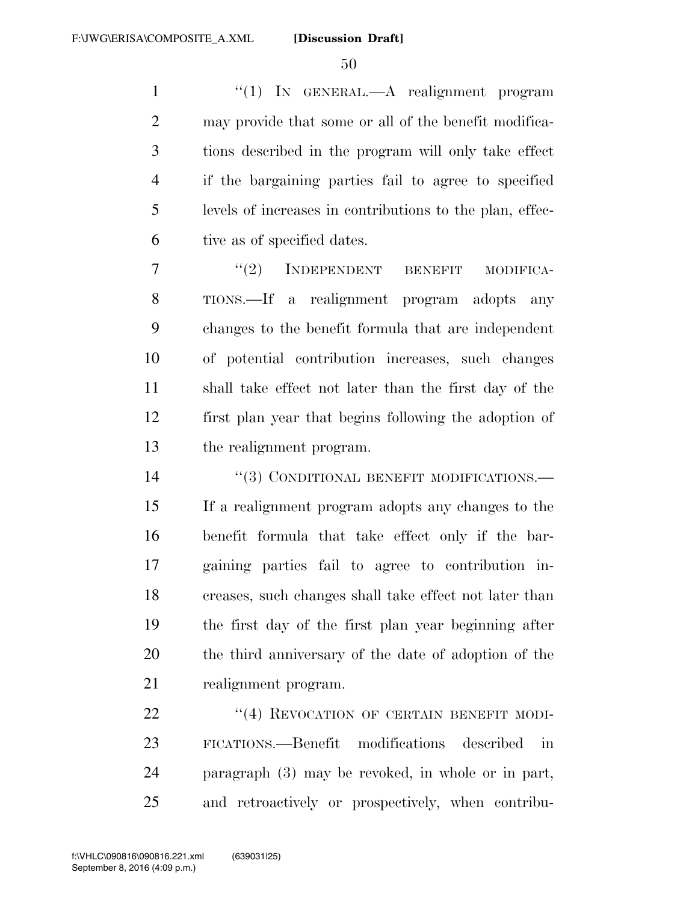''(1) IN GENERAL.—A realignment program may provide that some or all of the benefit modifica- tions described in the program will only take effect if the bargaining parties fail to agree to specified levels of increases in contributions to the plan, effec-tive as of specified dates.

7 "(2) INDEPENDENT BENEFIT MODIFICA- TIONS.—If a realignment program adopts any changes to the benefit formula that are independent of potential contribution increases, such changes shall take effect not later than the first day of the first plan year that begins following the adoption of the realignment program.

14 "(3) CONDITIONAL BENEFIT MODIFICATIONS.— If a realignment program adopts any changes to the benefit formula that take effect only if the bar- gaining parties fail to agree to contribution in- creases, such changes shall take effect not later than the first day of the first plan year beginning after the third anniversary of the date of adoption of the realignment program.

22 "(4) REVOCATION OF CERTAIN BENEFIT MODI- FICATIONS.—Benefit modifications described in paragraph (3) may be revoked, in whole or in part, and retroactively or prospectively, when contribu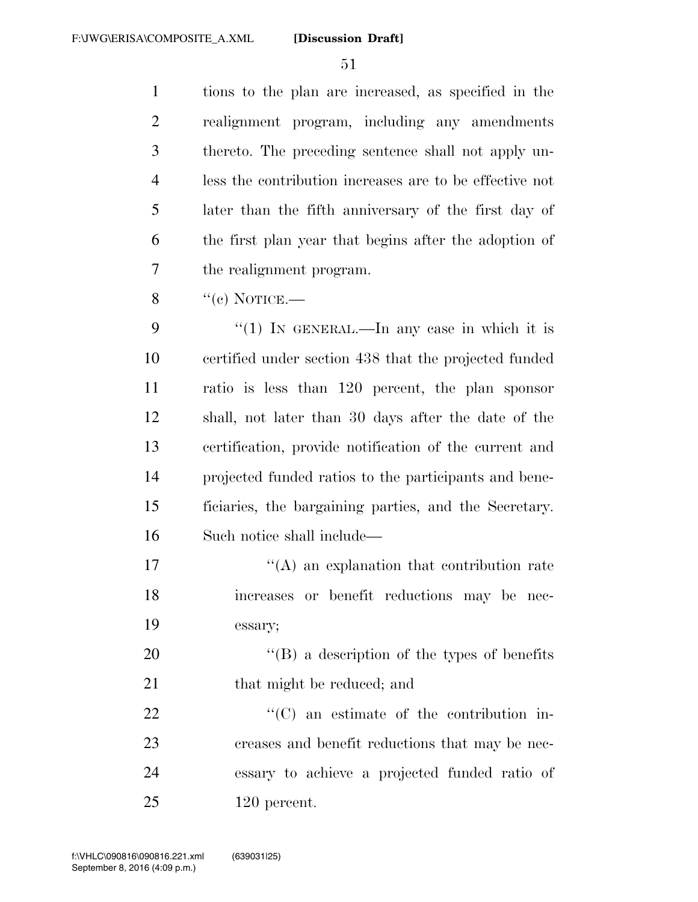tions to the plan are increased, as specified in the realignment program, including any amendments thereto. The preceding sentence shall not apply un- less the contribution increases are to be effective not later than the fifth anniversary of the first day of the first plan year that begins after the adoption of the realignment program.

 $\%$  ''(c) NOTICE.—

 $\frac{4}{1}$  In GENERAL.—In any case in which it is certified under section 438 that the projected funded ratio is less than 120 percent, the plan sponsor shall, not later than 30 days after the date of the certification, provide notification of the current and projected funded ratios to the participants and bene- ficiaries, the bargaining parties, and the Secretary. Such notice shall include—

 $\mathcal{L}(\mathbf{A})$  an explanation that contribution rate increases or benefit reductions may be nec-essary;

20  $\langle G \rangle$  a description of the types of benefits 21 that might be reduced; and

 $\cdot$  (C) an estimate of the contribution in- creases and benefit reductions that may be nec- essary to achieve a projected funded ratio of 120 percent.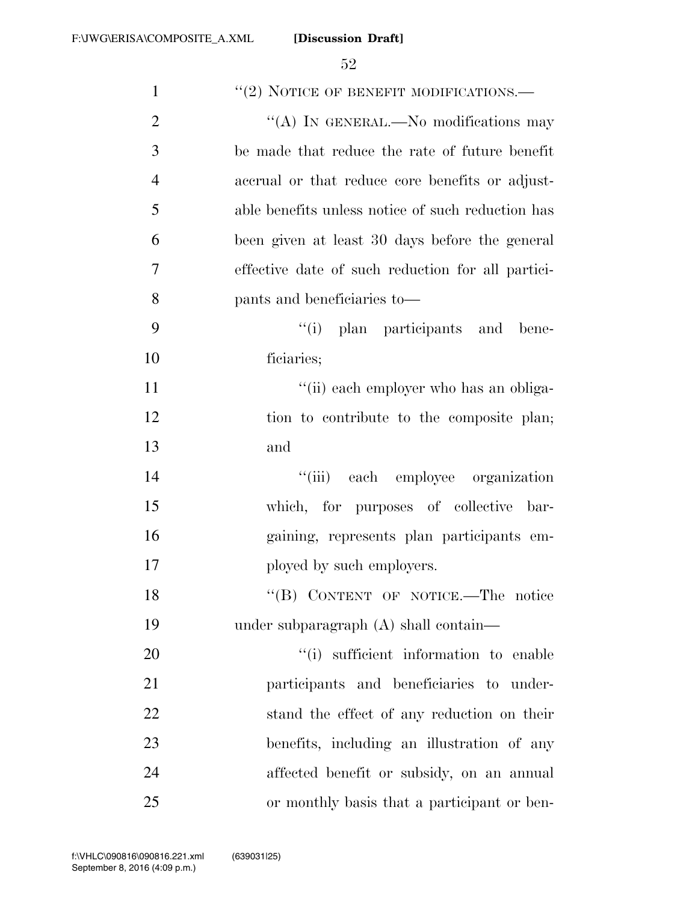| $\mathbf{1}$   | $``(2)$ NOTICE OF BENEFIT MODIFICATIONS.—         |
|----------------|---------------------------------------------------|
| $\overline{2}$ | "(A) IN GENERAL.—No modifications may             |
| 3              | be made that reduce the rate of future benefit    |
| $\overline{4}$ | accrual or that reduce core benefits or adjust-   |
| 5              | able benefits unless notice of such reduction has |
| 6              | been given at least 30 days before the general    |
| 7              | effective date of such reduction for all partici- |
| 8              | pants and beneficiaries to—                       |
| 9              | "(i) plan participants and bene-                  |
| 10             | ficiaries;                                        |
| 11             | "(ii) each employer who has an obliga-            |
| 12             | tion to contribute to the composite plan;         |
| 13             | and                                               |
| 14             | "(iii) each employee organization                 |
| 15             | which, for purposes of collective bar-            |
| 16             | gaining, represents plan participants em-         |
| 17             | ployed by such employers.                         |
| 18             | "(B) CONTENT OF NOTICE.-The notice                |
| 19             | under subparagraph (A) shall contain—             |
| 20             | "(i) sufficient information to enable             |
| 21             | participants and beneficiaries to under-          |
| 22             | stand the effect of any reduction on their        |
| 23             | benefits, including an illustration of any        |
| 24             | affected benefit or subsidy, on an annual         |
| 25             | or monthly basis that a participant or ben-       |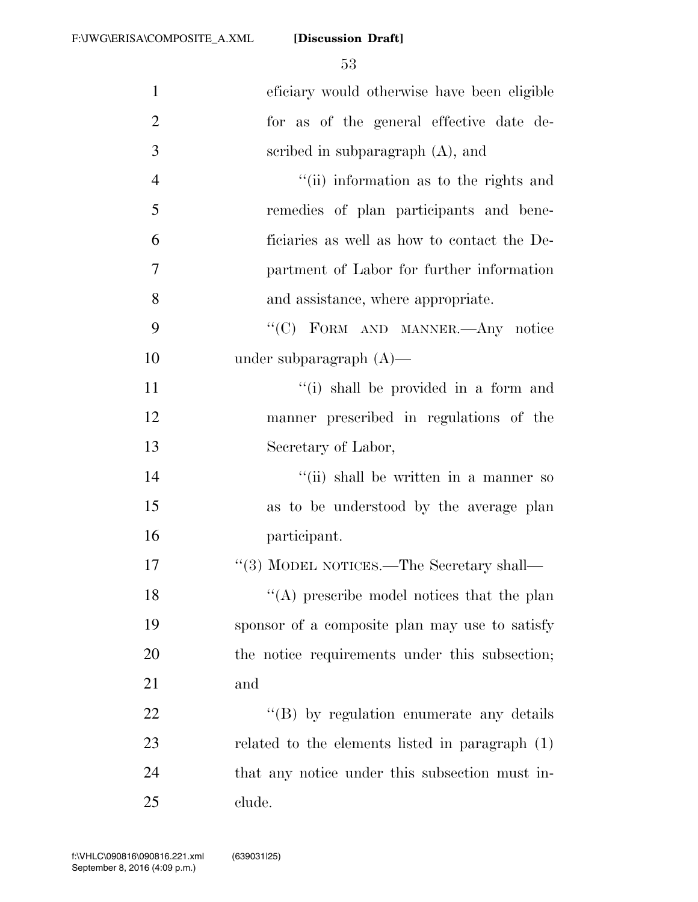| $\mathbf{1}$   | eficiary would otherwise have been eligible     |
|----------------|-------------------------------------------------|
| $\overline{2}$ | for as of the general effective date de-        |
| 3              | scribed in subparagraph $(A)$ , and             |
| $\overline{4}$ | "(ii) information as to the rights and          |
| 5              | remedies of plan participants and bene-         |
| 6              | ficiaries as well as how to contact the De-     |
| 7              | partment of Labor for further information       |
| 8              | and assistance, where appropriate.              |
| 9              | "(C) FORM AND MANNER.- Any notice               |
| 10             | under subparagraph $(A)$ —                      |
| 11             | "(i) shall be provided in a form and            |
| 12             | manner prescribed in regulations of the         |
| 13             | Secretary of Labor,                             |
| 14             | "(ii) shall be written in a manner so           |
| 15             | as to be understood by the average plan         |
| 16             | participant.                                    |
| 17             | "(3) MODEL NOTICES.—The Secretary shall—        |
| 18             | "(A) prescribe model notices that the plan      |
| 19             | sponsor of a composite plan may use to satisfy  |
| 20             | the notice requirements under this subsection;  |
| 21             | and                                             |
| 22             | "(B) by regulation enumerate any details        |
| 23             | related to the elements listed in paragraph (1) |
| 24             | that any notice under this subsection must in-  |
| 25             | clude.                                          |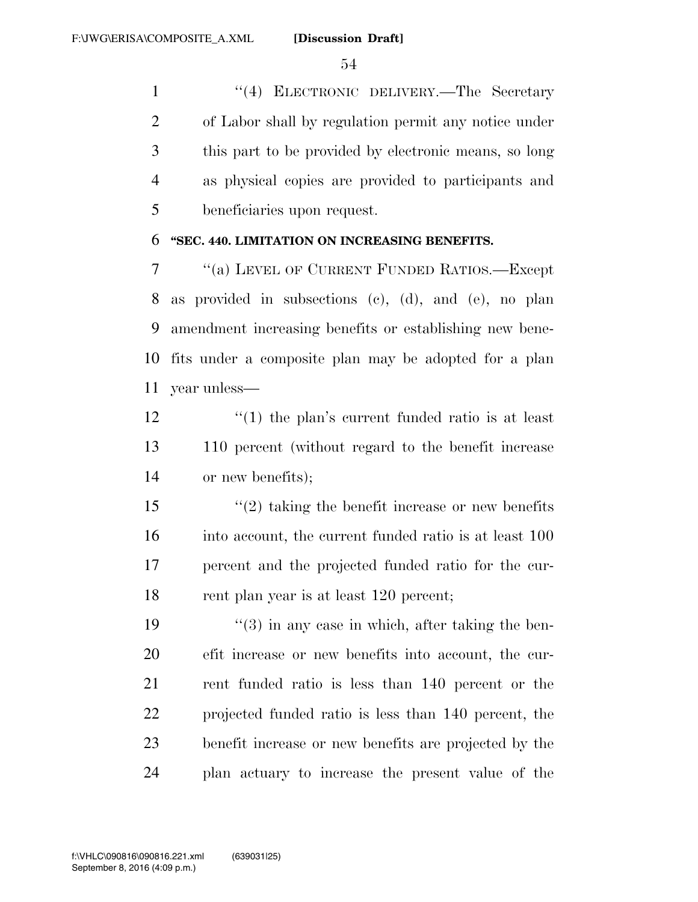''(4) ELECTRONIC DELIVERY.—The Secretary of Labor shall by regulation permit any notice under this part to be provided by electronic means, so long as physical copies are provided to participants and beneficiaries upon request.

## **''SEC. 440. LIMITATION ON INCREASING BENEFITS.**

 ''(a) LEVEL OF CURRENT FUNDED RATIOS.—Except as provided in subsections (c), (d), and (e), no plan amendment increasing benefits or establishing new bene- fits under a composite plan may be adopted for a plan year unless—

 $\frac{12}{2}$  ''(1) the plan's current funded ratio is at least 110 percent (without regard to the benefit increase or new benefits);

 ''(2) taking the benefit increase or new benefits into account, the current funded ratio is at least 100 percent and the projected funded ratio for the cur-18 rent plan year is at least 120 percent;

 $\frac{1}{3}$  in any case in which, after taking the ben- efit increase or new benefits into account, the cur- rent funded ratio is less than 140 percent or the projected funded ratio is less than 140 percent, the benefit increase or new benefits are projected by the plan actuary to increase the present value of the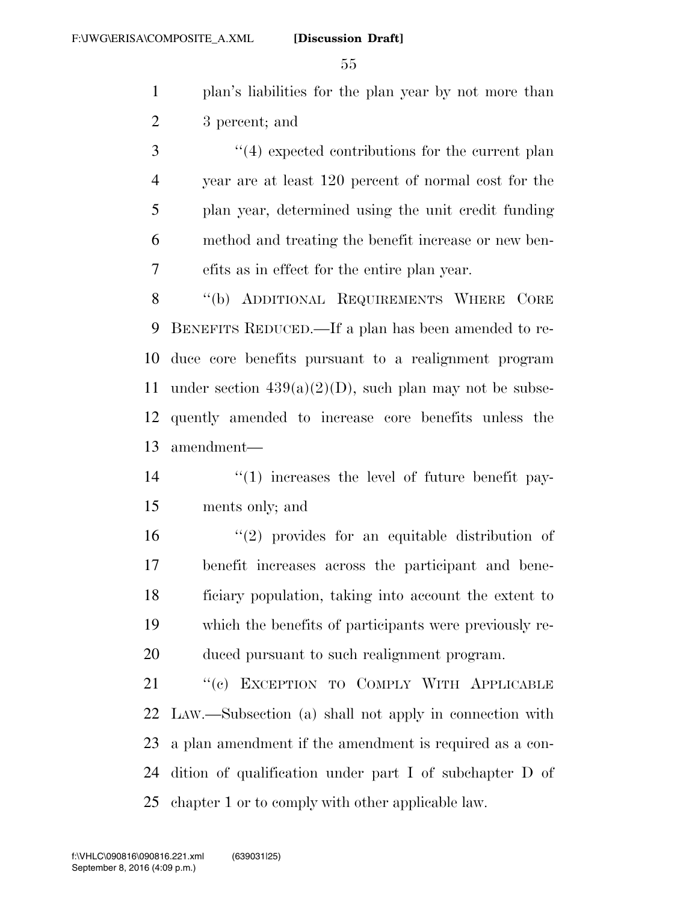plan's liabilities for the plan year by not more than 3 percent; and

3 (4) expected contributions for the current plan year are at least 120 percent of normal cost for the plan year, determined using the unit credit funding method and treating the benefit increase or new ben-efits as in effect for the entire plan year.

8 "(b) ADDITIONAL REQUIREMENTS WHERE CORE BENEFITS REDUCED.—If a plan has been amended to re- duce core benefits pursuant to a realignment program 11 under section  $439(a)(2)(D)$ , such plan may not be subse- quently amended to increase core benefits unless the amendment—

14  $\frac{1}{2}$  (1) increases the level of future benefit pay-ments only; and

 ''(2) provides for an equitable distribution of benefit increases across the participant and bene- ficiary population, taking into account the extent to which the benefits of participants were previously re-duced pursuant to such realignment program.

21 "(c) EXCEPTION TO COMPLY WITH APPLICABLE LAW.—Subsection (a) shall not apply in connection with a plan amendment if the amendment is required as a con- dition of qualification under part I of subchapter D of chapter 1 or to comply with other applicable law.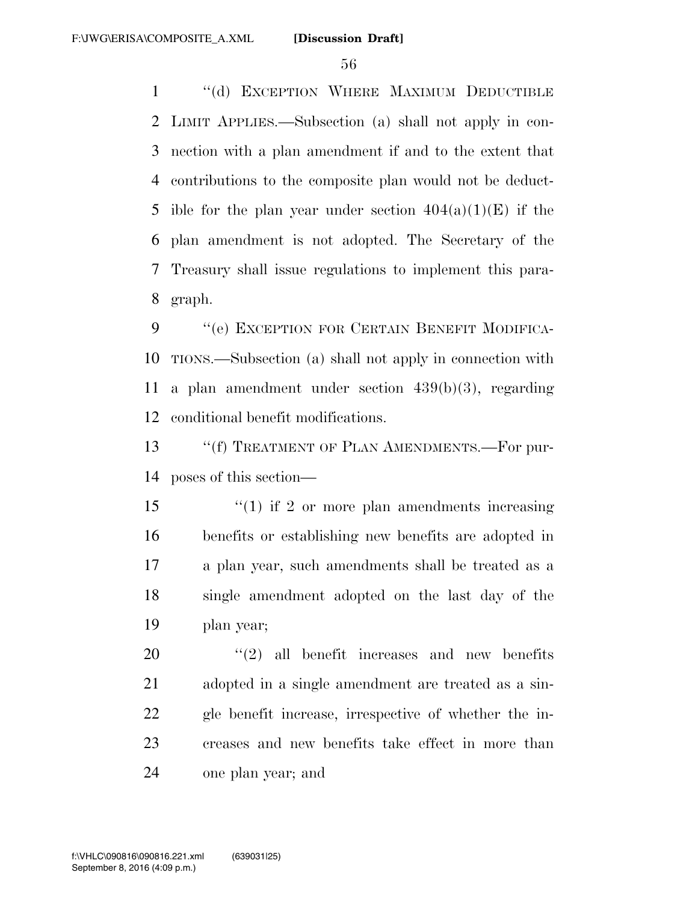''(d) EXCEPTION WHERE MAXIMUM DEDUCTIBLE LIMIT APPLIES.—Subsection (a) shall not apply in con- nection with a plan amendment if and to the extent that contributions to the composite plan would not be deduct-5 ible for the plan year under section  $404(a)(1)(E)$  if the plan amendment is not adopted. The Secretary of the Treasury shall issue regulations to implement this para-graph.

9 ""(e) EXCEPTION FOR CERTAIN BENEFIT MODIFICA- TIONS.—Subsection (a) shall not apply in connection with a plan amendment under section 439(b)(3), regarding conditional benefit modifications.

13 ""(f) TREATMENT OF PLAN AMENDMENTS.—For pur-poses of this section—

15 ''(1) if 2 or more plan amendments increasing benefits or establishing new benefits are adopted in a plan year, such amendments shall be treated as a single amendment adopted on the last day of the plan year;

 ''(2) all benefit increases and new benefits adopted in a single amendment are treated as a sin- gle benefit increase, irrespective of whether the in- creases and new benefits take effect in more than one plan year; and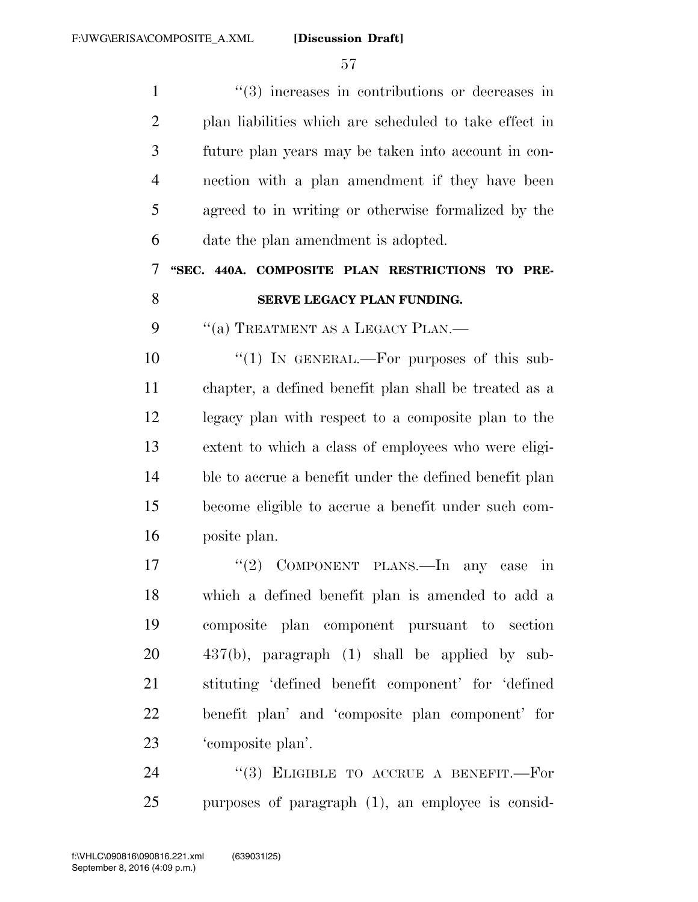$\frac{1}{2}$   $\frac{1}{2}$  increases in contributions or decreases in plan liabilities which are scheduled to take effect in future plan years may be taken into account in con- nection with a plan amendment if they have been agreed to in writing or otherwise formalized by the date the plan amendment is adopted. **''SEC. 440A. COMPOSITE PLAN RESTRICTIONS TO PRE-SERVE LEGACY PLAN FUNDING.** 9 "(a) TREATMENT AS A LEGACY PLAN.—  $\frac{10}{10}$  IN GENERAL.—For purposes of this sub-

 chapter, a defined benefit plan shall be treated as a legacy plan with respect to a composite plan to the extent to which a class of employees who were eligi- ble to accrue a benefit under the defined benefit plan become eligible to accrue a benefit under such com-posite plan.

17 "'(2) COMPONENT PLANS.—In any case in which a defined benefit plan is amended to add a composite plan component pursuant to section 437(b), paragraph (1) shall be applied by sub- stituting 'defined benefit component' for 'defined benefit plan' and 'composite plan component' for 'composite plan'.

24 "(3) ELIGIBLE TO ACCRUE A BENEFIT.—For purposes of paragraph (1), an employee is consid-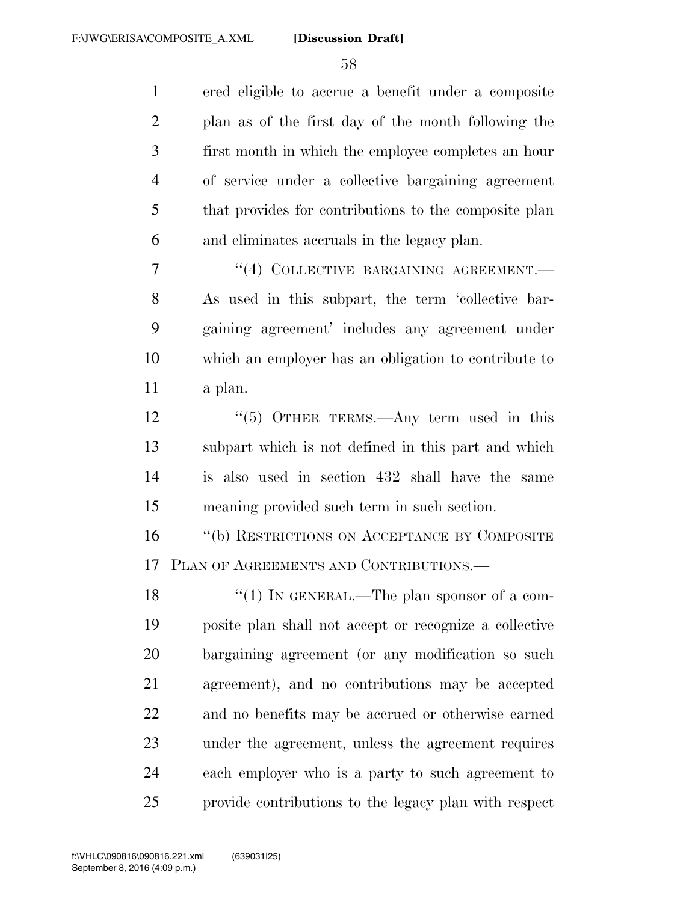ered eligible to accrue a benefit under a composite plan as of the first day of the month following the first month in which the employee completes an hour of service under a collective bargaining agreement that provides for contributions to the composite plan and eliminates accruals in the legacy plan.

7 "(4) COLLECTIVE BARGAINING AGREEMENT. As used in this subpart, the term 'collective bar- gaining agreement' includes any agreement under which an employer has an obligation to contribute to a plan.

12 ''(5) OTHER TERMS.—Any term used in this subpart which is not defined in this part and which is also used in section 432 shall have the same meaning provided such term in such section.

 ''(b) RESTRICTIONS ON ACCEPTANCE BY COMPOSITE PLAN OF AGREEMENTS AND CONTRIBUTIONS.—

18 "(1) IN GENERAL.—The plan sponsor of a com- posite plan shall not accept or recognize a collective bargaining agreement (or any modification so such agreement), and no contributions may be accepted and no benefits may be accrued or otherwise earned under the agreement, unless the agreement requires each employer who is a party to such agreement to provide contributions to the legacy plan with respect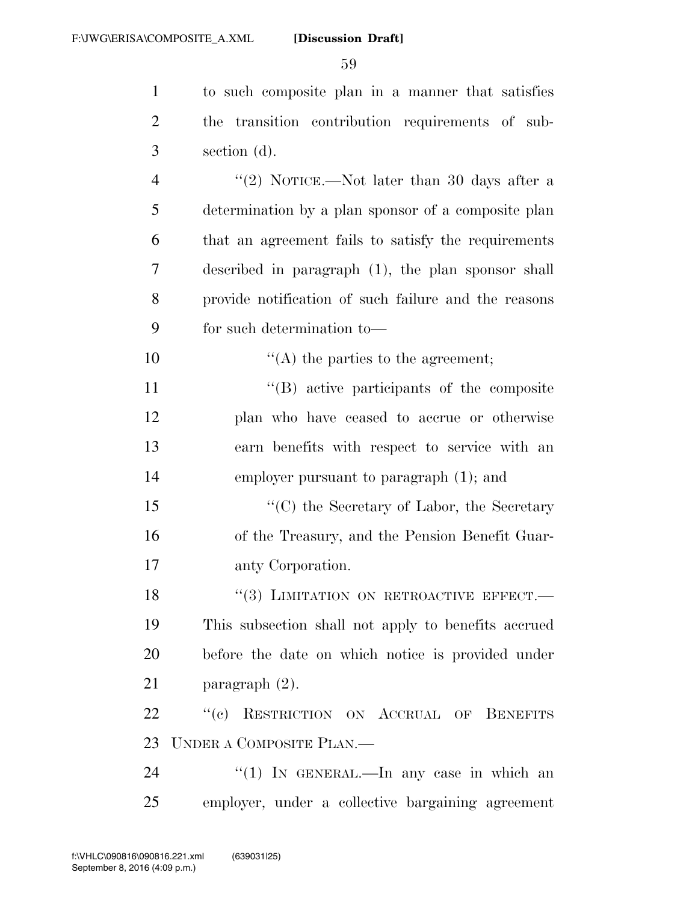to such composite plan in a manner that satisfies the transition contribution requirements of sub- section (d). 4 ''(2) NOTICE.—Not later than 30 days after a determination by a plan sponsor of a composite plan that an agreement fails to satisfy the requirements described in paragraph (1), the plan sponsor shall provide notification of such failure and the reasons for such determination to—  $\frac{10}{2}$  (A) the parties to the agreement;  $\langle G \rangle$  active participants of the composite plan who have ceased to accrue or otherwise earn benefits with respect to service with an employer pursuant to paragraph (1); and 15 "'(C) the Secretary of Labor, the Secretary of the Treasury, and the Pension Benefit Guar- anty Corporation. 18 "(3) LIMITATION ON RETROACTIVE EFFECT.— This subsection shall not apply to benefits accrued before the date on which notice is provided under paragraph (2). 22 "(c) RESTRICTION ON ACCRUAL OF BENEFITS UNDER A COMPOSITE PLAN.— 24 "(1) In GENERAL.—In any case in which an employer, under a collective bargaining agreement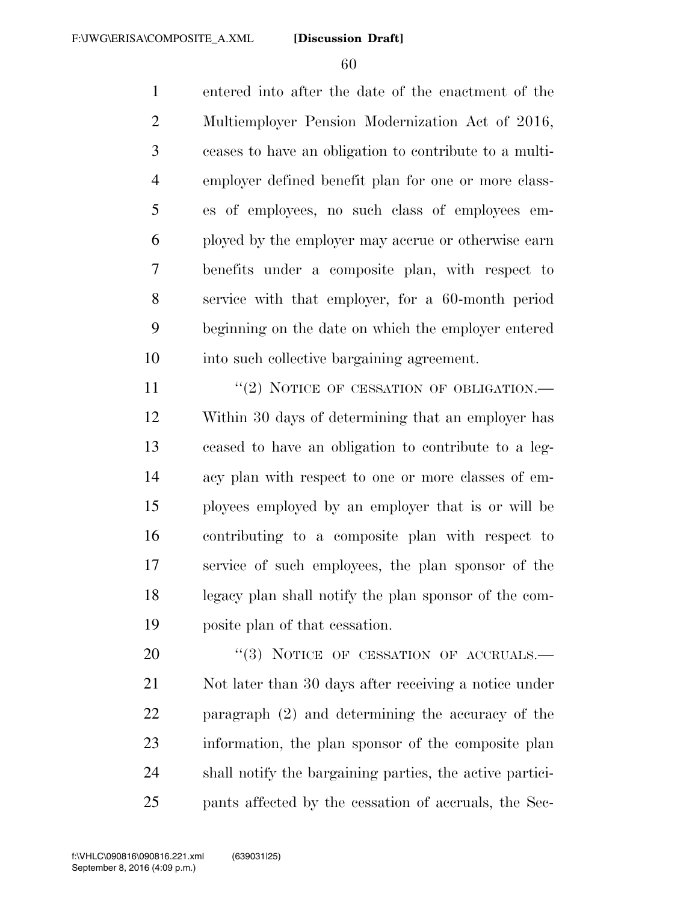entered into after the date of the enactment of the Multiemployer Pension Modernization Act of 2016, ceases to have an obligation to contribute to a multi- employer defined benefit plan for one or more class- es of employees, no such class of employees em- ployed by the employer may accrue or otherwise earn benefits under a composite plan, with respect to service with that employer, for a 60-month period beginning on the date on which the employer entered into such collective bargaining agreement.

11 "(2) NOTICE OF CESSATION OF OBLIGATION.— Within 30 days of determining that an employer has ceased to have an obligation to contribute to a leg- acy plan with respect to one or more classes of em- ployees employed by an employer that is or will be contributing to a composite plan with respect to service of such employees, the plan sponsor of the legacy plan shall notify the plan sponsor of the com-posite plan of that cessation.

20 "(3) NOTICE OF CESSATION OF ACCRUALS. Not later than 30 days after receiving a notice under paragraph (2) and determining the accuracy of the information, the plan sponsor of the composite plan shall notify the bargaining parties, the active partici-pants affected by the cessation of accruals, the Sec-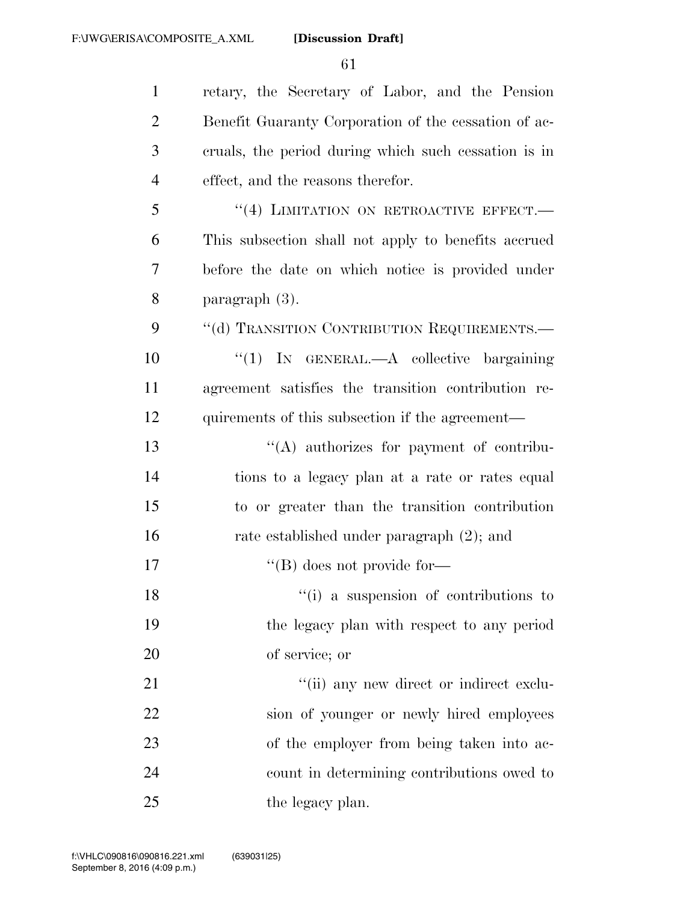retary, the Secretary of Labor, and the Pension Benefit Guaranty Corporation of the cessation of ac- cruals, the period during which such cessation is in effect, and the reasons therefor. 5 "(4) LIMITATION ON RETROACTIVE EFFECT.— This subsection shall not apply to benefits accrued before the date on which notice is provided under paragraph (3). 9 "(d) TRANSITION CONTRIBUTION REQUIREMENTS. ''(1) IN GENERAL.—A collective bargaining agreement satisfies the transition contribution re-12 quirements of this subsection if the agreement— ''(A) authorizes for payment of contribu- tions to a legacy plan at a rate or rates equal to or greater than the transition contribution rate established under paragraph (2); and  $\text{``(B) does not provide for—}$ 18 ''(i) a suspension of contributions to the legacy plan with respect to any period of service; or  $\frac{1}{1}$  any new direct or indirect exclu- sion of younger or newly hired employees of the employer from being taken into ac- count in determining contributions owed to 25 the legacy plan.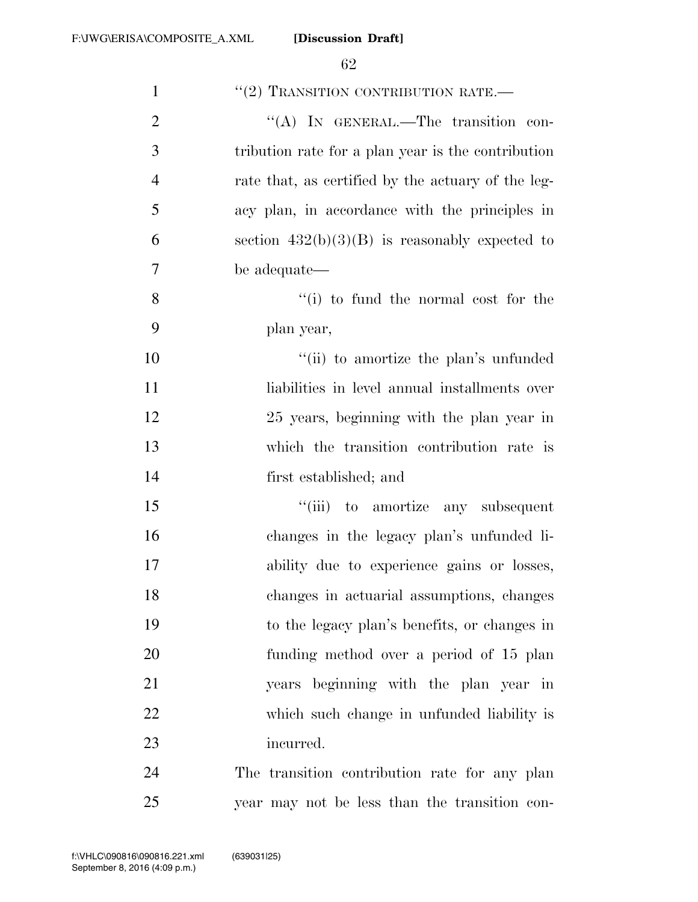| $\mathbf{1}$   | $\lq (2)$ TRANSITION CONTRIBUTION RATE.—           |
|----------------|----------------------------------------------------|
| $\overline{2}$ | "(A) IN GENERAL.—The transition con-               |
| 3              | tribution rate for a plan year is the contribution |
| $\overline{4}$ | rate that, as certified by the actuary of the leg- |
| 5              | acy plan, in accordance with the principles in     |
| 6              | section $432(b)(3)(B)$ is reasonably expected to   |
| 7              | be adequate—                                       |
| 8              | $f(i)$ to fund the normal cost for the             |
| 9              | plan year,                                         |
| 10             | "(ii) to amortize the plan's unfunded              |
| 11             | liabilities in level annual installments over      |
| 12             | 25 years, beginning with the plan year in          |
| 13             | which the transition contribution rate is          |
| 14             | first established; and                             |
| 15             | "(iii) to amortize any subsequent                  |
| 16             | changes in the legacy plan's unfunded li-          |
| 17             | ability due to experience gains or losses,         |
| 18             | changes in actuarial assumptions, changes          |
| 19             | to the legacy plan's benefits, or changes in       |
| 20             | funding method over a period of 15 plan            |
| 21             | years beginning with the plan year in              |
| 22             | which such change in unfunded liability is         |
| 23             | incurred.                                          |
| 24             | The transition contribution rate for any plan      |
| 25             | year may not be less than the transition con-      |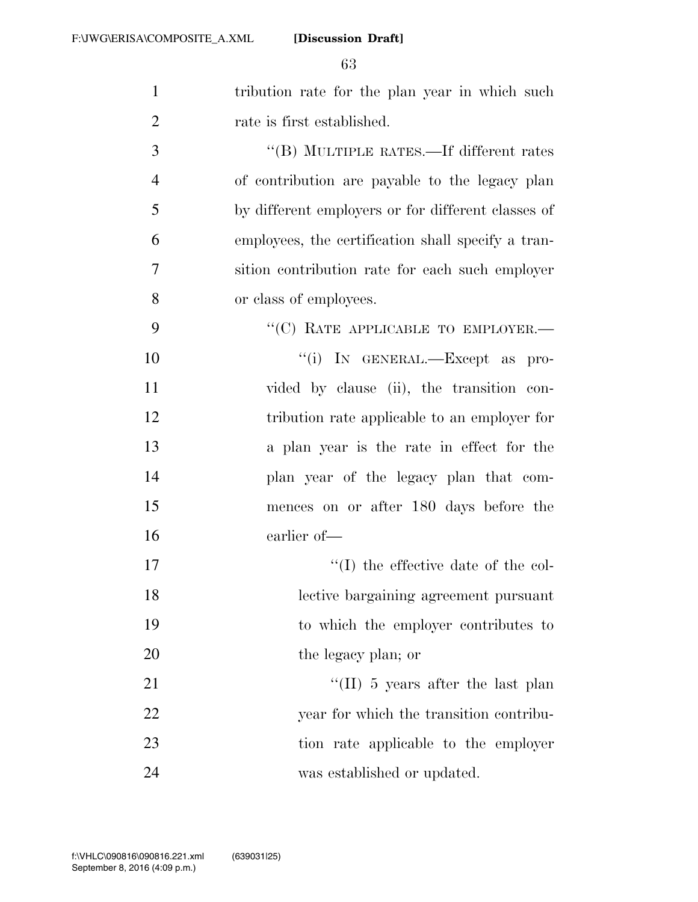| $\mathbf{1}$   | tribution rate for the plan year in which such     |
|----------------|----------------------------------------------------|
| $\overline{2}$ | rate is first established.                         |
| 3              | "(B) MULTIPLE RATES.—If different rates            |
| $\overline{4}$ | of contribution are payable to the legacy plan     |
| 5              | by different employers or for different classes of |
| 6              | employees, the certification shall specify a tran- |
| 7              | sition contribution rate for each such employer    |
| 8              | or class of employees.                             |
| 9              | "(C) RATE APPLICABLE TO EMPLOYER.-                 |
| 10             | "(i) IN GENERAL.—Except as pro-                    |
| 11             | vided by clause (ii), the transition con-          |
| 12             | tribution rate applicable to an employer for       |
| 13             | a plan year is the rate in effect for the          |
| 14             | plan year of the legacy plan that com-             |
| 15             | mences on or after 180 days before the             |
| 16             | earlier of-                                        |
| 17             | $\lq$ (I) the effective date of the col-           |
| 18             | lective bargaining agreement pursuant              |
| 19             | to which the employer contributes to               |
| 20             | the legacy plan; or                                |
| 21             | "(II) 5 years after the last plan                  |
| 22             | year for which the transition contribu-            |
| 23             | tion rate applicable to the employer               |
| 24             | was established or updated.                        |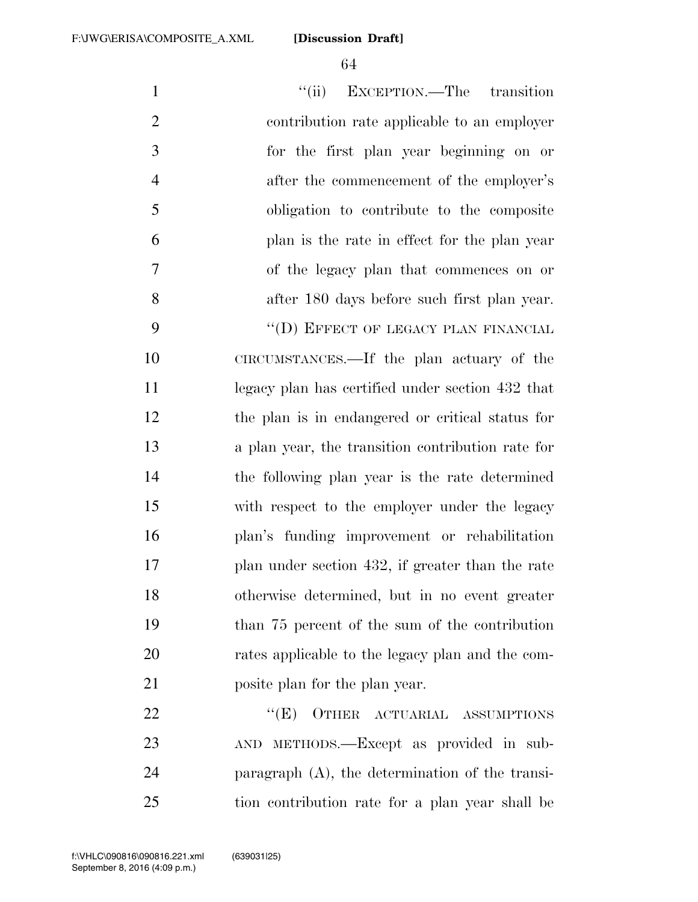1 ''(ii) EXCEPTION.—The transition contribution rate applicable to an employer for the first plan year beginning on or 4 after the commencement of the employer's obligation to contribute to the composite plan is the rate in effect for the plan year of the legacy plan that commences on or after 180 days before such first plan year. 9 "(D) EFFECT OF LEGACY PLAN FINANCIAL CIRCUMSTANCES.—If the plan actuary of the legacy plan has certified under section 432 that the plan is in endangered or critical status for a plan year, the transition contribution rate for the following plan year is the rate determined with respect to the employer under the legacy plan's funding improvement or rehabilitation plan under section 432, if greater than the rate otherwise determined, but in no event greater than 75 percent of the sum of the contribution rates applicable to the legacy plan and the com- posite plan for the plan year. 22 "(E) OTHER ACTUARIAL ASSUMPTIONS AND METHODS.—Except as provided in sub-paragraph (A), the determination of the transi-

tion contribution rate for a plan year shall be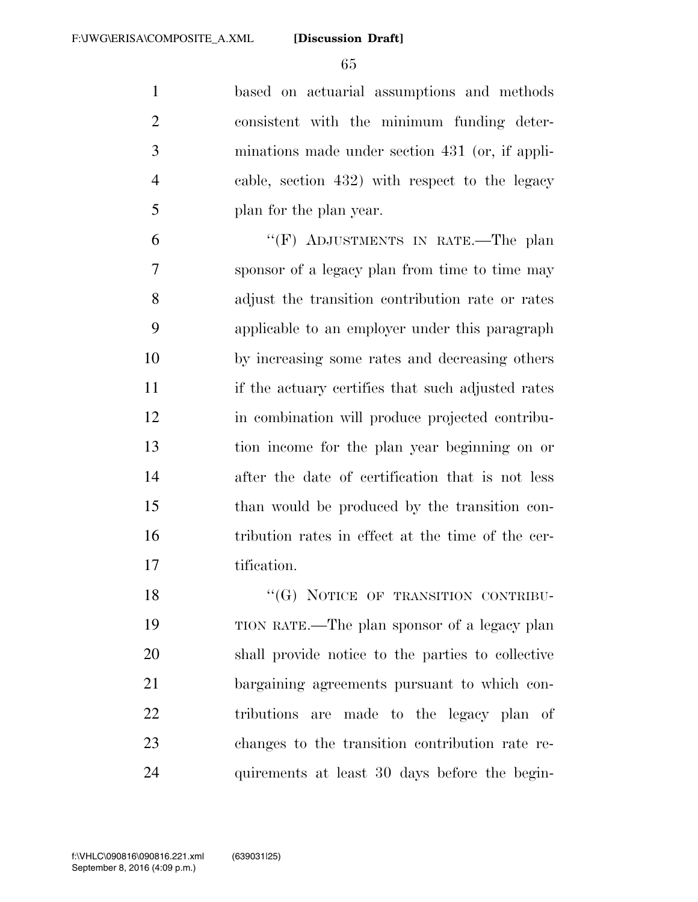based on actuarial assumptions and methods consistent with the minimum funding deter- minations made under section 431 (or, if appli- cable, section 432) with respect to the legacy plan for the plan year.

 ''(F) ADJUSTMENTS IN RATE.—The plan sponsor of a legacy plan from time to time may adjust the transition contribution rate or rates applicable to an employer under this paragraph by increasing some rates and decreasing others if the actuary certifies that such adjusted rates in combination will produce projected contribu- tion income for the plan year beginning on or after the date of certification that is not less than would be produced by the transition con- tribution rates in effect at the time of the cer-tification.

18 "(G) NOTICE OF TRANSITION CONTRIBU- TION RATE.—The plan sponsor of a legacy plan shall provide notice to the parties to collective bargaining agreements pursuant to which con- tributions are made to the legacy plan of changes to the transition contribution rate re-quirements at least 30 days before the begin-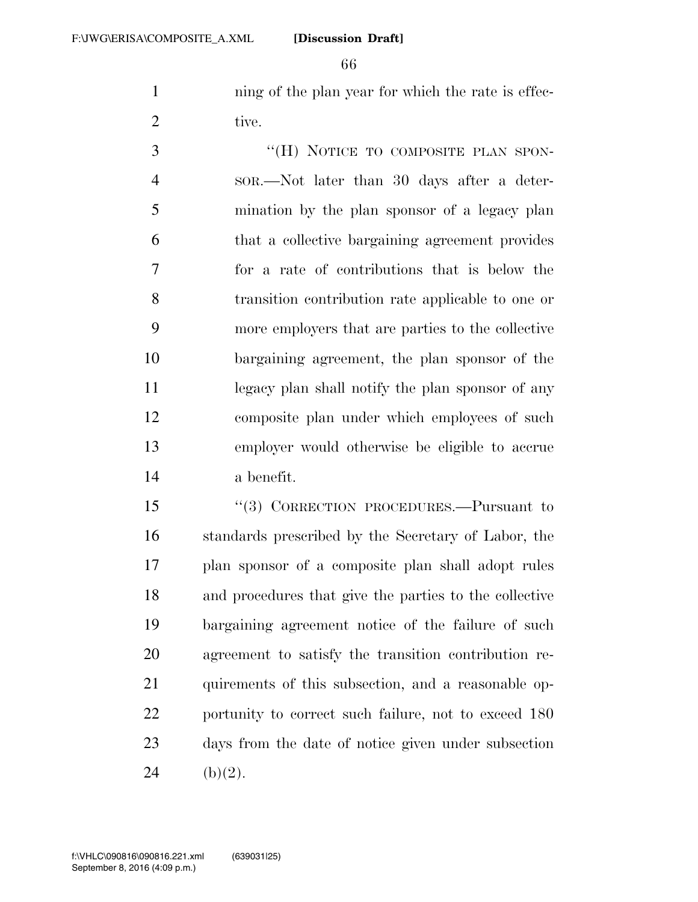1 ning of the plan year for which the rate is effec-2 tive.

3 "(H) NOTICE TO COMPOSITE PLAN SPON- SOR.—Not later than 30 days after a deter- mination by the plan sponsor of a legacy plan that a collective bargaining agreement provides for a rate of contributions that is below the transition contribution rate applicable to one or more employers that are parties to the collective bargaining agreement, the plan sponsor of the legacy plan shall notify the plan sponsor of any composite plan under which employees of such employer would otherwise be eligible to accrue a benefit.

 ''(3) CORRECTION PROCEDURES.—Pursuant to standards prescribed by the Secretary of Labor, the plan sponsor of a composite plan shall adopt rules and procedures that give the parties to the collective bargaining agreement notice of the failure of such agreement to satisfy the transition contribution re- quirements of this subsection, and a reasonable op-22 portunity to correct such failure, not to exceed 180 days from the date of notice given under subsection 24 (b)(2).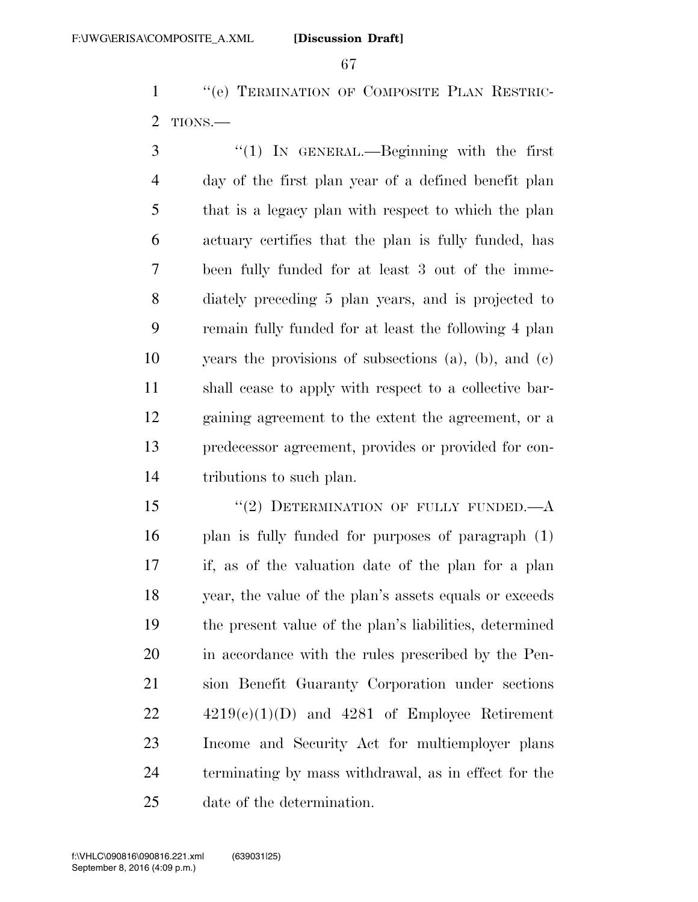''(e) TERMINATION OF COMPOSITE PLAN RESTRIC-TIONS.—

 ''(1) IN GENERAL.—Beginning with the first day of the first plan year of a defined benefit plan that is a legacy plan with respect to which the plan actuary certifies that the plan is fully funded, has been fully funded for at least 3 out of the imme- diately preceding 5 plan years, and is projected to remain fully funded for at least the following 4 plan years the provisions of subsections (a), (b), and (c) shall cease to apply with respect to a collective bar- gaining agreement to the extent the agreement, or a predecessor agreement, provides or provided for con-tributions to such plan.

15 "(2) DETERMINATION OF FULLY FUNDED.—A plan is fully funded for purposes of paragraph (1) if, as of the valuation date of the plan for a plan year, the value of the plan's assets equals or exceeds the present value of the plan's liabilities, determined in accordance with the rules prescribed by the Pen- sion Benefit Guaranty Corporation under sections  $22 \qquad \qquad 4219(c)(1)(D)$  and  $4281$  of Employee Retirement Income and Security Act for multiemployer plans terminating by mass withdrawal, as in effect for the date of the determination.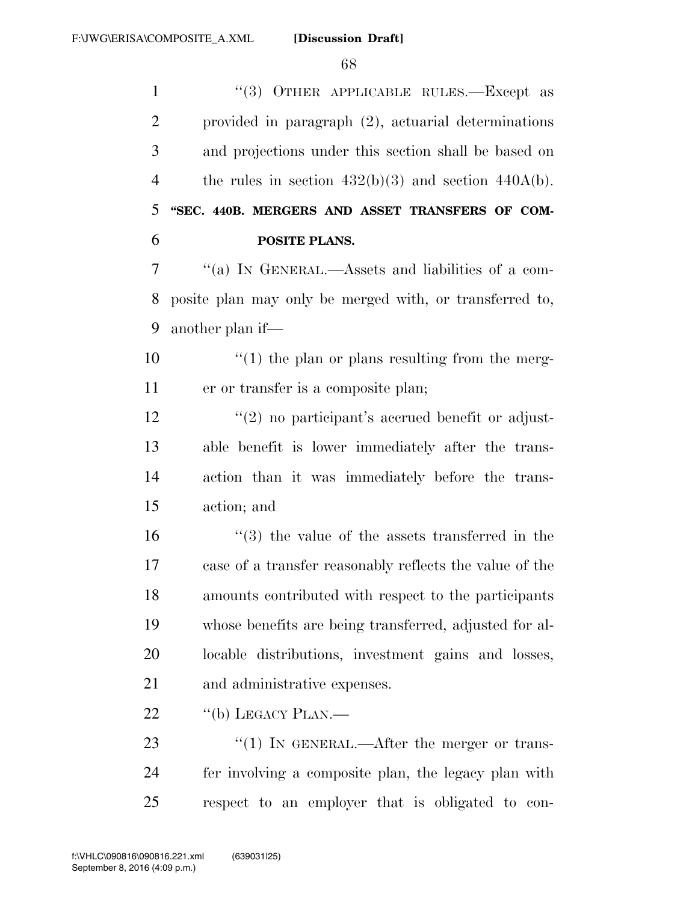''(3) OTHER APPLICABLE RULES.—Except as provided in paragraph (2), actuarial determinations and projections under this section shall be based on 4 the rules in section  $432(b)(3)$  and section  $440A(b)$ . **''SEC. 440B. MERGERS AND ASSET TRANSFERS OF COM- POSITE PLANS.**  ''(a) IN GENERAL.—Assets and liabilities of a com- posite plan may only be merged with, or transferred to, another plan if—  $\frac{10}{2}$  <sup>''</sup>(1) the plan or plans resulting from the merg- er or transfer is a composite plan;  $\frac{12}{2}$  ''(2) no participant's accrued benefit or adjust- able benefit is lower immediately after the trans- action than it was immediately before the trans- action; and ''(3) the value of the assets transferred in the case of a transfer reasonably reflects the value of the amounts contributed with respect to the participants whose benefits are being transferred, adjusted for al- locable distributions, investment gains and losses, and administrative expenses. 22 "(b) LEGACY PLAN.—  $\frac{1}{2}$  (1) In GENERAL.—After the merger or trans-fer involving a composite plan, the legacy plan with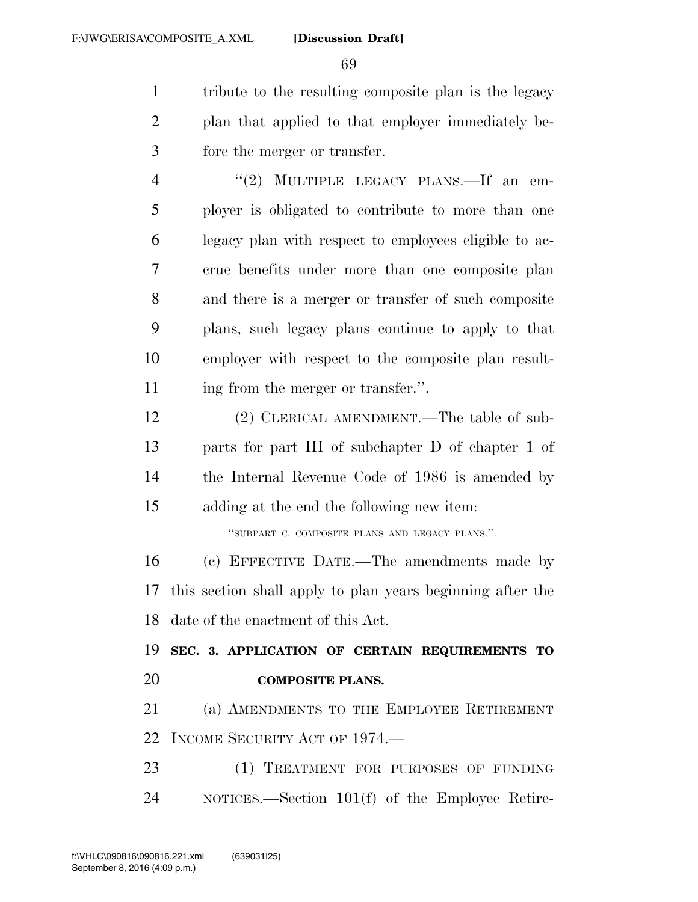tribute to the resulting composite plan is the legacy plan that applied to that employer immediately be-fore the merger or transfer.

4 "(2) MULTIPLE LEGACY PLANS.—If an em- ployer is obligated to contribute to more than one legacy plan with respect to employees eligible to ac- crue benefits under more than one composite plan and there is a merger or transfer of such composite plans, such legacy plans continue to apply to that employer with respect to the composite plan result-11 ing from the merger or transfer.".

 (2) CLERICAL AMENDMENT.—The table of sub- parts for part III of subchapter D of chapter 1 of the Internal Revenue Code of 1986 is amended by adding at the end the following new item:

''SUBPART C. COMPOSITE PLANS AND LEGACY PLANS.''.

 (c) EFFECTIVE DATE.—The amendments made by this section shall apply to plan years beginning after the date of the enactment of this Act.

 **SEC. 3. APPLICATION OF CERTAIN REQUIREMENTS TO COMPOSITE PLANS.** 

 (a) AMENDMENTS TO THE EMPLOYEE RETIREMENT INCOME SECURITY ACT OF 1974.—

 (1) TREATMENT FOR PURPOSES OF FUNDING NOTICES.—Section 101(f) of the Employee Retire-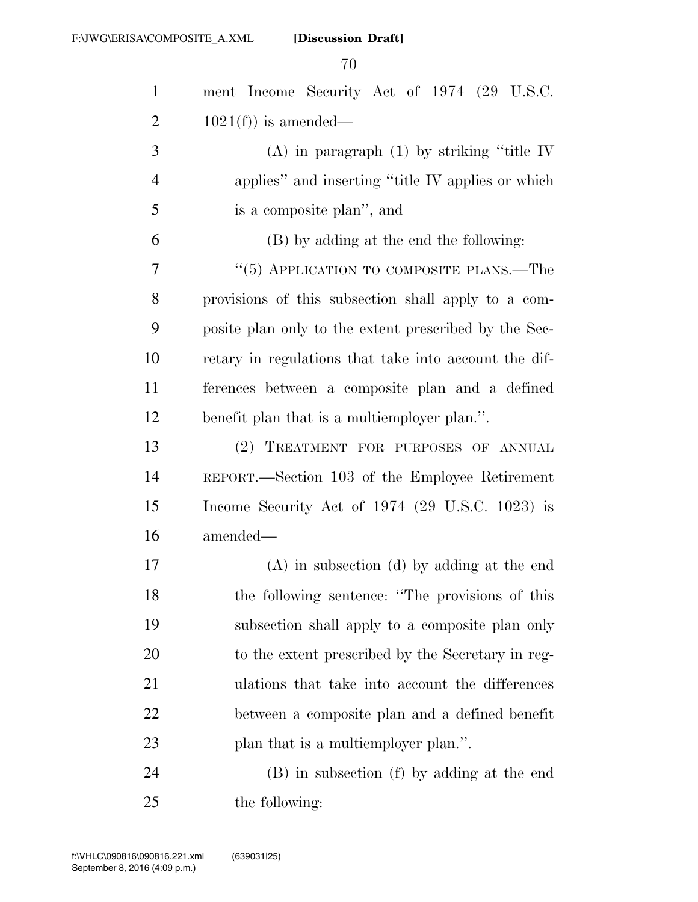| $\mathbf{1}$   | ment Income Security Act of 1974 (29 U.S.C.           |
|----------------|-------------------------------------------------------|
| $\overline{2}$ | $1021(f)$ is amended—                                 |
| 3              | (A) in paragraph $(1)$ by striking "title IV          |
| $\overline{4}$ | applies" and inserting "title IV applies or which     |
| 5              | is a composite plan", and                             |
| 6              | (B) by adding at the end the following:               |
| 7              | " $(5)$ APPLICATION TO COMPOSITE PLANS.—The           |
| 8              | provisions of this subsection shall apply to a com-   |
| 9              | posite plan only to the extent prescribed by the Sec- |
| 10             | retary in regulations that take into account the dif- |
| 11             | ferences between a composite plan and a defined       |
| 12             | benefit plan that is a multiemployer plan.".          |
| 13             | (2) TREATMENT FOR PURPOSES OF ANNUAL                  |
| 14             | REPORT.—Section 103 of the Employee Retirement        |
| 15             | Income Security Act of $1974$ (29 U.S.C. 1023) is     |
| 16             | amended—                                              |
| 17             | $(A)$ in subsection $(d)$ by adding at the end        |
| 18             | the following sentence: "The provisions of this       |
| 19             | subsection shall apply to a composite plan only       |
| 20             | to the extent prescribed by the Secretary in reg-     |
| 21             | ulations that take into account the differences       |
| 22             | between a composite plan and a defined benefit        |
| 23             | plan that is a multiemployer plan.".                  |
| 24             | (B) in subsection (f) by adding at the end            |
| 25             | the following:                                        |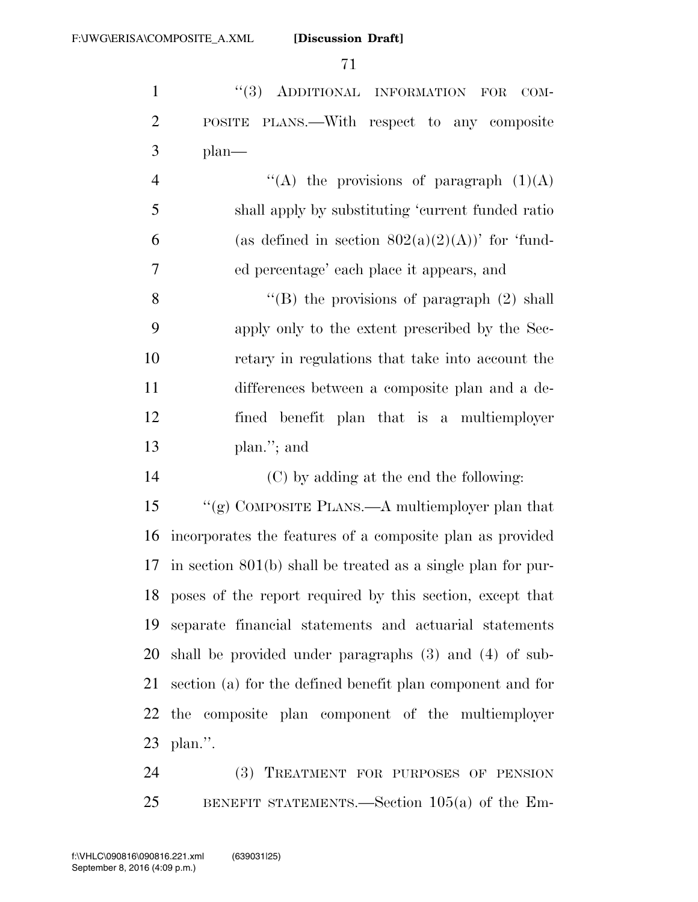1 "(3) ADDITIONAL INFORMATION FOR COM- POSITE PLANS.—With respect to any composite plan—

 $\langle (A)$  the provisions of paragraph  $(1)(A)$  shall apply by substituting 'current funded ratio 6 (as defined in section  $802(a)(2)(A)$ )' for 'fund-ed percentage' each place it appears, and

8 ''(B) the provisions of paragraph (2) shall apply only to the extent prescribed by the Sec- retary in regulations that take into account the differences between a composite plan and a de- fined benefit plan that is a multiemployer plan.''; and

(C) by adding at the end the following:

 ''(g) COMPOSITE PLANS.—A multiemployer plan that incorporates the features of a composite plan as provided in section 801(b) shall be treated as a single plan for pur- poses of the report required by this section, except that separate financial statements and actuarial statements shall be provided under paragraphs (3) and (4) of sub- section (a) for the defined benefit plan component and for the composite plan component of the multiemployer plan.''.

 (3) TREATMENT FOR PURPOSES OF PENSION BENEFIT STATEMENTS.—Section 105(a) of the Em-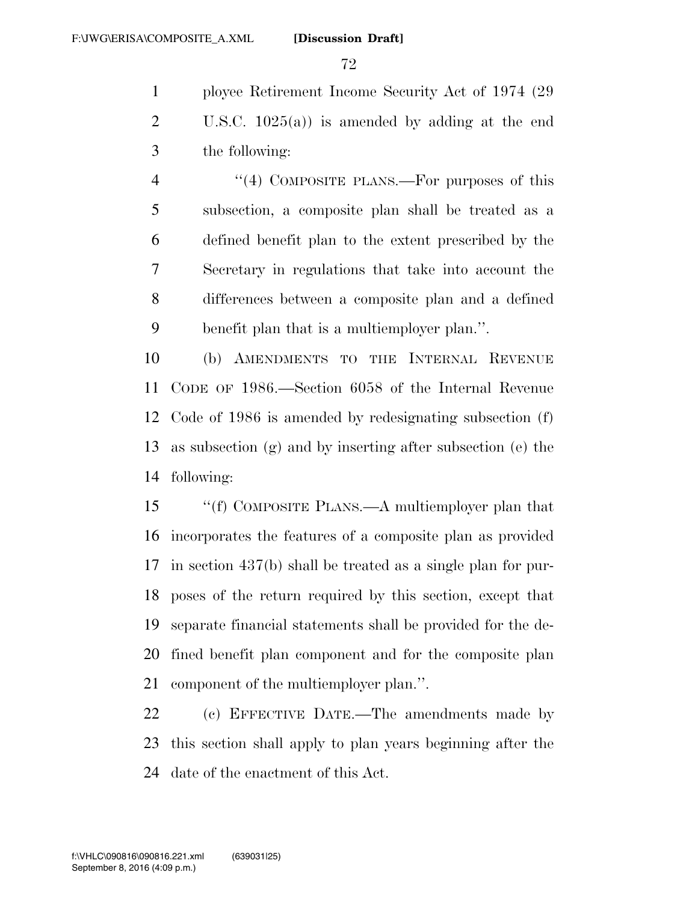ployee Retirement Income Security Act of 1974 (29 U.S.C. 1025(a)) is amended by adding at the end the following:

4 "(4) COMPOSITE PLANS.—For purposes of this subsection, a composite plan shall be treated as a defined benefit plan to the extent prescribed by the Secretary in regulations that take into account the differences between a composite plan and a defined benefit plan that is a multiemployer plan.''.

 (b) AMENDMENTS TO THE INTERNAL REVENUE CODE OF 1986.—Section 6058 of the Internal Revenue Code of 1986 is amended by redesignating subsection (f) as subsection (g) and by inserting after subsection (e) the following:

 ''(f) COMPOSITE PLANS.—A multiemployer plan that incorporates the features of a composite plan as provided in section 437(b) shall be treated as a single plan for pur- poses of the return required by this section, except that separate financial statements shall be provided for the de- fined benefit plan component and for the composite plan component of the multiemployer plan.''.

 (c) EFFECTIVE DATE.—The amendments made by this section shall apply to plan years beginning after the date of the enactment of this Act.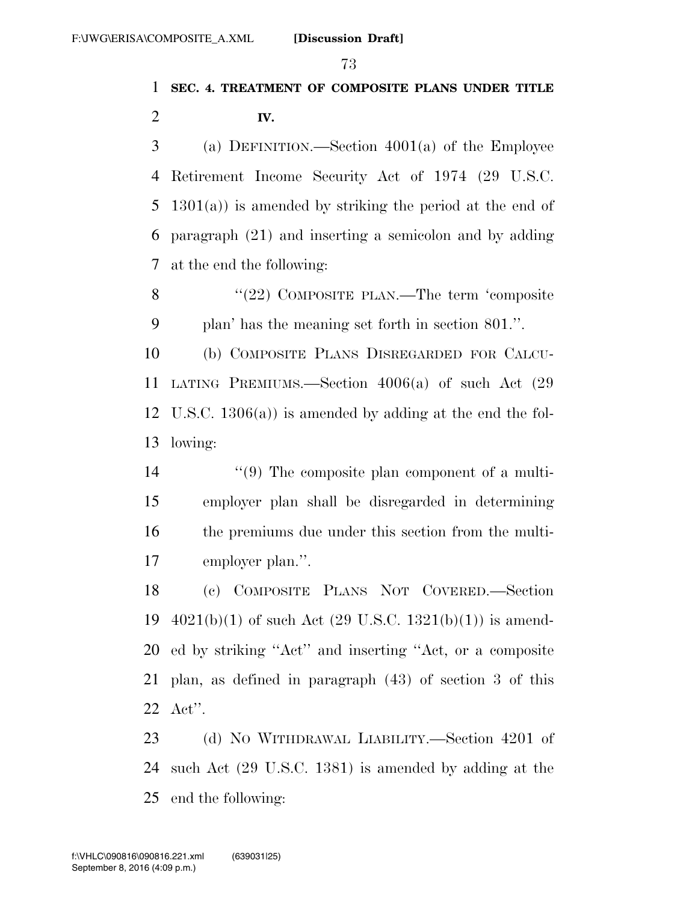# **SEC. 4. TREATMENT OF COMPOSITE PLANS UNDER TITLE IV.**

 (a) DEFINITION.—Section 4001(a) of the Employee Retirement Income Security Act of 1974 (29 U.S.C. 1301(a)) is amended by striking the period at the end of paragraph (21) and inserting a semicolon and by adding at the end the following:

8 "(22) COMPOSITE PLAN.—The term 'composite plan' has the meaning set forth in section 801.''.

 (b) COMPOSITE PLANS DISREGARDED FOR CALCU- LATING PREMIUMS.—Section 4006(a) of such Act (29 U.S.C. 1306(a)) is amended by adding at the end the fol-lowing:

14 ''(9) The composite plan component of a multi- employer plan shall be disregarded in determining the premiums due under this section from the multi-employer plan.''.

 (c) COMPOSITE PLANS NOT COVERED.—Section  $4021(b)(1)$  of such Act  $(29 \text{ U.S.C. } 1321(b)(1))$  is amend- ed by striking ''Act'' and inserting ''Act, or a composite plan, as defined in paragraph (43) of section 3 of this Act''.

23 (d) No WITHDRAWAL LIABILITY.—Section 4201 of such Act (29 U.S.C. 1381) is amended by adding at the end the following: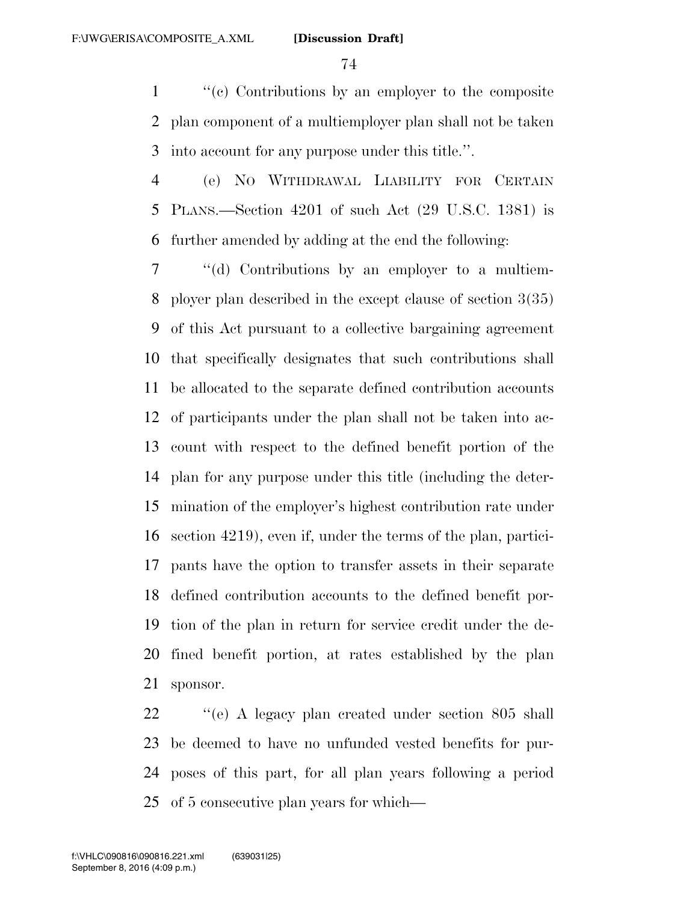''(c) Contributions by an employer to the composite plan component of a multiemployer plan shall not be taken into account for any purpose under this title.''.

 (e) NO WITHDRAWAL LIABILITY FOR CERTAIN PLANS.—Section 4201 of such Act (29 U.S.C. 1381) is further amended by adding at the end the following:

 ''(d) Contributions by an employer to a multiem- ployer plan described in the except clause of section 3(35) of this Act pursuant to a collective bargaining agreement that specifically designates that such contributions shall be allocated to the separate defined contribution accounts of participants under the plan shall not be taken into ac- count with respect to the defined benefit portion of the plan for any purpose under this title (including the deter- mination of the employer's highest contribution rate under section 4219), even if, under the terms of the plan, partici- pants have the option to transfer assets in their separate defined contribution accounts to the defined benefit por- tion of the plan in return for service credit under the de- fined benefit portion, at rates established by the plan sponsor.

22 ''(e) A legacy plan created under section 805 shall be deemed to have no unfunded vested benefits for pur- poses of this part, for all plan years following a period of 5 consecutive plan years for which—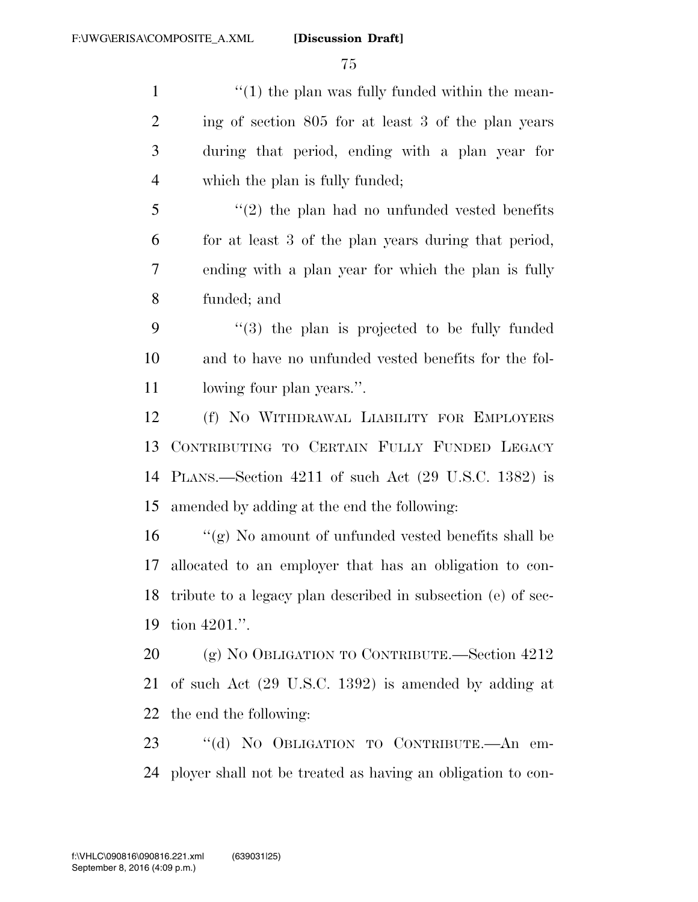1 ''(1) the plan was fully funded within the mean- ing of section 805 for at least 3 of the plan years during that period, ending with a plan year for which the plan is fully funded; ''(2) the plan had no unfunded vested benefits for at least 3 of the plan years during that period, ending with a plan year for which the plan is fully funded; and ''(3) the plan is projected to be fully funded and to have no unfunded vested benefits for the fol- lowing four plan years.''. (f) NO WITHDRAWAL LIABILITY FOR EMPLOYERS CONTRIBUTING TO CERTAIN FULLY FUNDED LEGACY PLANS.—Section 4211 of such Act (29 U.S.C. 1382) is amended by adding at the end the following: ''(g) No amount of unfunded vested benefits shall be allocated to an employer that has an obligation to con-

 tribute to a legacy plan described in subsection (e) of sec-tion 4201.''.

 (g) NO OBLIGATION TO CONTRIBUTE.—Section 4212 of such Act (29 U.S.C. 1392) is amended by adding at the end the following:

 ''(d) NO OBLIGATION TO CONTRIBUTE.—An em-ployer shall not be treated as having an obligation to con-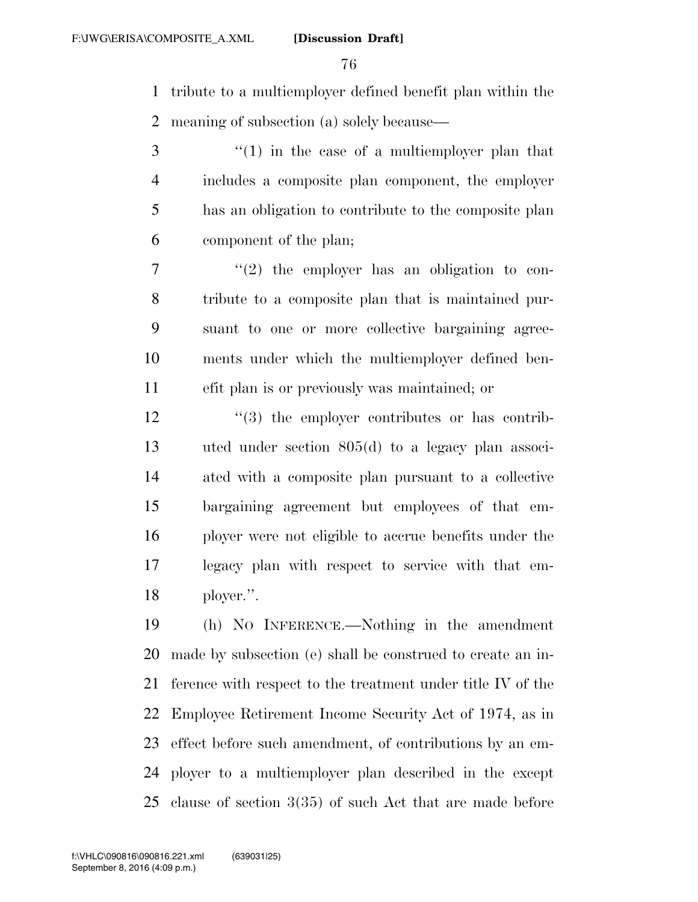tribute to a multiemployer defined benefit plan within the meaning of subsection (a) solely because—

 ''(1) in the case of a multiemployer plan that includes a composite plan component, the employer has an obligation to contribute to the composite plan component of the plan;

 $7 \t$  ''(2) the employer has an obligation to con- tribute to a composite plan that is maintained pur- suant to one or more collective bargaining agree- ments under which the multiemployer defined ben-efit plan is or previously was maintained; or

 $\frac{12}{2}$   $\frac{12}{2}$  the employer contributes or has contrib- uted under section 805(d) to a legacy plan associ- ated with a composite plan pursuant to a collective bargaining agreement but employees of that em- ployer were not eligible to accrue benefits under the legacy plan with respect to service with that em-ployer.''.

 (h) NO INFERENCE.—Nothing in the amendment made by subsection (e) shall be construed to create an in- ference with respect to the treatment under title IV of the Employee Retirement Income Security Act of 1974, as in effect before such amendment, of contributions by an em- ployer to a multiemployer plan described in the except clause of section 3(35) of such Act that are made before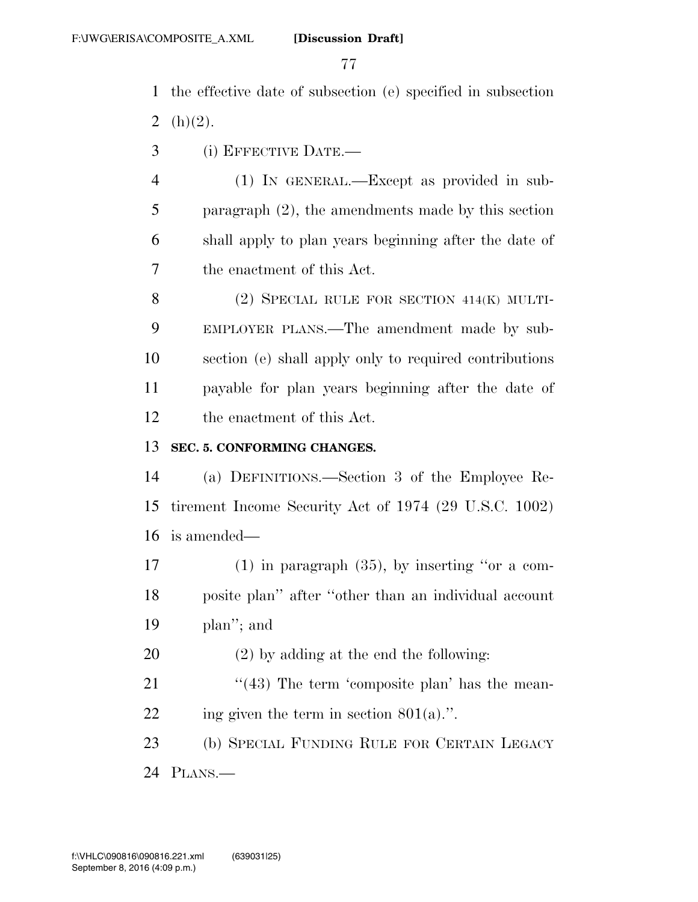the effective date of subsection (e) specified in subsection 2  $(h)(2)$ .

(i) EFFECTIVE DATE.—

 (1) IN GENERAL.—Except as provided in sub- paragraph (2), the amendments made by this section shall apply to plan years beginning after the date of the enactment of this Act.

 (2) SPECIAL RULE FOR SECTION 414(K) MULTI- EMPLOYER PLANS.—The amendment made by sub- section (e) shall apply only to required contributions payable for plan years beginning after the date of the enactment of this Act.

## **SEC. 5. CONFORMING CHANGES.**

 (a) DEFINITIONS.—Section 3 of the Employee Re- tirement Income Security Act of 1974 (29 U.S.C. 1002) is amended—

 (1) in paragraph (35), by inserting ''or a com- posite plan'' after ''other than an individual account plan''; and

(2) by adding at the end the following:

21  $\frac{43}{16}$  The term 'composite plan' has the mean-22 ing given the term in section  $801(a)$ .".

 (b) SPECIAL FUNDING RULE FOR CERTAIN LEGACY PLANS.—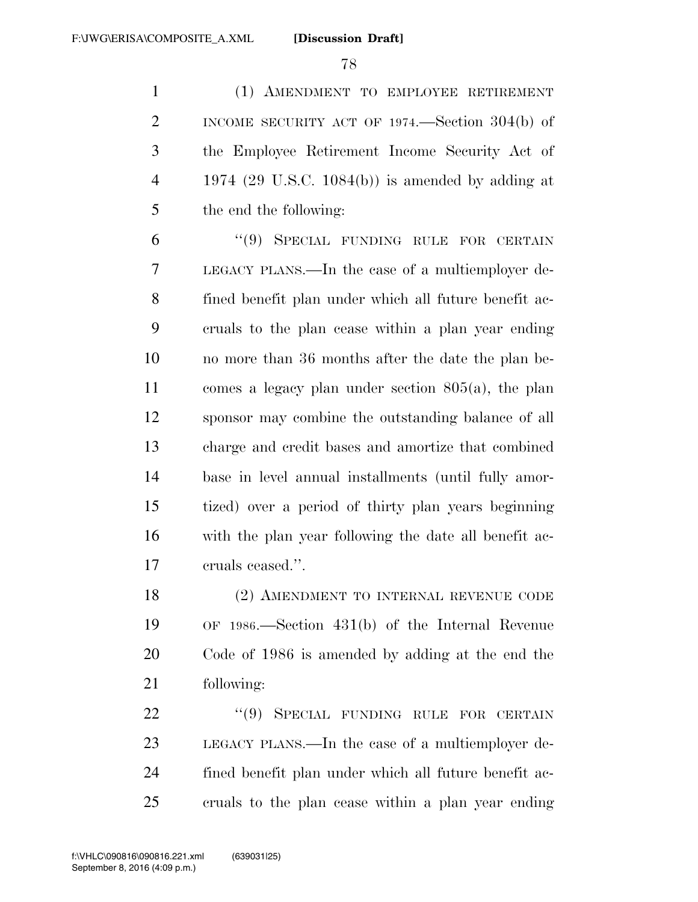(1) AMENDMENT TO EMPLOYEE RETIREMENT INCOME SECURITY ACT OF 1974.—Section 304(b) of the Employee Retirement Income Security Act of 1974 (29 U.S.C. 1084(b)) is amended by adding at the end the following:

 ''(9) SPECIAL FUNDING RULE FOR CERTAIN LEGACY PLANS.—In the case of a multiemployer de- fined benefit plan under which all future benefit ac- cruals to the plan cease within a plan year ending no more than 36 months after the date the plan be- comes a legacy plan under section 805(a), the plan sponsor may combine the outstanding balance of all charge and credit bases and amortize that combined base in level annual installments (until fully amor- tized) over a period of thirty plan years beginning with the plan year following the date all benefit ac-cruals ceased.''.

 (2) AMENDMENT TO INTERNAL REVENUE CODE OF 1986.—Section 431(b) of the Internal Revenue Code of 1986 is amended by adding at the end the following:

22 "(9) SPECIAL FUNDING RULE FOR CERTAIN LEGACY PLANS.—In the case of a multiemployer de- fined benefit plan under which all future benefit ac-cruals to the plan cease within a plan year ending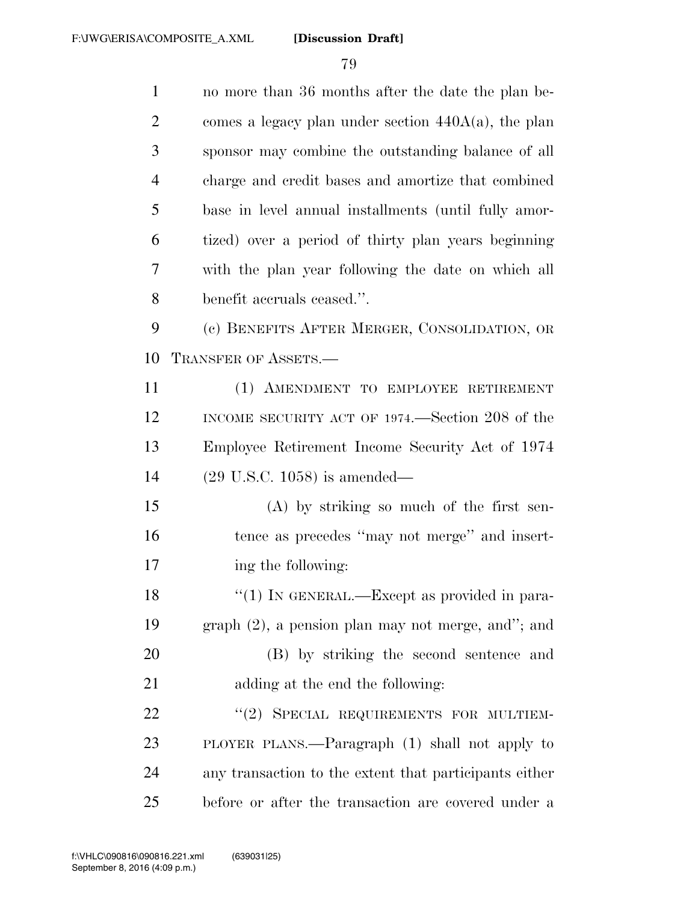| $\mathbf{1}$   | no more than 36 months after the date the plan be-     |
|----------------|--------------------------------------------------------|
| $\overline{2}$ | comes a legacy plan under section $440A(a)$ , the plan |
| 3              | sponsor may combine the outstanding balance of all     |
| $\overline{4}$ | charge and credit bases and amortize that combined     |
| 5              | base in level annual installments (until fully amor-   |
| 6              | tized) over a period of thirty plan years beginning    |
| 7              | with the plan year following the date on which all     |
| 8              | benefit accruals ceased.".                             |
| 9              | (c) BENEFITS AFTER MERGER, CONSOLIDATION, OR           |
| 10             | TRANSFER OF ASSETS.-                                   |
| 11             | (1) AMENDMENT TO EMPLOYEE RETIREMENT                   |
| 12             | INCOME SECURITY ACT OF 1974.—Section 208 of the        |
| 13             | Employee Retirement Income Security Act of 1974        |
| 14             | $(29 \text{ U.S.C. } 1058)$ is amended—                |
| 15             | (A) by striking so much of the first sen-              |
| 16             | tence as precedes "may not merge" and insert-          |
| 17             | ing the following:                                     |
| 18             | "(1) IN GENERAL.—Except as provided in para-           |
| 19             | $graph (2)$ , a pension plan may not merge, and"; and  |
| 20             | (B) by striking the second sentence and                |
| 21             | adding at the end the following:                       |
| 22             | "(2) SPECIAL REQUIREMENTS FOR MULTIEM-                 |
| 23             | PLOYER PLANS.—Paragraph (1) shall not apply to         |
| 24             | any transaction to the extent that participants either |
| 25             | before or after the transaction are covered under a    |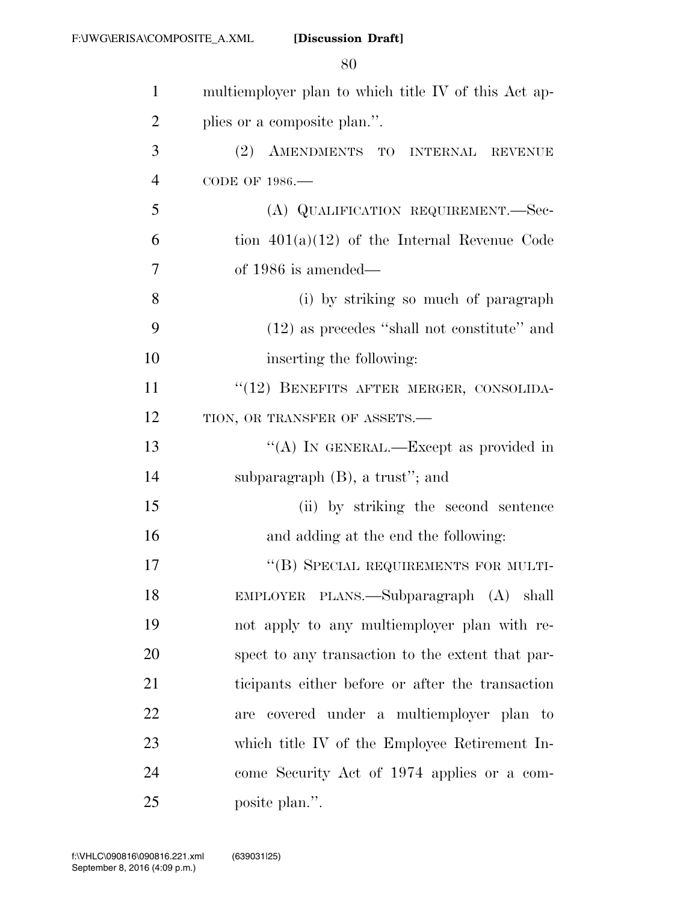| $\mathbf{1}$   | multiemployer plan to which title IV of this Act ap- |
|----------------|------------------------------------------------------|
| $\overline{2}$ | plies or a composite plan.".                         |
| 3              | (2) AMENDMENTS TO INTERNAL REVENUE                   |
| $\overline{4}$ | CODE OF 1986.-                                       |
| 5              | (A) QUALIFICATION REQUIREMENT.-Sec-                  |
| 6              | tion $401(a)(12)$ of the Internal Revenue Code       |
| 7              | of $1986$ is amended—                                |
| 8              | (i) by striking so much of paragraph                 |
| 9              | $(12)$ as precedes "shall not constitute" and        |
| 10             | inserting the following:                             |
| 11             | "(12) BENEFITS AFTER MERGER, CONSOLIDA-              |
| 12             | TION, OR TRANSFER OF ASSETS.-                        |
| 13             | "(A) IN GENERAL.—Except as provided in               |
| 14             | subparagraph $(B)$ , a trust"; and                   |
| 15             | (ii) by striking the second sentence                 |
| 16             | and adding at the end the following:                 |
| 17             | "(B) SPECIAL REQUIREMENTS FOR MULTI-                 |
| 18             | EMPLOYER PLANS.—Subparagraph (A) shall               |
| 19             | not apply to any multiemployer plan with re-         |
| 20             | spect to any transaction to the extent that par-     |
| 21             | ticipants either before or after the transaction     |
| 22             | are covered under a multiemployer plan to            |
| 23             | which title IV of the Employee Retirement In-        |
| 24             | come Security Act of 1974 applies or a com-          |
| 25             | posite plan.".                                       |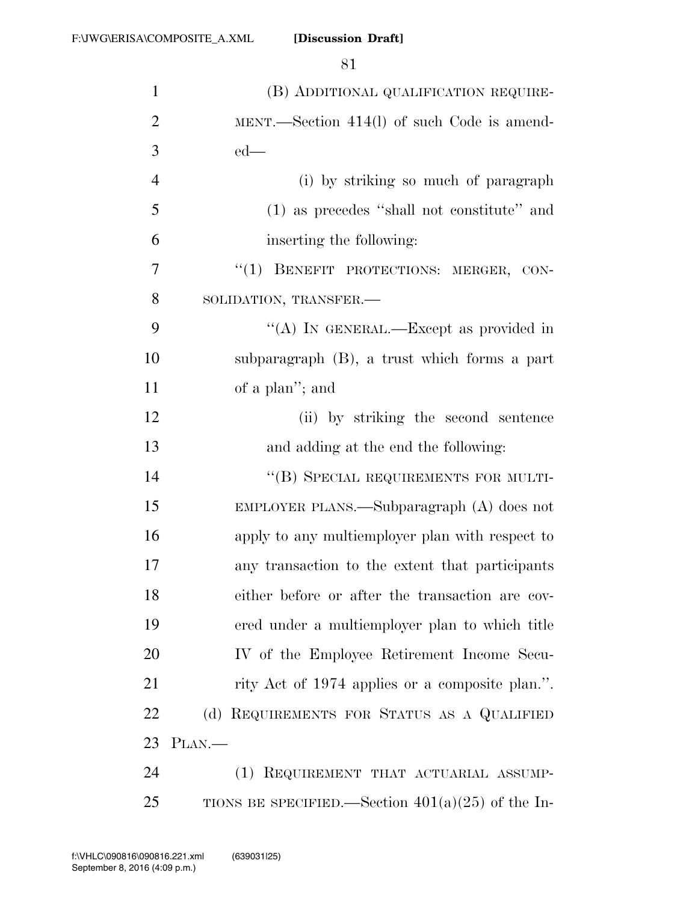| $\mathbf{1}$   | (B) ADDITIONAL QUALIFICATION REQUIRE-               |
|----------------|-----------------------------------------------------|
| $\overline{2}$ | MENT.—Section $414(l)$ of such Code is amend-       |
| 3              | $ed$ —                                              |
| $\overline{4}$ | (i) by striking so much of paragraph                |
| 5              | (1) as precedes "shall not constitute" and          |
| 6              | inserting the following:                            |
| 7              | "(1) BENEFIT PROTECTIONS: MERGER, CON-              |
| 8              | SOLIDATION, TRANSFER.-                              |
| 9              | "(A) IN GENERAL.—Except as provided in              |
| 10             | subparagraph (B), a trust which forms a part        |
| 11             | of a plan"; and                                     |
| 12             | (ii) by striking the second sentence                |
| 13             | and adding at the end the following:                |
| 14             | "(B) SPECIAL REQUIREMENTS FOR MULTI-                |
| 15             | EMPLOYER PLANS.—Subparagraph $(A)$ does not         |
| 16             | apply to any multiemployer plan with respect to     |
| 17             | any transaction to the extent that participants     |
| 18             | either before or after the transaction are cov-     |
| 19             | ered under a multiemployer plan to which title      |
| 20             | IV of the Employee Retirement Income Secu-          |
| 21             | rity Act of 1974 applies or a composite plan.".     |
| 22             | (d) REQUIREMENTS FOR STATUS AS A QUALIFIED          |
| 23             | $PLAN$ .                                            |
| 24             | (1) REQUIREMENT THAT ACTUARIAL ASSUMP-              |
| 25             | TIONS BE SPECIFIED.—Section $401(a)(25)$ of the In- |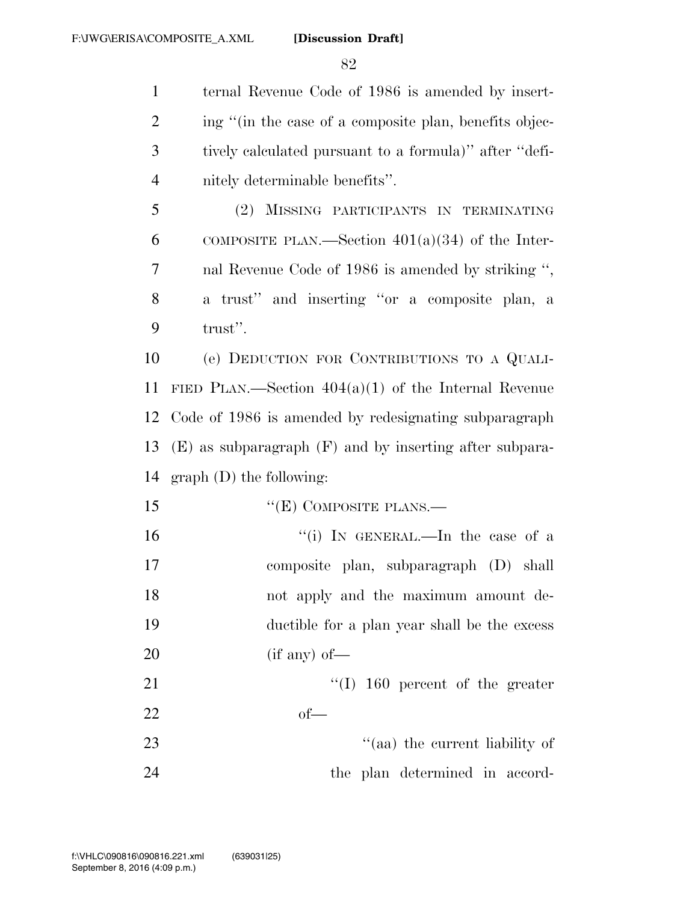ternal Revenue Code of 1986 is amended by insert-2 ing "(in the case of a composite plan, benefits objec- tively calculated pursuant to a formula)'' after ''defi-nitely determinable benefits''.

 (2) MISSING PARTICIPANTS IN TERMINATING 6 COMPOSITE PLAN.—Section  $401(a)(34)$  of the Inter- nal Revenue Code of 1986 is amended by striking '', a trust'' and inserting ''or a composite plan, a trust''.

 (e) DEDUCTION FOR CONTRIBUTIONS TO A QUALI- FIED PLAN.—Section 404(a)(1) of the Internal Revenue Code of 1986 is amended by redesignating subparagraph (E) as subparagraph (F) and by inserting after subpara-graph (D) the following:

- ''(E) COMPOSITE PLANS.—
- 16 ''(i) In GENERAL.—In the case of a composite plan, subparagraph (D) shall not apply and the maximum amount de- ductible for a plan year shall be the excess (if any) of —

21 ''(I) 160 percent of the greater of—

23 ''(aa) the current liability of the plan determined in accord-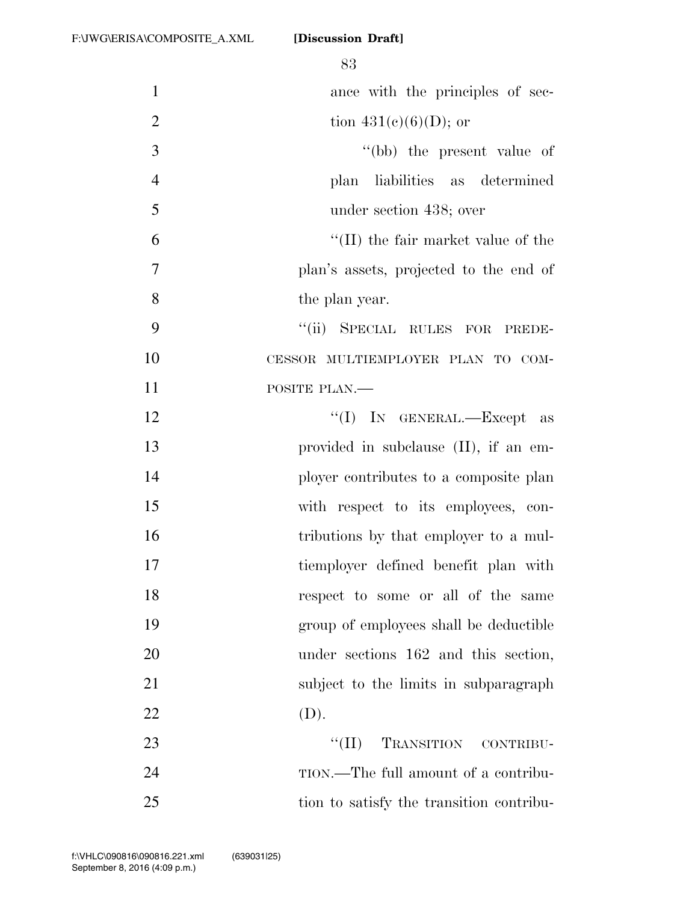|                | 83                                      |
|----------------|-----------------------------------------|
| $\mathbf{1}$   | ance with the principles of sec-        |
| $\overline{2}$ | tion 431(c)(6)(D); or                   |
| 3              | "(bb) the present value of              |
| $\overline{4}$ | plan liabilities as determined          |
| 5              | under section 438; over                 |
| 6              | $\lq$ (II) the fair market value of the |
| $\overline{7}$ | plan's assets, projected to the end of  |
| 8              | the plan year.                          |
| 9              | ``(ii)<br>SPECIAL RULES FOR PREDE-      |
| 10             | CESSOR MULTIEMPLOYER PLAN TO COM-       |
| 11             | POSITE PLAN.                            |
| 12             | "(I) IN GENERAL.—Except as              |
| 13             | provided in subclause (II), if an em-   |
| 14             | ployer contributes to a composite plan  |
| 15             | with respect to its employees, con-     |
| 16             | tributions by that employer to a mul-   |
| 17             | tiemployer defined benefit plan with    |
| 18             | respect to some or all of the same      |
| 19             | group of employees shall be deductible  |
| 20             | under sections 162 and this section,    |
| 21             | subject to the limits in subparagraph   |
| 22             | (D).                                    |
| 23             | ``(II)<br>TRANSITION CONTRIBU-          |
| 24             | TION.—The full amount of a contribu-    |

tion to satisfy the transition contribu-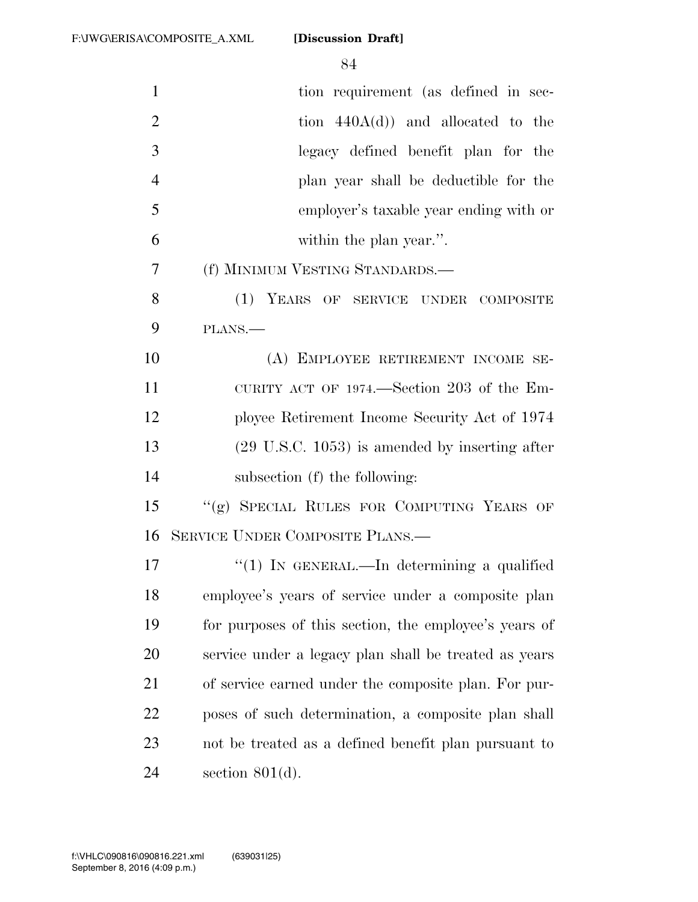| tion requirement (as defined in sec-                      |
|-----------------------------------------------------------|
| tion $440A(d)$ and allocated to the                       |
| legacy defined benefit plan for the                       |
| plan year shall be deductible for the                     |
| employer's taxable year ending with or                    |
| within the plan year.".                                   |
| (f) MINIMUM VESTING STANDARDS.—                           |
| (1) YEARS OF SERVICE UNDER COMPOSITE                      |
| PLANS.                                                    |
| (A) EMPLOYEE RETIREMENT INCOME SE-                        |
| CURITY ACT OF 1974.—Section 203 of the Em-                |
| ployee Retirement Income Security Act of 1974             |
| $(29 \text{ U.S.C. } 1053)$ is amended by inserting after |
| subsection (f) the following:                             |
| "(g) SPECIAL RULES FOR COMPUTING YEARS OF                 |
| <b>SERVICE UNDER COMPOSITE PLANS.—</b>                    |
| "(1) IN GENERAL.—In determining a qualified               |
| employee's years of service under a composite plan        |
| for purposes of this section, the employee's years of     |
| service under a legacy plan shall be treated as years     |
| of service earned under the composite plan. For pur-      |
| poses of such determination, a composite plan shall       |
| not be treated as a defined benefit plan pursuant to      |
| section $801(d)$ .                                        |
|                                                           |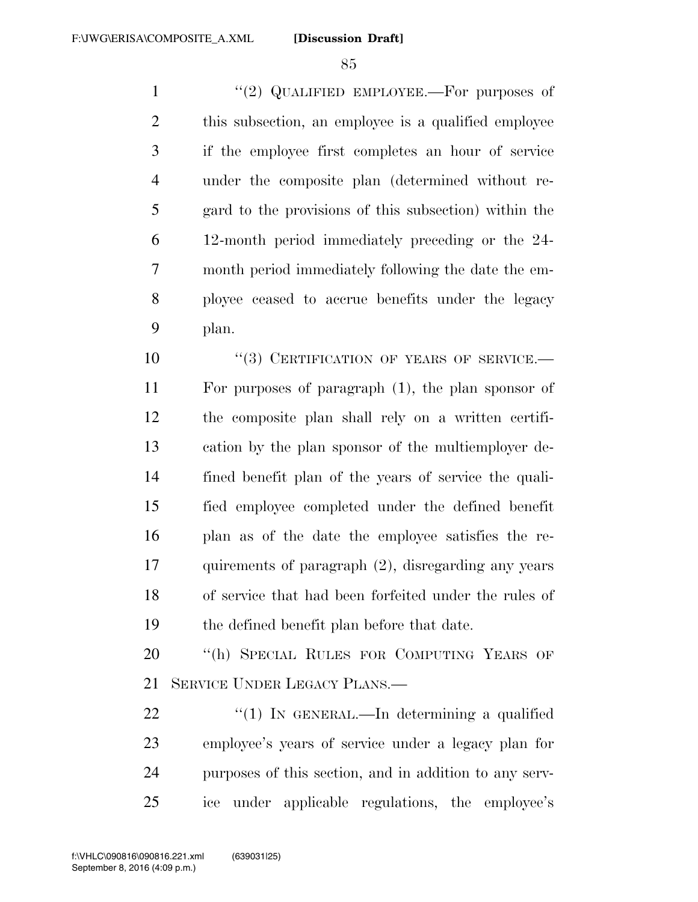1 "(2) QUALIFIED EMPLOYEE.—For purposes of this subsection, an employee is a qualified employee if the employee first completes an hour of service under the composite plan (determined without re- gard to the provisions of this subsection) within the 12-month period immediately preceding or the 24- month period immediately following the date the em- ployee ceased to accrue benefits under the legacy plan.

10 "(3) CERTIFICATION OF YEARS OF SERVICE.— For purposes of paragraph (1), the plan sponsor of the composite plan shall rely on a written certifi- cation by the plan sponsor of the multiemployer de- fined benefit plan of the years of service the quali- fied employee completed under the defined benefit plan as of the date the employee satisfies the re- quirements of paragraph (2), disregarding any years of service that had been forfeited under the rules of the defined benefit plan before that date.

20 "(h) SPECIAL RULES FOR COMPUTING YEARS OF SERVICE UNDER LEGACY PLANS.—

 $\frac{1}{2}$  (1) In GENERAL.—In determining a qualified employee's years of service under a legacy plan for purposes of this section, and in addition to any serv-ice under applicable regulations, the employee's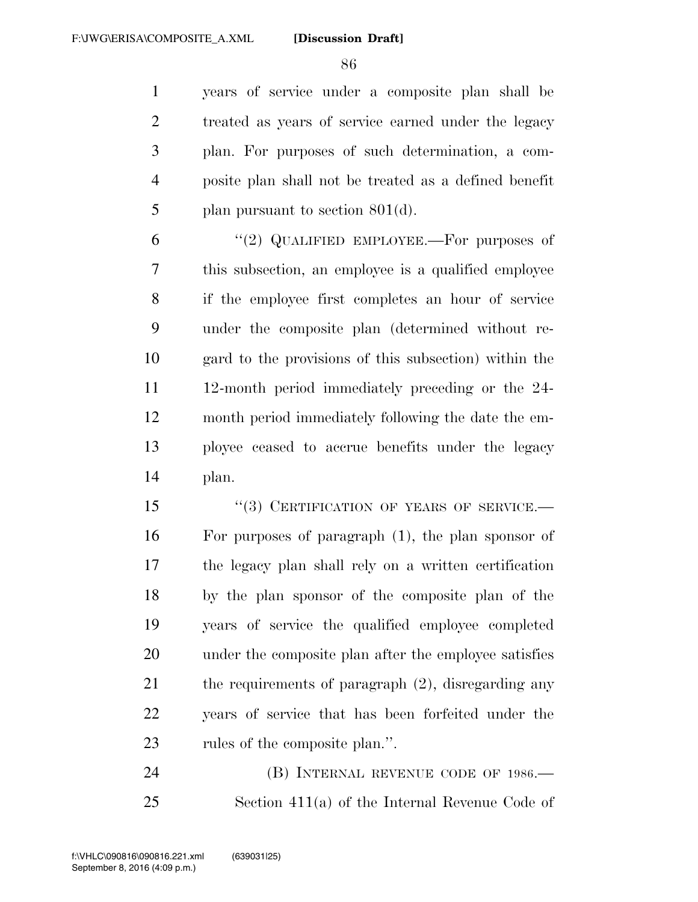years of service under a composite plan shall be treated as years of service earned under the legacy plan. For purposes of such determination, a com- posite plan shall not be treated as a defined benefit plan pursuant to section 801(d).

 $(2)$  QUALIFIED EMPLOYEE.—For purposes of this subsection, an employee is a qualified employee if the employee first completes an hour of service under the composite plan (determined without re- gard to the provisions of this subsection) within the 12-month period immediately preceding or the 24- month period immediately following the date the em- ployee ceased to accrue benefits under the legacy plan.

15 "(3) CERTIFICATION OF YEARS OF SERVICE.— For purposes of paragraph (1), the plan sponsor of the legacy plan shall rely on a written certification by the plan sponsor of the composite plan of the years of service the qualified employee completed under the composite plan after the employee satisfies the requirements of paragraph (2), disregarding any years of service that has been forfeited under the rules of the composite plan.''.

24 (B) INTERNAL REVENUE CODE OF 1986.— Section 411(a) of the Internal Revenue Code of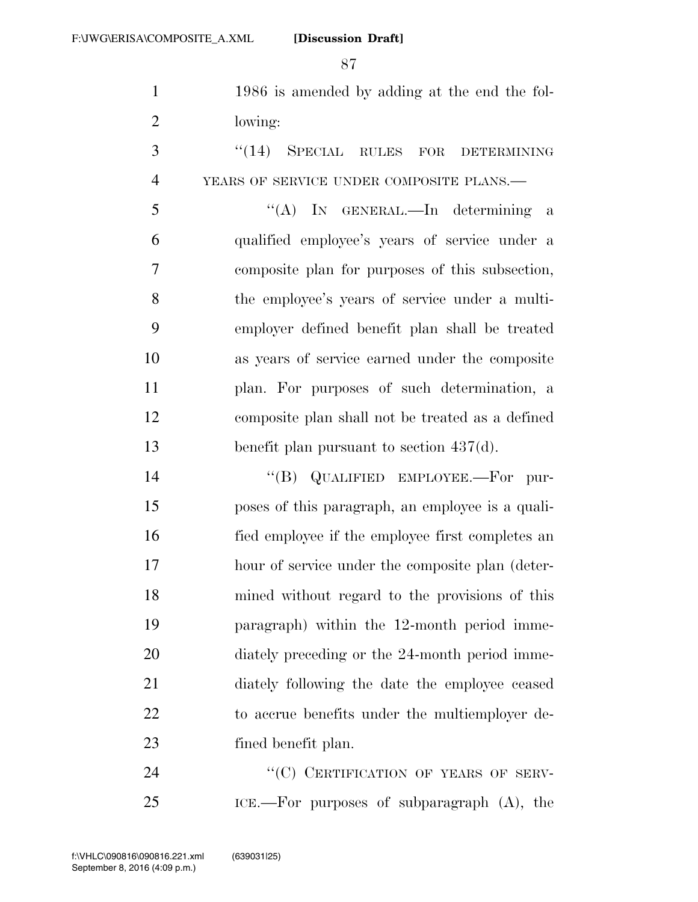1986 is amended by adding at the end the fol-lowing:

3 "(14) SPECIAL RULES FOR DETERMINING YEARS OF SERVICE UNDER COMPOSITE PLANS.—

 ''(A) IN GENERAL.—In determining a qualified employee's years of service under a composite plan for purposes of this subsection, the employee's years of service under a multi- employer defined benefit plan shall be treated as years of service earned under the composite plan. For purposes of such determination, a composite plan shall not be treated as a defined benefit plan pursuant to section 437(d).

14 "(B) QUALIFIED EMPLOYEE.—For pur- poses of this paragraph, an employee is a quali- fied employee if the employee first completes an hour of service under the composite plan (deter- mined without regard to the provisions of this paragraph) within the 12-month period imme-20 diately preceding or the 24-month period imme- diately following the date the employee ceased to accrue benefits under the multiemployer de-fined benefit plan.

24 "(C) CERTIFICATION OF YEARS OF SERV-ICE.—For purposes of subparagraph (A), the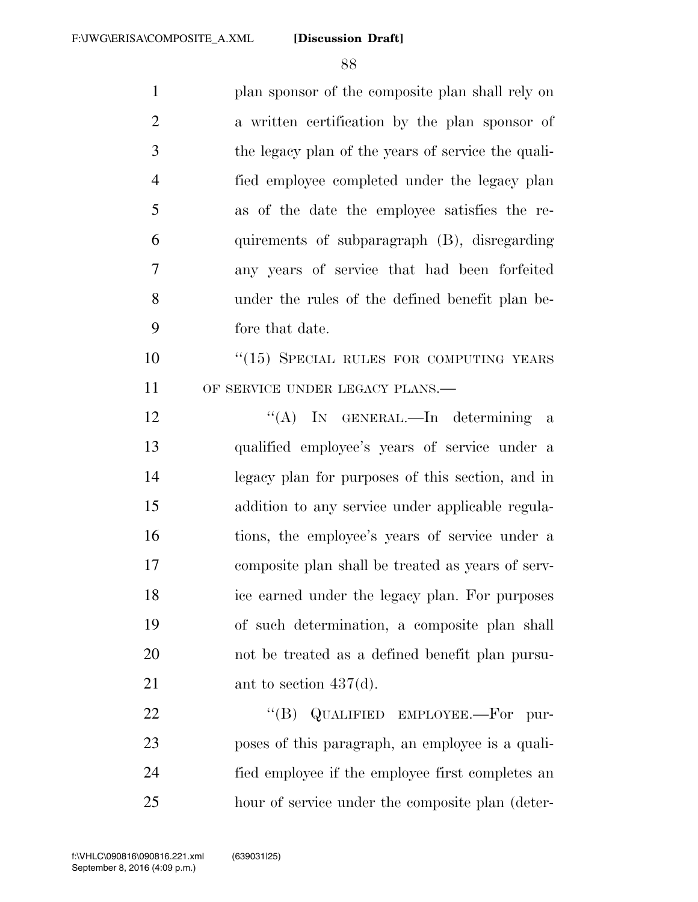plan sponsor of the composite plan shall rely on a written certification by the plan sponsor of the legacy plan of the years of service the quali- fied employee completed under the legacy plan as of the date the employee satisfies the re- quirements of subparagraph (B), disregarding any years of service that had been forfeited under the rules of the defined benefit plan be- fore that date. 10 "(15) SPECIAL RULES FOR COMPUTING YEARS 11 OF SERVICE UNDER LEGACY PLANS.—

12 "(A) In GENERAL.—In determining a qualified employee's years of service under a legacy plan for purposes of this section, and in addition to any service under applicable regula- tions, the employee's years of service under a composite plan shall be treated as years of serv- ice earned under the legacy plan. For purposes of such determination, a composite plan shall not be treated as a defined benefit plan pursu-21 ant to section 437(d).

22 "(B) QUALIFIED EMPLOYEE.—For pur- poses of this paragraph, an employee is a quali- fied employee if the employee first completes an hour of service under the composite plan (deter-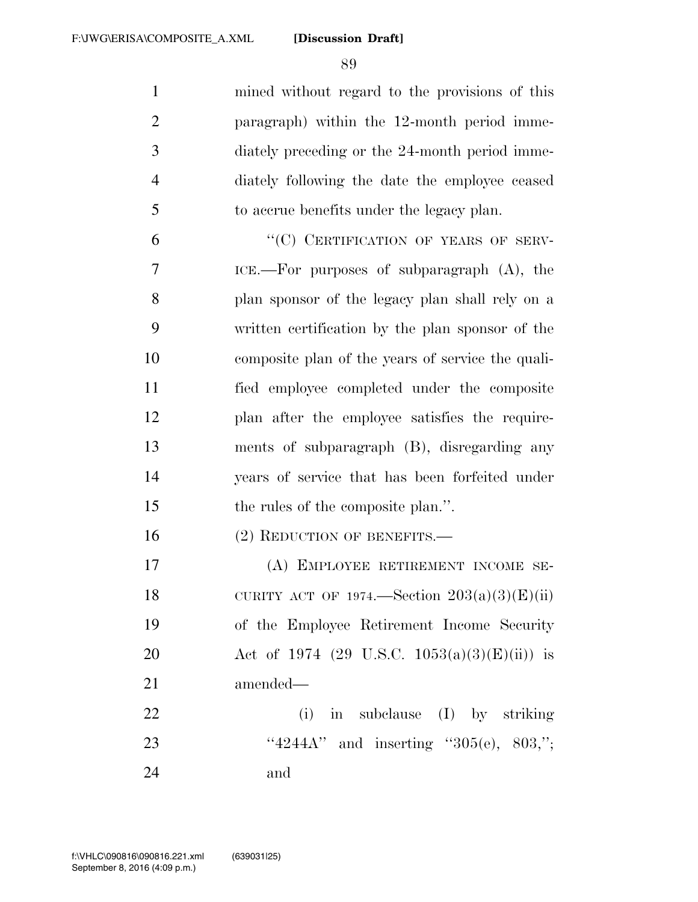mined without regard to the provisions of this paragraph) within the 12-month period imme- diately preceding or the 24-month period imme- diately following the date the employee ceased to accrue benefits under the legacy plan.

6 "(C) CERTIFICATION OF YEARS OF SERV- ICE.—For purposes of subparagraph (A), the plan sponsor of the legacy plan shall rely on a written certification by the plan sponsor of the composite plan of the years of service the quali- fied employee completed under the composite plan after the employee satisfies the require- ments of subparagraph (B), disregarding any years of service that has been forfeited under 15 the rules of the composite plan.".

16 (2) REDUCTION OF BENEFITS.—

 (A) EMPLOYEE RETIREMENT INCOME SE-18 CURITY ACT OF 1974.—Section  $203(a)(3)(E)(ii)$  of the Employee Retirement Income Security Act of 1974 (29 U.S.C. 1053(a)(3)(E)(ii)) is amended—

22 (i) in subclause (I) by striking 23 ''4244A'' and inserting ''305(e), 803,"; and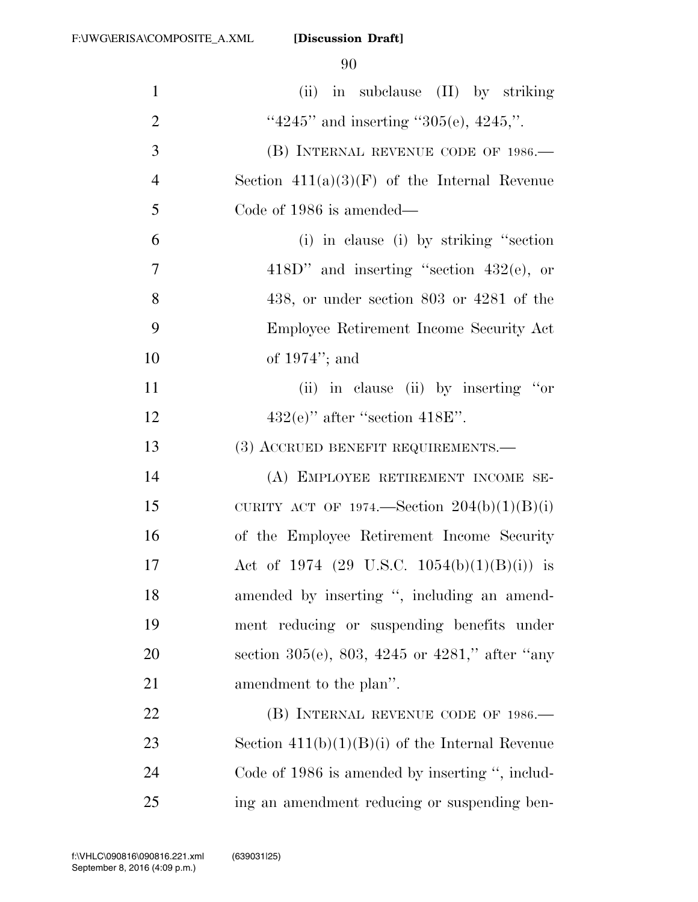| $\mathbf{1}$   | (ii) in subclause (II) by striking                |
|----------------|---------------------------------------------------|
| $\overline{2}$ | "4245" and inserting "305(e), 4245,".             |
| 3              | (B) INTERNAL REVENUE CODE OF 1986.                |
| $\overline{4}$ | Section $411(a)(3)(F)$ of the Internal Revenue    |
| 5              | Code of 1986 is amended—                          |
| 6              | (i) in clause (i) by striking "section            |
| 7              | $418D"$ and inserting "section $432(e)$ , or      |
| 8              | $438$ , or under section $803$ or $4281$ of the   |
| 9              | Employee Retirement Income Security Act           |
| 10             | of $1974$ "; and                                  |
| 11             | (ii) in clause (ii) by inserting "or"             |
| 12             | $432(e)$ " after "section $418E$ ".               |
| 13             | (3) ACCRUED BENEFIT REQUIREMENTS.                 |
| 14             | (A) EMPLOYEE RETIREMENT INCOME SE-                |
| 15             | CURITY ACT OF 1974.—Section $204(b)(1)(B)(i)$     |
| 16             | of the Employee Retirement Income Security        |
| 17             | Act of 1974 (29 U.S.C. 1054(b)(1)(B)(i)) is       |
| 18             | amended by inserting ", including an amend-       |
| 19             | ment reducing or suspending benefits under        |
| 20             | section 305(e), 803, 4245 or 4281," after "any    |
| 21             | amendment to the plan".                           |
| 22             | (B) INTERNAL REVENUE CODE OF 1986.                |
| 23             | Section $411(b)(1)(B)(i)$ of the Internal Revenue |
| 24             | Code of 1986 is amended by inserting ", includ-   |
| 25             | ing an amendment reducing or suspending ben-      |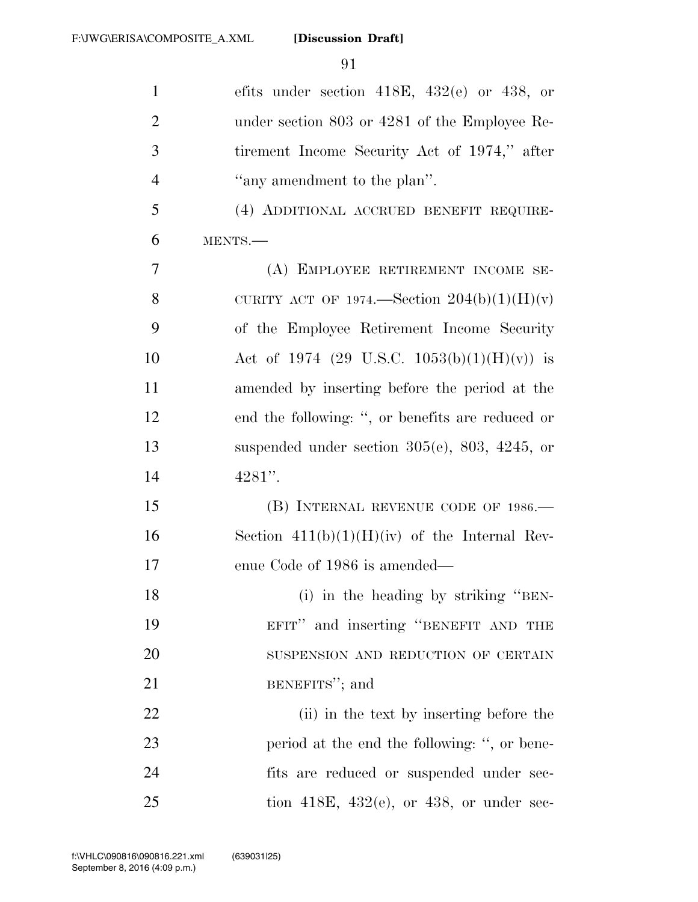| $\mathbf{1}$   | efits under section 418E, 432(e) or 438, or            |
|----------------|--------------------------------------------------------|
| $\overline{2}$ | under section 803 or 4281 of the Employee Re-          |
| 3              | tirement Income Security Act of 1974," after           |
| $\overline{4}$ | "any amendment to the plan".                           |
| 5              | (4) ADDITIONAL ACCRUED BENEFIT REQUIRE-                |
| 6              | MENTS.-                                                |
| 7              | (A) EMPLOYEE RETIREMENT INCOME SE-                     |
| 8              | CURITY ACT OF 1974.—Section $204(b)(1)(H)(v)$          |
| 9              | of the Employee Retirement Income Security             |
| 10             | Act of 1974 (29 U.S.C. 1053(b)(1)(H)(v)) is            |
| 11             | amended by inserting before the period at the          |
| 12             | end the following: ", or benefits are reduced or       |
| 13             | suspended under section $305(e)$ , $803$ , $4245$ , or |
| 14             | $4281"$ .                                              |
| 15             | (B) INTERNAL REVENUE CODE OF 1986.—                    |
| 16             | Section $411(b)(1)(H)(iv)$ of the Internal Rev-        |
| 17             | enue Code of 1986 is amended—                          |
| 18             | (i) in the heading by striking "BEN-                   |
| 19             | EFIT" and inserting "BENEFIT AND THE                   |
| 20             | SUSPENSION AND REDUCTION OF CERTAIN                    |
| 21             | BENEFITS"; and                                         |
| 22             | (ii) in the text by inserting before the               |
| 23             | period at the end the following: ", or bene-           |
| 24             | fits are reduced or suspended under sec-               |
| 25             | tion 418E, 432 $(e)$ , or 438, or under sec-           |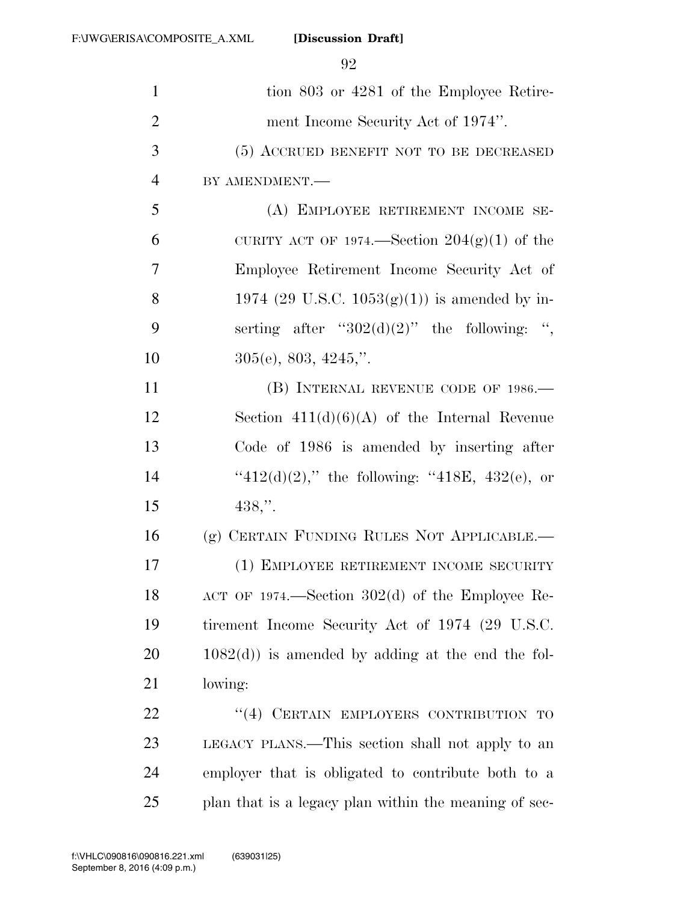| $\mathbf{1}$   | tion 803 or 4281 of the Employee Retire-                 |
|----------------|----------------------------------------------------------|
| $\overline{2}$ | ment Income Security Act of 1974".                       |
| 3              | (5) ACCRUED BENEFIT NOT TO BE DECREASED                  |
| $\overline{4}$ | BY AMENDMENT.-                                           |
| 5              | (A) EMPLOYEE RETIREMENT INCOME SE-                       |
| 6              | CURITY ACT OF 1974.—Section $204(g)(1)$ of the           |
| $\overline{7}$ | Employee Retirement Income Security Act of               |
| 8              | 1974 (29 U.S.C. 1053(g)(1)) is amended by in-            |
| 9              | serting after " $302(d)(2)$ " the following: ",          |
| 10             | $305(e)$ , 803, 4245,".                                  |
| 11             | (B) INTERNAL REVENUE CODE OF 1986.—                      |
| 12             | Section $411(d)(6)(A)$ of the Internal Revenue           |
| 13             | Code of 1986 is amended by inserting after               |
| 14             | " $412(d)(2)$ ," the following: " $418E$ , $432(e)$ , or |
| 15             | $438,$ ".                                                |
| 16             | (g) CERTAIN FUNDING RULES NOT APPLICABLE.                |
| 17             | (1) EMPLOYEE RETIREMENT INCOME SECURITY                  |
| 18             | $ACT OF 1974. - Section 302(d) of the Employee Re-$      |
| 19             | tirement Income Security Act of 1974 (29 U.S.C.          |
| 20             | $1082(d)$ ) is amended by adding at the end the fol-     |
| 21             | lowing:                                                  |
| 22             | "(4) CERTAIN EMPLOYERS CONTRIBUTION<br>TО                |
| 23             | LEGACY PLANS.—This section shall not apply to an         |
| 24             | employer that is obligated to contribute both to a       |
| 25             | plan that is a legacy plan within the meaning of sec-    |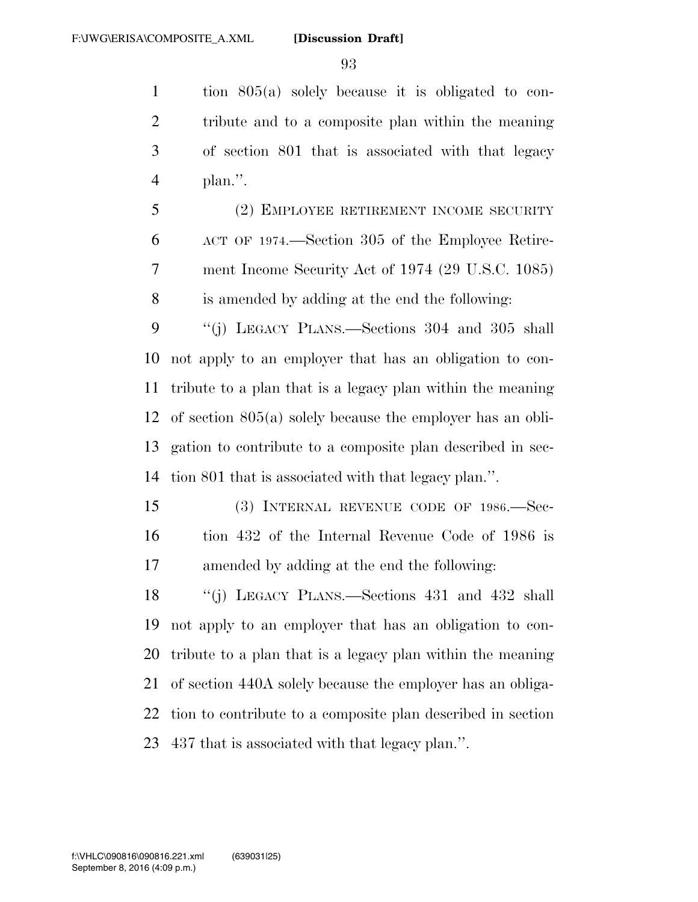tion 805(a) solely because it is obligated to con- tribute and to a composite plan within the meaning of section 801 that is associated with that legacy plan.''.

 (2) EMPLOYEE RETIREMENT INCOME SECURITY ACT OF 1974.—Section 305 of the Employee Retire- ment Income Security Act of 1974 (29 U.S.C. 1085) is amended by adding at the end the following:

 ''(j) LEGACY PLANS.—Sections 304 and 305 shall not apply to an employer that has an obligation to con- tribute to a plan that is a legacy plan within the meaning of section 805(a) solely because the employer has an obli- gation to contribute to a composite plan described in sec-tion 801 that is associated with that legacy plan.''.

 (3) INTERNAL REVENUE CODE OF 1986.—Sec- tion 432 of the Internal Revenue Code of 1986 is amended by adding at the end the following:

 ''(j) LEGACY PLANS.—Sections 431 and 432 shall not apply to an employer that has an obligation to con- tribute to a plan that is a legacy plan within the meaning of section 440A solely because the employer has an obliga- tion to contribute to a composite plan described in section 437 that is associated with that legacy plan.''.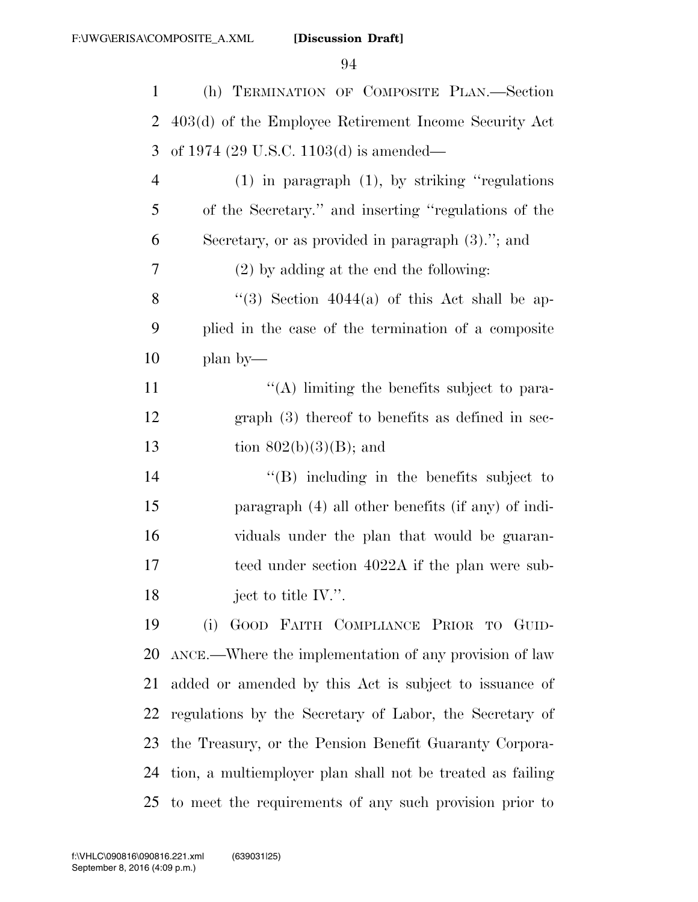| $\mathbf{1}$   | (h) TERMINATION OF COMPOSITE PLAN.—Section                 |
|----------------|------------------------------------------------------------|
| $\overline{2}$ | 403(d) of the Employee Retirement Income Security Act      |
| 3              | of 1974 (29 U.S.C. 1103(d) is amended—                     |
| $\overline{4}$ | $(1)$ in paragraph $(1)$ , by striking "regulations"       |
| 5              | of the Secretary." and inserting "regulations of the       |
| 6              | Secretary, or as provided in paragraph (3)."; and          |
| 7              | $(2)$ by adding at the end the following:                  |
| 8              | "(3) Section $4044(a)$ of this Act shall be ap-            |
| 9              | plied in the case of the termination of a composite        |
| 10             | plan by—                                                   |
| 11             | $\lq\lq$ . Imiting the benefits subject to para-           |
| 12             | $graph(3)$ thereof to benefits as defined in sec-          |
| 13             | tion $802(b)(3)(B)$ ; and                                  |
| 14             | $\lq\lq$ . Including in the benefits subject to            |
| 15             | paragraph (4) all other benefits (if any) of indi-         |
| 16             | viduals under the plan that would be guaran-               |
| 17             | teed under section 4022A if the plan were sub-             |
| 18             | ject to title $\mathbb{N}$ .".                             |
| 19             | GOOD FAITH COMPLIANCE PRIOR TO GUID-<br>(i)                |
| 20             | ANCE.—Where the implementation of any provision of law     |
| 21             | added or amended by this Act is subject to issuance of     |
| 22             | regulations by the Secretary of Labor, the Secretary of    |
| 23             | the Treasury, or the Pension Benefit Guaranty Corpora-     |
| 24             | tion, a multiemployer plan shall not be treated as failing |
| 25             | to meet the requirements of any such provision prior to    |